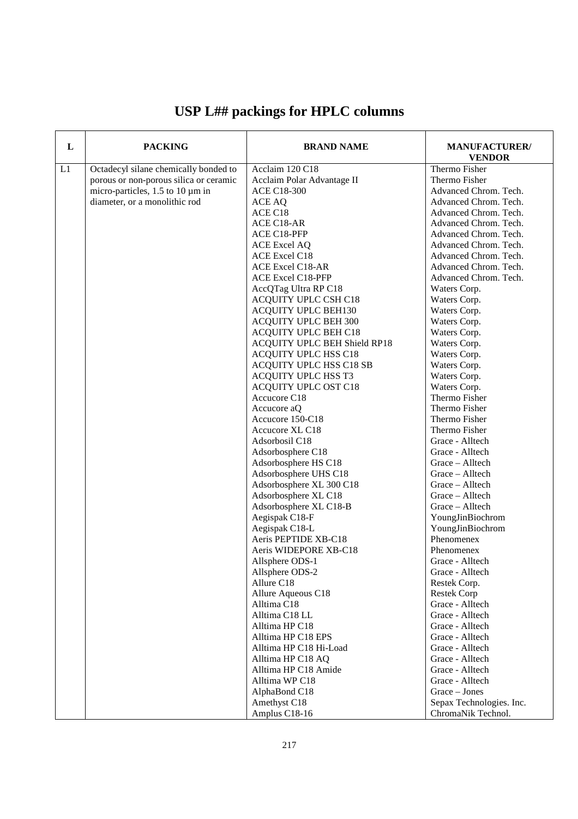| L  | <b>PACKING</b>                         | <b>BRAND NAME</b>            | <b>MANUFACTURER/</b><br><b>VENDOR</b> |
|----|----------------------------------------|------------------------------|---------------------------------------|
| L1 | Octadecyl silane chemically bonded to  | Acclaim 120 C18              | Thermo Fisher                         |
|    | porous or non-porous silica or ceramic | Acclaim Polar Advantage II   | Thermo Fisher                         |
|    | micro-particles, 1.5 to 10 µm in       | <b>ACE C18-300</b>           | Advanced Chrom. Tech.                 |
|    | diameter, or a monolithic rod          | ACE AQ                       | Advanced Chrom. Tech.                 |
|    |                                        | ACE C18                      | Advanced Chrom. Tech.                 |
|    |                                        | ACE C18-AR                   | Advanced Chrom. Tech.                 |
|    |                                        | ACE C18-PFP                  | Advanced Chrom. Tech.                 |
|    |                                        | <b>ACE Excel AQ</b>          | Advanced Chrom. Tech.                 |
|    |                                        | ACE Excel C18                | Advanced Chrom. Tech.                 |
|    |                                        | <b>ACE Excel C18-AR</b>      | Advanced Chrom. Tech.                 |
|    |                                        | <b>ACE Excel C18-PFP</b>     | Advanced Chrom. Tech.                 |
|    |                                        | AccQTag Ultra RP C18         | Waters Corp.                          |
|    |                                        | ACQUITY UPLC CSH C18         | Waters Corp.                          |
|    |                                        | ACQUITY UPLC BEH130          | Waters Corp.                          |
|    |                                        | ACQUITY UPLC BEH 300         | Waters Corp.                          |
|    |                                        | <b>ACQUITY UPLC BEH C18</b>  | Waters Corp.                          |
|    |                                        | ACQUITY UPLC BEH Shield RP18 | Waters Corp.                          |
|    |                                        | ACQUITY UPLC HSS C18         | Waters Corp.                          |
|    |                                        | ACQUITY UPLC HSS C18 SB      | Waters Corp.                          |
|    |                                        | ACQUITY UPLC HSS T3          | Waters Corp.                          |
|    |                                        | ACQUITY UPLC OST C18         | Waters Corp.                          |
|    |                                        | Accucore C18                 | Thermo Fisher                         |
|    |                                        | Accucore aQ                  | Thermo Fisher                         |
|    |                                        | Accucore 150-C18             | Thermo Fisher                         |
|    |                                        | Accucore XL C18              | Thermo Fisher                         |
|    |                                        | Adsorbosil C18               | Grace - Alltech                       |
|    |                                        | Adsorbosphere C18            | Grace - Alltech                       |
|    |                                        | Adsorbosphere HS C18         | Grace - Alltech                       |
|    |                                        | Adsorbosphere UHS C18        | Grace - Alltech                       |
|    |                                        | Adsorbosphere XL 300 C18     | Grace - Alltech                       |
|    |                                        | Adsorbosphere XL C18         | Grace - Alltech                       |
|    |                                        | Adsorbosphere XL C18-B       | Grace - Alltech                       |
|    |                                        | Aegispak C18-F               | YoungJinBiochrom                      |
|    |                                        | Aegispak C18-L               | YoungJinBiochrom                      |
|    |                                        | Aeris PEPTIDE XB-C18         | Phenomenex                            |
|    |                                        | Aeris WIDEPORE XB-C18        | Phenomenex                            |
|    |                                        | Allsphere ODS-1              | Grace - Alltech                       |
|    |                                        | Allsphere ODS-2              | Grace - Alltech                       |
|    |                                        | Allure C18                   | Restek Corp.                          |
|    |                                        | Allure Aqueous C18           | <b>Restek Corp</b>                    |
|    |                                        | Alltima C18                  | Grace - Alltech                       |
|    |                                        | Alltima C18 LL               | Grace - Alltech                       |
|    |                                        | Alltima HP C18               | Grace - Alltech                       |
|    |                                        | Alltima HP C18 EPS           | Grace - Alltech                       |
|    |                                        | Alltima HP C18 Hi-Load       | Grace - Alltech                       |
|    |                                        | Alltima HP C18 AQ            | Grace - Alltech                       |
|    |                                        | Alltima HP C18 Amide         | Grace - Alltech                       |
|    |                                        | Alltima WP C18               | Grace - Alltech                       |
|    |                                        | AlphaBond C18                | $Grace - Jones$                       |
|    |                                        | Amethyst C18                 | Sepax Technologies. Inc.              |
|    |                                        | Amplus C18-16                | ChromaNik Technol.                    |

## **USP L## packings for HPLC columns**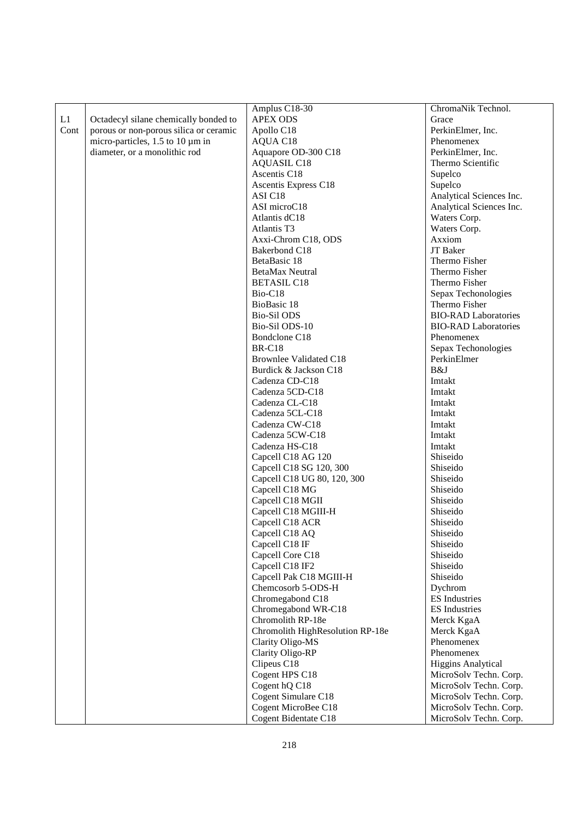|      |                                         | Amplus C18-30                    | ChromaNik Technol.          |
|------|-----------------------------------------|----------------------------------|-----------------------------|
| L1   | Octadecyl silane chemically bonded to   | <b>APEX ODS</b>                  | Grace                       |
| Cont | porous or non-porous silica or ceramic  | Apollo C18                       | PerkinElmer, Inc.           |
|      | micro-particles, $1.5$ to $10 \mu m$ in |                                  | Phenomenex                  |
|      |                                         | AQUA C18                         |                             |
|      | diameter, or a monolithic rod           | Aquapore OD-300 C18              | PerkinElmer, Inc.           |
|      |                                         | <b>AQUASIL C18</b>               | Thermo Scientific           |
|      |                                         | Ascentis C18                     | Supelco                     |
|      |                                         | Ascentis Express C18             | Supelco                     |
|      |                                         | ASI C <sub>18</sub>              | Analytical Sciences Inc.    |
|      |                                         | ASI microC18                     | Analytical Sciences Inc.    |
|      |                                         | Atlantis dC18                    | Waters Corp.                |
|      |                                         | Atlantis T3                      | Waters Corp.                |
|      |                                         | Axxi-Chrom C18, ODS              | Axxiom                      |
|      |                                         | Bakerbond C18                    | JT Baker                    |
|      |                                         | BetaBasic 18                     | Thermo Fisher               |
|      |                                         | <b>BetaMax Neutral</b>           | Thermo Fisher               |
|      |                                         | <b>BETASIL C18</b>               | Thermo Fisher               |
|      |                                         | Bio-C18                          | Sepax Techonologies         |
|      |                                         | BioBasic 18                      | Thermo Fisher               |
|      |                                         | <b>Bio-Sil ODS</b>               | <b>BIO-RAD Laboratories</b> |
|      |                                         | Bio-Sil ODS-10                   | <b>BIO-RAD Laboratories</b> |
|      |                                         | Bondclone C18                    | Phenomenex                  |
|      |                                         | <b>BR-C18</b>                    | Sepax Techonologies         |
|      |                                         | <b>Brownlee Validated C18</b>    | PerkinElmer                 |
|      |                                         | Burdick & Jackson C18            | B&J                         |
|      |                                         | Cadenza CD-C18                   | Imtakt                      |
|      |                                         | Cadenza 5CD-C18                  | Imtakt                      |
|      |                                         | Cadenza CL-C18                   | Imtakt                      |
|      |                                         | Cadenza 5CL-C18                  | Imtakt                      |
|      |                                         | Cadenza CW-C18                   | Imtakt                      |
|      |                                         | Cadenza 5CW-C18                  | Imtakt                      |
|      |                                         | Cadenza HS-C18                   | Imtakt                      |
|      |                                         | Capcell C18 AG 120               | Shiseido                    |
|      |                                         | Capcell C18 SG 120, 300          | Shiseido                    |
|      |                                         | Capcell C18 UG 80, 120, 300      | Shiseido                    |
|      |                                         | Capcell C18 MG                   | Shiseido                    |
|      |                                         | Capcell C18 MGII                 | Shiseido                    |
|      |                                         | Capcell C18 MGIII-H              | Shiseido                    |
|      |                                         | Capcell C18 ACR                  | Shiseido                    |
|      |                                         |                                  |                             |
|      |                                         | Capcell C18 AQ                   | Shiseido                    |
|      |                                         | Capcell C18 IF                   | Shiseido                    |
|      |                                         | Capcell Core C18                 | Shiseido                    |
|      |                                         | Capcell C18 IF2                  | Shiseido                    |
|      |                                         | Capcell Pak C18 MGIII-H          | Shiseido                    |
|      |                                         | Chemcosorb 5-ODS-H               | Dychrom                     |
|      |                                         | Chromegabond C18                 | <b>ES</b> Industries        |
|      |                                         | Chromegabond WR-C18              | <b>ES</b> Industries        |
|      |                                         | Chromolith RP-18e                | Merck KgaA                  |
|      |                                         | Chromolith HighResolution RP-18e | Merck KgaA                  |
|      |                                         | Clarity Oligo-MS                 | Phenomenex                  |
|      |                                         | Clarity Oligo-RP                 | Phenomenex                  |
|      |                                         | Clipeus C18                      | <b>Higgins Analytical</b>   |
|      |                                         | Cogent HPS C18                   | MicroSolv Techn. Corp.      |
|      |                                         | Cogent hQ C18                    | MicroSolv Techn. Corp.      |
|      |                                         | Cogent Simulare C18              | MicroSolv Techn. Corp.      |
|      |                                         | Cogent MicroBee C18              | MicroSolv Techn. Corp.      |
|      |                                         | Cogent Bidentate C18             | MicroSolv Techn. Corp.      |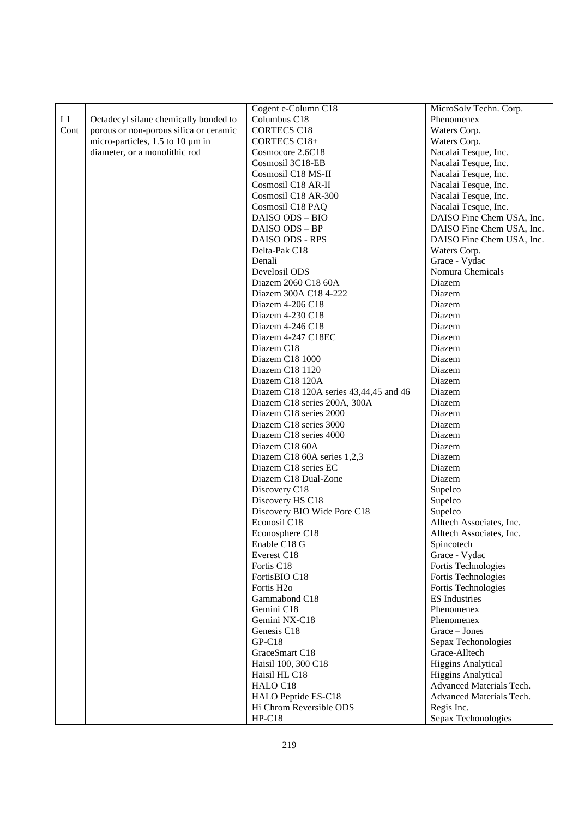|      |                                        | Cogent e-Column C18                    | MicroSolv Techn. Corp.    |
|------|----------------------------------------|----------------------------------------|---------------------------|
| L1   | Octadecyl silane chemically bonded to  | Columbus C18                           | Phenomenex                |
| Cont | porous or non-porous silica or ceramic | <b>CORTECS C18</b>                     | Waters Corp.              |
|      | micro-particles, 1.5 to 10 µm in       | CORTECS C18+                           | Waters Corp.              |
|      | diameter, or a monolithic rod          | Cosmocore 2.6C18                       | Nacalai Tesque, Inc.      |
|      |                                        | Cosmosil 3C18-EB                       | Nacalai Tesque, Inc.      |
|      |                                        | Cosmosil C18 MS-II                     | Nacalai Tesque, Inc.      |
|      |                                        | Cosmosil C18 AR-II                     | Nacalai Tesque, Inc.      |
|      |                                        | Cosmosil C18 AR-300                    | Nacalai Tesque, Inc.      |
|      |                                        | Cosmosil C18 PAQ                       | Nacalai Tesque, Inc.      |
|      |                                        | DAISO ODS - BIO                        | DAISO Fine Chem USA, Inc. |
|      |                                        | DAISO ODS - BP                         | DAISO Fine Chem USA, Inc. |
|      |                                        | DAISO ODS - RPS                        | DAISO Fine Chem USA, Inc. |
|      |                                        | Delta-Pak C18                          | Waters Corp.              |
|      |                                        | Denali                                 | Grace - Vydac             |
|      |                                        | Develosil ODS                          | Nomura Chemicals          |
|      |                                        | Diazem 2060 C18 60A                    | Diazem                    |
|      |                                        | Diazem 300A C18 4-222                  | Diazem                    |
|      |                                        | Diazem 4-206 C18                       | Diazem                    |
|      |                                        | Diazem 4-230 C18                       | Diazem                    |
|      |                                        | Diazem 4-246 C18                       | Diazem                    |
|      |                                        | Diazem 4-247 C18EC                     | Diazem                    |
|      |                                        | Diazem C <sub>18</sub>                 | Diazem                    |
|      |                                        | Diazem C18 1000                        | Diazem                    |
|      |                                        | Diazem C18 1120                        | Diazem                    |
|      |                                        | Diazem C18 120A                        | Diazem                    |
|      |                                        | Diazem C18 120A series 43,44,45 and 46 | Diazem                    |
|      |                                        | Diazem C18 series 200A, 300A           | Diazem                    |
|      |                                        | Diazem C18 series 2000                 | Diazem                    |
|      |                                        | Diazem C18 series 3000                 | Diazem                    |
|      |                                        | Diazem C18 series 4000                 | Diazem                    |
|      |                                        | Diazem C18 60A                         | Diazem                    |
|      |                                        | Diazem C18 60A series 1,2,3            | Diazem                    |
|      |                                        | Diazem C18 series EC                   | Diazem                    |
|      |                                        | Diazem C18 Dual-Zone                   | Diazem                    |
|      |                                        | Discovery C18                          | Supelco                   |
|      |                                        | Discovery HS C18                       | Supelco                   |
|      |                                        | Discovery BIO Wide Pore C18            | Supelco                   |
|      |                                        | Econosil C18                           | Alltech Associates, Inc.  |
|      |                                        | Econosphere C18                        | Alltech Associates, Inc.  |
|      |                                        | Enable C18 G                           | Spincotech                |
|      |                                        | Everest C18                            | Grace - Vydac             |
|      |                                        | Fortis C18                             | Fortis Technologies       |
|      |                                        | FortisBIO C18                          | Fortis Technologies       |
|      |                                        | Fortis H <sub>2</sub> o                | Fortis Technologies       |
|      |                                        | Gammabond C18                          | <b>ES</b> Industries      |
|      |                                        | Gemini C18                             | Phenomenex                |
|      |                                        | Gemini NX-C18                          | Phenomenex                |
|      |                                        | Genesis C18                            | Grace - Jones             |
|      |                                        | $GP-C18$                               | Sepax Techonologies       |
|      |                                        | GraceSmart C18                         | Grace-Alltech             |
|      |                                        | Haisil 100, 300 C18                    | <b>Higgins Analytical</b> |
|      |                                        | Haisil HL C18                          | <b>Higgins Analytical</b> |
|      |                                        | HALO C18                               | Advanced Materials Tech.  |
|      |                                        | HALO Peptide ES-C18                    | Advanced Materials Tech.  |
|      |                                        | Hi Chrom Reversible ODS                | Regis Inc.                |
|      |                                        | $HP-C18$                               | Sepax Techonologies       |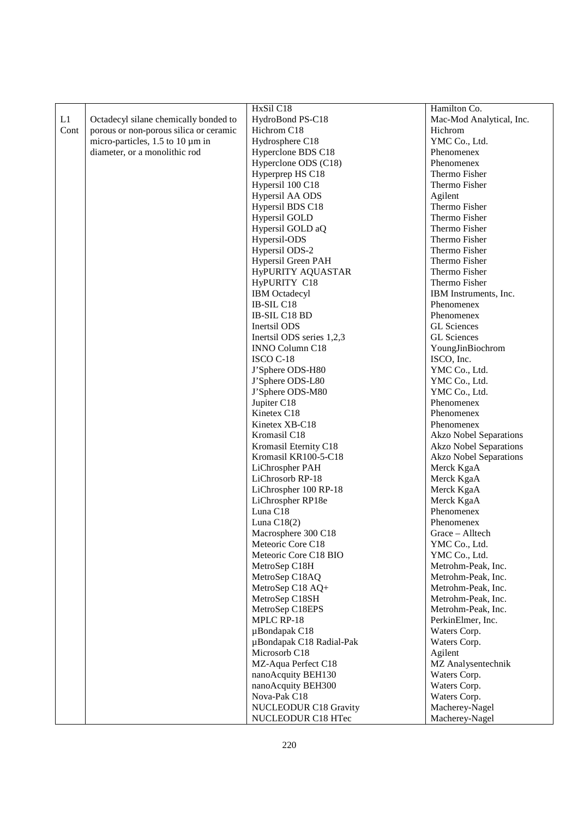|      |                                        | HxSil C18                 | Hamilton Co.                  |
|------|----------------------------------------|---------------------------|-------------------------------|
| L1   | Octadecyl silane chemically bonded to  | HydroBond PS-C18          | Mac-Mod Analytical, Inc.      |
| Cont | porous or non-porous silica or ceramic | Hichrom C18               | Hichrom                       |
|      | micro-particles, 1.5 to 10 µm in       | Hydrosphere C18           | YMC Co., Ltd.                 |
|      | diameter, or a monolithic rod          | Hyperclone BDS C18        | Phenomenex                    |
|      |                                        | Hyperclone ODS (C18)      | Phenomenex                    |
|      |                                        | Hyperprep HS C18          | Thermo Fisher                 |
|      |                                        | Hypersil 100 C18          | Thermo Fisher                 |
|      |                                        | Hypersil AA ODS           | Agilent                       |
|      |                                        | Hypersil BDS C18          | Thermo Fisher                 |
|      |                                        | Hypersil GOLD             | Thermo Fisher                 |
|      |                                        | Hypersil GOLD aQ          | Thermo Fisher                 |
|      |                                        | Hypersil-ODS              | Thermo Fisher                 |
|      |                                        | Hypersil ODS-2            | Thermo Fisher                 |
|      |                                        | Hypersil Green PAH        | Thermo Fisher                 |
|      |                                        | HyPURITY AQUASTAR         | Thermo Fisher                 |
|      |                                        | HyPURITY C18              | Thermo Fisher                 |
|      |                                        | <b>IBM</b> Octadecyl      | IBM Instruments, Inc.         |
|      |                                        | IB-SIL C18                | Phenomenex                    |
|      |                                        | IB-SIL C18 BD             | Phenomenex                    |
|      |                                        | Inertsil ODS              | <b>GL</b> Sciences            |
|      |                                        | Inertsil ODS series 1,2,3 | <b>GL</b> Sciences            |
|      |                                        | <b>INNO Column C18</b>    | YoungJinBiochrom              |
|      |                                        | ISCO C-18                 | ISCO, Inc.                    |
|      |                                        | J'Sphere ODS-H80          | YMC Co., Ltd.                 |
|      |                                        | J'Sphere ODS-L80          | YMC Co., Ltd.                 |
|      |                                        | J'Sphere ODS-M80          | YMC Co., Ltd.                 |
|      |                                        | Jupiter C18               | Phenomenex                    |
|      |                                        | Kinetex C18               | Phenomenex                    |
|      |                                        | Kinetex XB-C18            | Phenomenex                    |
|      |                                        | Kromasil C18              | Akzo Nobel Separations        |
|      |                                        | Kromasil Eternity C18     | <b>Akzo Nobel Separations</b> |
|      |                                        | Kromasil KR100-5-C18      | <b>Akzo Nobel Separations</b> |
|      |                                        | LiChrospher PAH           | Merck KgaA                    |
|      |                                        | LiChrosorb RP-18          | Merck KgaA                    |
|      |                                        | LiChrospher 100 RP-18     | Merck KgaA                    |
|      |                                        | LiChrospher RP18e         | Merck KgaA                    |
|      |                                        | Luna C18                  | Phenomenex                    |
|      |                                        | Luna $C18(2)$             | Phenomenex                    |
|      |                                        | Macrosphere 300 C18       | Grace – Alltech               |
|      |                                        | Meteoric Core C18         | YMC Co., Ltd.                 |
|      |                                        | Meteoric Core C18 BIO     | YMC Co., Ltd.                 |
|      |                                        | MetroSep C18H             | Metrohm-Peak, Inc.            |
|      |                                        | MetroSep C18AQ            | Metrohm-Peak, Inc.            |
|      |                                        | MetroSep C18 AQ+          | Metrohm-Peak, Inc.            |
|      |                                        | MetroSep C18SH            | Metrohm-Peak, Inc.            |
|      |                                        | MetroSep C18EPS           | Metrohm-Peak, Inc.            |
|      |                                        | MPLC RP-18                | PerkinElmer, Inc.             |
|      |                                        | µBondapak C18             | Waters Corp.                  |
|      |                                        | µBondapak C18 Radial-Pak  | Waters Corp.                  |
|      |                                        | Microsorb C18             | Agilent                       |
|      |                                        | MZ-Aqua Perfect C18       | MZ Analysentechnik            |
|      |                                        | nanoAcquity BEH130        | Waters Corp.                  |
|      |                                        | nanoAcquity BEH300        | Waters Corp.                  |
|      |                                        | Nova-Pak C18              | Waters Corp.                  |
|      |                                        | NUCLEODUR C18 Gravity     | Macherey-Nagel                |
|      |                                        | NUCLEODUR C18 HTec        | Macherey-Nagel                |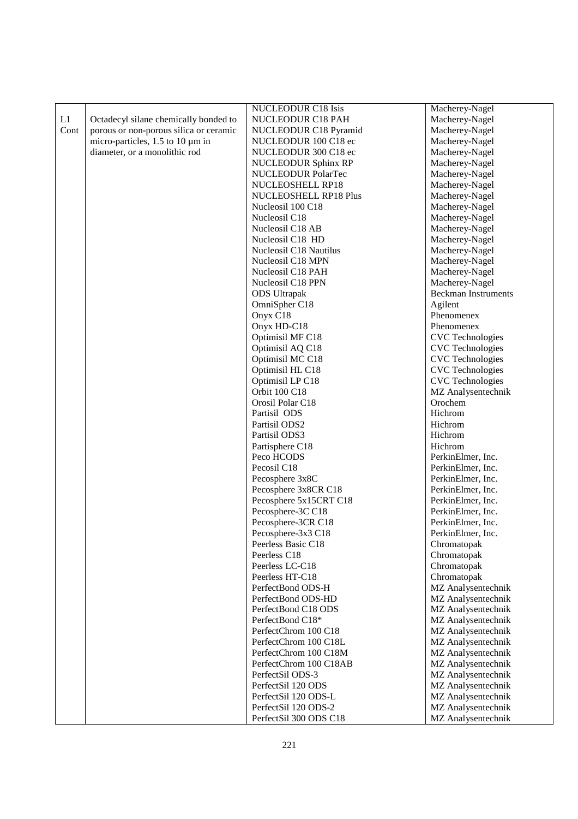|      |                                        | <b>NUCLEODUR C18 Isis</b>  | Macherey-Nagel             |
|------|----------------------------------------|----------------------------|----------------------------|
| L1   | Octadecyl silane chemically bonded to  | NUCLEODUR C18 PAH          | Macherey-Nagel             |
| Cont | porous or non-porous silica or ceramic | NUCLEODUR C18 Pyramid      | Macherey-Nagel             |
|      | micro-particles, 1.5 to 10 µm in       | NUCLEODUR 100 C18 ec       | Macherey-Nagel             |
|      | diameter, or a monolithic rod          | NUCLEODUR 300 C18 ec       | Macherey-Nagel             |
|      |                                        | <b>NUCLEODUR Sphinx RP</b> | Macherey-Nagel             |
|      |                                        | <b>NUCLEODUR PolarTec</b>  | Macherey-Nagel             |
|      |                                        | NUCLEOSHELL RP18           | Macherey-Nagel             |
|      |                                        | NUCLEOSHELL RP18 Plus      | Macherey-Nagel             |
|      |                                        | Nucleosil 100 C18          | Macherey-Nagel             |
|      |                                        | Nucleosil C18              | Macherey-Nagel             |
|      |                                        | Nucleosil C18 AB           | Macherey-Nagel             |
|      |                                        | Nucleosil C18 HD           | Macherey-Nagel             |
|      |                                        | Nucleosil C18 Nautilus     | Macherey-Nagel             |
|      |                                        | Nucleosil C18 MPN          | Macherey-Nagel             |
|      |                                        | Nucleosil C18 PAH          | Macherey-Nagel             |
|      |                                        | Nucleosil C18 PPN          | Macherey-Nagel             |
|      |                                        | <b>ODS</b> Ultrapak        | <b>Beckman Instruments</b> |
|      |                                        | OmniSpher C18              | Agilent                    |
|      |                                        | Onyx C18                   | Phenomenex                 |
|      |                                        | Onyx HD-C18                | Phenomenex                 |
|      |                                        | Optimisil MF C18           | <b>CVC</b> Technologies    |
|      |                                        | Optimisil AQ C18           | <b>CVC</b> Technologies    |
|      |                                        | Optimisil MC C18           | <b>CVC</b> Technologies    |
|      |                                        | Optimisil HL C18           | <b>CVC</b> Technologies    |
|      |                                        | Optimisil LP C18           | <b>CVC</b> Technologies    |
|      |                                        | Orbit 100 C18              | MZ Analysentechnik         |
|      |                                        | Orosil Polar C18           | Orochem                    |
|      |                                        | Partisil ODS               | Hichrom                    |
|      |                                        | Partisil ODS2              | Hichrom                    |
|      |                                        | Partisil ODS3              | Hichrom                    |
|      |                                        | Partisphere C18            | Hichrom                    |
|      |                                        | Peco HCODS                 | PerkinElmer, Inc.          |
|      |                                        | Pecosil C18                | PerkinElmer, Inc.          |
|      |                                        | Pecosphere 3x8C            | PerkinElmer, Inc.          |
|      |                                        | Pecosphere 3x8CR C18       | PerkinElmer, Inc.          |
|      |                                        | Pecosphere 5x15CRT C18     | PerkinElmer, Inc.          |
|      |                                        | Pecosphere-3C C18          | PerkinElmer, Inc.          |
|      |                                        | Pecosphere-3CR C18         | PerkinElmer, Inc.          |
|      |                                        | Pecosphere-3x3 C18         | PerkinElmer, Inc.          |
|      |                                        | Peerless Basic C18         | Chromatopak                |
|      |                                        | Peerless C18               | Chromatopak                |
|      |                                        | Peerless LC-C18            | Chromatopak                |
|      |                                        | Peerless HT-C18            | Chromatopak                |
|      |                                        | PerfectBond ODS-H          | MZ Analysentechnik         |
|      |                                        | PerfectBond ODS-HD         | MZ Analysentechnik         |
|      |                                        | PerfectBond C18 ODS        | MZ Analysentechnik         |
|      |                                        | PerfectBond C18*           | MZ Analysentechnik         |
|      |                                        | PerfectChrom 100 C18       | MZ Analysentechnik         |
|      |                                        | PerfectChrom 100 C18L      | MZ Analysentechnik         |
|      |                                        | PerfectChrom 100 C18M      | MZ Analysentechnik         |
|      |                                        | PerfectChrom 100 C18AB     | MZ Analysentechnik         |
|      |                                        | PerfectSil ODS-3           | MZ Analysentechnik         |
|      |                                        | PerfectSil 120 ODS         | MZ Analysentechnik         |
|      |                                        | PerfectSil 120 ODS-L       | MZ Analysentechnik         |
|      |                                        | PerfectSil 120 ODS-2       | MZ Analysentechnik         |
|      |                                        |                            |                            |
|      |                                        | PerfectSil 300 ODS C18     | MZ Analysentechnik         |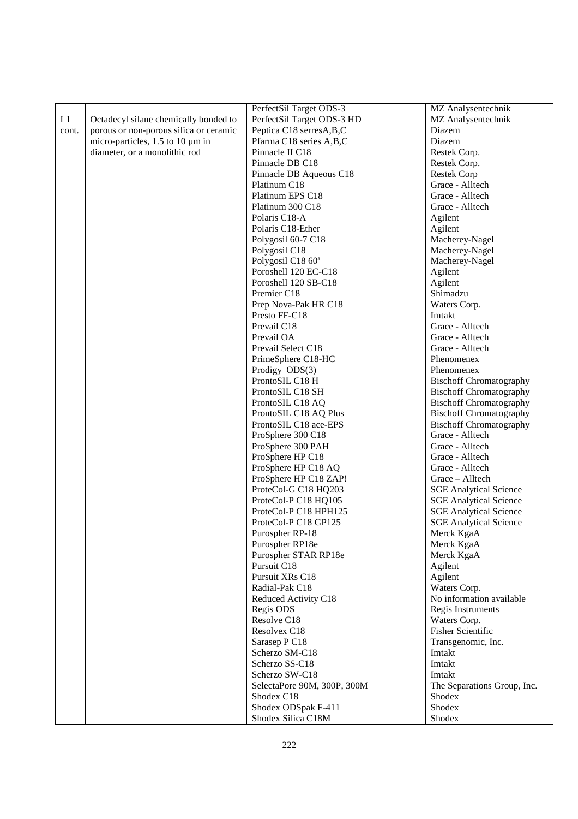|       |                                         | PerfectSil Target ODS-3       | MZ Analysentechnik             |
|-------|-----------------------------------------|-------------------------------|--------------------------------|
| L1    | Octadecyl silane chemically bonded to   | PerfectSil Target ODS-3 HD    | MZ Analysentechnik             |
| cont. | porous or non-porous silica or ceramic  | Peptica C18 serresA, B, C     | Diazem                         |
|       | micro-particles, $1.5$ to $10 \mu m$ in | Pfarma C18 series A,B,C       | Diazem                         |
|       | diameter, or a monolithic rod           | Pinnacle II C18               | Restek Corp.                   |
|       |                                         | Pinnacle DB C18               | Restek Corp.                   |
|       |                                         | Pinnacle DB Aqueous C18       | <b>Restek Corp</b>             |
|       |                                         | Platinum C18                  | Grace - Alltech                |
|       |                                         | Platinum EPS C18              | Grace - Alltech                |
|       |                                         | Platinum 300 C18              | Grace - Alltech                |
|       |                                         | Polaris C18-A                 | Agilent                        |
|       |                                         | Polaris C18-Ether             | Agilent                        |
|       |                                         | Polygosil 60-7 C18            | Macherey-Nagel                 |
|       |                                         | Polygosil C18                 | Macherey-Nagel                 |
|       |                                         | Polygosil C18 60 <sup>a</sup> | Macherey-Nagel                 |
|       |                                         | Poroshell 120 EC-C18          | Agilent                        |
|       |                                         | Poroshell 120 SB-C18          | Agilent                        |
|       |                                         | Premier C18                   | Shimadzu                       |
|       |                                         | Prep Nova-Pak HR C18          | Waters Corp.                   |
|       |                                         | Presto FF-C18                 | Imtakt                         |
|       |                                         | Prevail C18                   | Grace - Alltech                |
|       |                                         | Prevail OA                    | Grace - Alltech                |
|       |                                         | Prevail Select C18            | Grace - Alltech                |
|       |                                         | PrimeSphere C18-HC            | Phenomenex                     |
|       |                                         | Prodigy ODS(3)                | Phenomenex                     |
|       |                                         | ProntoSIL C18 H               | <b>Bischoff Chromatography</b> |
|       |                                         | ProntoSIL C18 SH              | <b>Bischoff Chromatography</b> |
|       |                                         | ProntoSIL C18 AQ              | <b>Bischoff Chromatography</b> |
|       |                                         | ProntoSIL C18 AQ Plus         | <b>Bischoff Chromatography</b> |
|       |                                         | ProntoSIL C18 ace-EPS         | <b>Bischoff Chromatography</b> |
|       |                                         | ProSphere 300 C18             | Grace - Alltech                |
|       |                                         | ProSphere 300 PAH             | Grace - Alltech                |
|       |                                         | ProSphere HP C18              | Grace - Alltech                |
|       |                                         | ProSphere HP C18 AQ           | Grace - Alltech                |
|       |                                         | ProSphere HP C18 ZAP!         | Grace - Alltech                |
|       |                                         | ProteCol-G C18 HQ203          | <b>SGE Analytical Science</b>  |
|       |                                         | ProteCol-P C18 HQ105          | <b>SGE Analytical Science</b>  |
|       |                                         | ProteCol-P C18 HPH125         | <b>SGE Analytical Science</b>  |
|       |                                         | ProteCol-P C18 GP125          | <b>SGE Analytical Science</b>  |
|       |                                         | Purospher RP-18               | Merck KgaA                     |
|       |                                         | Purospher RP18e               | Merck KgaA                     |
|       |                                         | Purospher STAR RP18e          | Merck KgaA                     |
|       |                                         | Pursuit C18                   | Agilent                        |
|       |                                         | Pursuit XRs C18               | Agilent                        |
|       |                                         | Radial-Pak C18                | Waters Corp.                   |
|       |                                         | Reduced Activity C18          | No information available       |
|       |                                         | Regis ODS                     | Regis Instruments              |
|       |                                         | Resolve C18                   | Waters Corp.                   |
|       |                                         | Resolvex C18                  | <b>Fisher Scientific</b>       |
|       |                                         | Sarasep P C18                 | Transgenomic, Inc.             |
|       |                                         | Scherzo SM-C18                | Imtakt                         |
|       |                                         | Scherzo SS-C18                | Imtakt                         |
|       |                                         | Scherzo SW-C18                | Imtakt                         |
|       |                                         | SelectaPore 90M, 300P, 300M   | The Separations Group, Inc.    |
|       |                                         | Shodex C18                    | Shodex                         |
|       |                                         | Shodex ODSpak F-411           | Shodex                         |
|       |                                         | Shodex Silica C18M            | Shodex                         |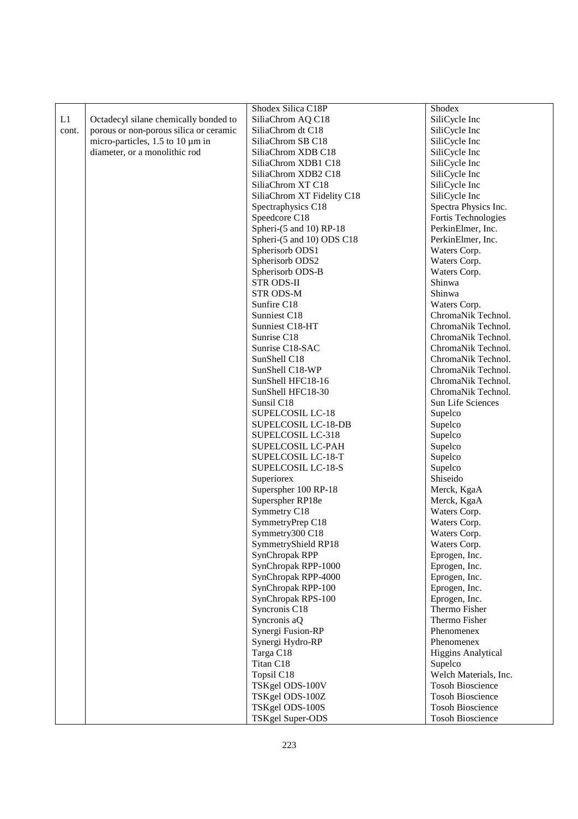|       |                                        | Shodex Silica C18P         | Shodex                    |
|-------|----------------------------------------|----------------------------|---------------------------|
| L1    | Octadecyl silane chemically bonded to  | SiliaChrom AQ C18          | SiliCycle Inc             |
| cont. | porous or non-porous silica or ceramic | SiliaChrom dt C18          | SiliCycle Inc             |
|       | micro-particles, 1.5 to 10 µm in       | SiliaChrom SB C18          | SiliCycle Inc             |
|       | diameter, or a monolithic rod          | SiliaChrom XDB C18         | SiliCycle Inc             |
|       |                                        | SiliaChrom XDB1 C18        | SiliCycle Inc             |
|       |                                        | SiliaChrom XDB2 C18        | SiliCycle Inc             |
|       |                                        | SiliaChrom XT C18          | SiliCycle Inc             |
|       |                                        | SiliaChrom XT Fidelity C18 | SiliCycle Inc             |
|       |                                        | Spectraphysics C18         | Spectra Physics Inc.      |
|       |                                        | Speedcore C18              | Fortis Technologies       |
|       |                                        | Spheri-(5 and 10) RP-18    | PerkinElmer, Inc.         |
|       |                                        | Spheri-(5 and 10) ODS C18  | PerkinElmer, Inc.         |
|       |                                        | Spherisorb ODS1            | Waters Corp.              |
|       |                                        | Spherisorb ODS2            | Waters Corp.              |
|       |                                        | Spherisorb ODS-B           | Waters Corp.              |
|       |                                        | <b>STR ODS-II</b>          | Shinwa                    |
|       |                                        |                            | Shinwa                    |
|       |                                        | <b>STR ODS-M</b>           |                           |
|       |                                        | Sunfire C18                | Waters Corp.              |
|       |                                        | Sunniest C18               | ChromaNik Technol.        |
|       |                                        | Sunniest C18-HT            | ChromaNik Technol.        |
|       |                                        | Sunrise C18                | ChromaNik Technol.        |
|       |                                        | Sunrise C18-SAC            | ChromaNik Technol.        |
|       |                                        | SunShell C18               | ChromaNik Technol.        |
|       |                                        | SunShell C18-WP            | ChromaNik Technol.        |
|       |                                        | SunShell HFC18-16          | ChromaNik Technol.        |
|       |                                        | SunShell HFC18-30          | ChromaNik Technol.        |
|       |                                        | Sunsil C18                 | Sun Life Sciences         |
|       |                                        | SUPELCOSIL LC-18           | Supelco                   |
|       |                                        | SUPELCOSIL LC-18-DB        | Supelco                   |
|       |                                        | SUPELCOSIL LC-318          | Supelco                   |
|       |                                        | SUPELCOSIL LC-PAH          | Supelco                   |
|       |                                        | SUPELCOSIL LC-18-T         | Supelco                   |
|       |                                        | SUPELCOSIL LC-18-S         | Supelco                   |
|       |                                        | Superiorex                 | Shiseido                  |
|       |                                        | Superspher 100 RP-18       | Merck, KgaA               |
|       |                                        | Superspher RP18e           | Merck, KgaA               |
|       |                                        | Symmetry C18               | Waters Corp.              |
|       |                                        | SymmetryPrep C18           | Waters Corp.              |
|       |                                        | Symmetry300 C18            | Waters Corp.              |
|       |                                        | SymmetryShield RP18        | Waters Corp.              |
|       |                                        | <b>SynChropak RPP</b>      | Eprogen, Inc.             |
|       |                                        | SynChropak RPP-1000        | Eprogen, Inc.             |
|       |                                        | SynChropak RPP-4000        | Eprogen, Inc.             |
|       |                                        | SynChropak RPP-100         | Eprogen, Inc.             |
|       |                                        | SynChropak RPS-100         | Eprogen, Inc.             |
|       |                                        | Syncronis C18              | Thermo Fisher             |
|       |                                        | Syncronis aQ               | Thermo Fisher             |
|       |                                        | Synergi Fusion-RP          | Phenomenex                |
|       |                                        | Synergi Hydro-RP           | Phenomenex                |
|       |                                        | Targa C18                  | <b>Higgins Analytical</b> |
|       |                                        | Titan C18                  | Supelco                   |
|       |                                        | Topsil C18                 | Welch Materials, Inc.     |
|       |                                        | TSKgel ODS-100V            | <b>Tosoh Bioscience</b>   |
|       |                                        | TSKgel ODS-100Z            | <b>Tosoh Bioscience</b>   |
|       |                                        | TSKgel ODS-100S            | <b>Tosoh Bioscience</b>   |
|       |                                        | TSKgel Super-ODS           | <b>Tosoh Bioscience</b>   |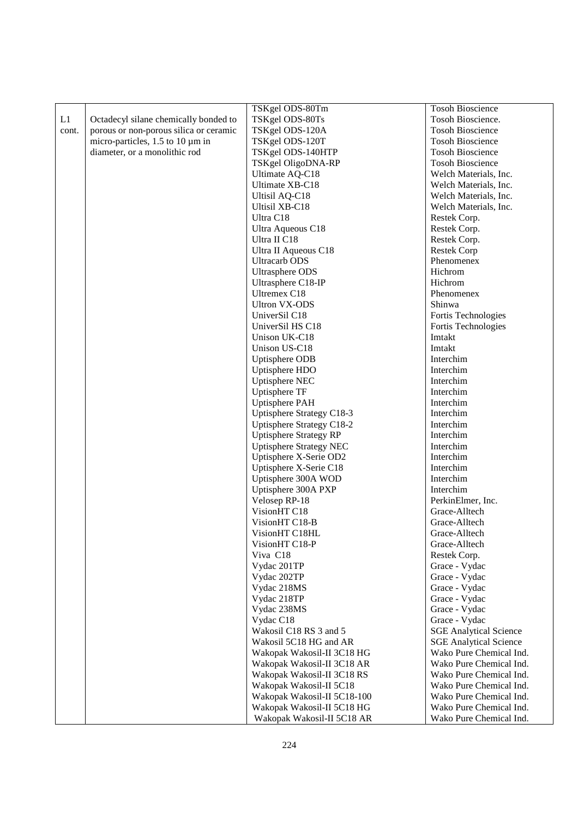|       |                                        | TSKgel ODS-80Tm                | <b>Tosoh Bioscience</b>       |
|-------|----------------------------------------|--------------------------------|-------------------------------|
| L1    | Octadecyl silane chemically bonded to  | TSKgel ODS-80Ts                | Tosoh Bioscience.             |
| cont. | porous or non-porous silica or ceramic | TSKgel ODS-120A                | <b>Tosoh Bioscience</b>       |
|       | micro-particles, 1.5 to 10 µm in       | TSKgel ODS-120T                | <b>Tosoh Bioscience</b>       |
|       | diameter, or a monolithic rod          | TSKgel ODS-140HTP              | <b>Tosoh Bioscience</b>       |
|       |                                        | TSKgel OligoDNA-RP             | <b>Tosoh Bioscience</b>       |
|       |                                        | Ultimate AQ-C18                | Welch Materials, Inc.         |
|       |                                        | Ultimate XB-C18                | Welch Materials, Inc.         |
|       |                                        | <b>Ultisil AQ-C18</b>          | Welch Materials, Inc.         |
|       |                                        | Ultisil XB-C18                 | Welch Materials, Inc.         |
|       |                                        | Ultra C18                      | Restek Corp.                  |
|       |                                        | Ultra Aqueous C18              | Restek Corp.                  |
|       |                                        | Ultra II C18                   | Restek Corp.                  |
|       |                                        | Ultra II Aqueous C18           | <b>Restek Corp</b>            |
|       |                                        | <b>Ultracarb ODS</b>           | Phenomenex                    |
|       |                                        | <b>Ultrasphere ODS</b>         | Hichrom                       |
|       |                                        | Ultrasphere C18-IP             | Hichrom                       |
|       |                                        | Ultremex C18                   | Phenomenex                    |
|       |                                        | <b>Ultron VX-ODS</b>           | Shinwa                        |
|       |                                        | UniverSil C18                  | Fortis Technologies           |
|       |                                        | UniverSil HS C18               | Fortis Technologies           |
|       |                                        | Unison UK-C18                  | Imtakt                        |
|       |                                        | Unison US-C18                  | Imtakt                        |
|       |                                        | Uptisphere ODB                 | Interchim                     |
|       |                                        | Uptisphere HDO                 | Interchim                     |
|       |                                        | <b>Uptisphere NEC</b>          | Interchim                     |
|       |                                        | <b>Uptisphere TF</b>           | Interchim                     |
|       |                                        | <b>Uptisphere PAH</b>          | Interchim                     |
|       |                                        | Uptisphere Strategy C18-3      | Interchim                     |
|       |                                        | Uptisphere Strategy C18-2      | Interchim                     |
|       |                                        | <b>Uptisphere Strategy RP</b>  | Interchim                     |
|       |                                        | <b>Uptisphere Strategy NEC</b> | Interchim                     |
|       |                                        | Uptisphere X-Serie OD2         | Interchim                     |
|       |                                        | Uptisphere X-Serie C18         | Interchim                     |
|       |                                        | Uptisphere 300A WOD            | Interchim                     |
|       |                                        | Uptisphere 300A PXP            | Interchim                     |
|       |                                        | Velosep RP-18                  | PerkinElmer, Inc.             |
|       |                                        | VisionHT C18                   | Grace-Alltech                 |
|       |                                        | VisionHT C18-B                 | Grace-Alltech                 |
|       |                                        | VisionHT C18HL                 | Grace-Alltech                 |
|       |                                        | VisionHT C18-P                 | Grace-Alltech                 |
|       |                                        | Viva C18                       | Restek Corp.                  |
|       |                                        | Vydac 201TP                    | Grace - Vydac                 |
|       |                                        | Vydac 202TP                    | Grace - Vydac                 |
|       |                                        | Vydac 218MS                    | Grace - Vydac                 |
|       |                                        | Vydac 218TP                    | Grace - Vydac                 |
|       |                                        | Vydac 238MS                    | Grace - Vydac                 |
|       |                                        | Vydac C18                      | Grace - Vydac                 |
|       |                                        | Wakosil C18 RS 3 and 5         | <b>SGE Analytical Science</b> |
|       |                                        | Wakosil 5C18 HG and AR         | <b>SGE Analytical Science</b> |
|       |                                        | Wakopak Wakosil-II 3C18 HG     | Wako Pure Chemical Ind.       |
|       |                                        | Wakopak Wakosil-II 3C18 AR     | Wako Pure Chemical Ind.       |
|       |                                        | Wakopak Wakosil-II 3C18 RS     | Wako Pure Chemical Ind.       |
|       |                                        | Wakopak Wakosil-II 5C18        | Wako Pure Chemical Ind.       |
|       |                                        | Wakopak Wakosil-II 5C18-100    | Wako Pure Chemical Ind.       |
|       |                                        | Wakopak Wakosil-II 5C18 HG     | Wako Pure Chemical Ind.       |
|       |                                        | Wakopak Wakosil-II 5C18 AR     | Wako Pure Chemical Ind.       |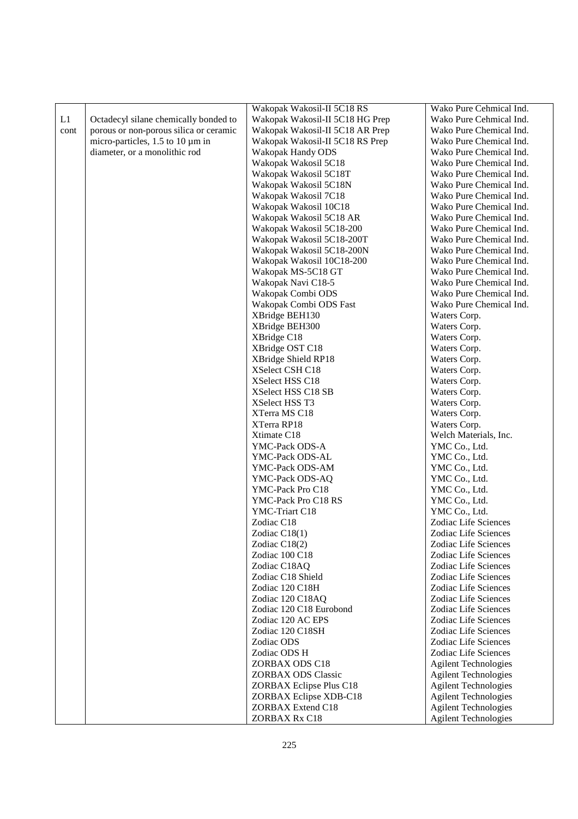| L1<br>Octadecyl silane chemically bonded to<br>Wakopak Wakosil-II 5C18 HG Prep<br>Wako Pure Cehmical Ind.<br>porous or non-porous silica or ceramic<br>Wakopak Wakosil-II 5C18 AR Prep<br>Wako Pure Chemical Ind.<br>cont<br>micro-particles, $1.5$ to $10 \mu m$ in<br>Wakopak Wakosil-II 5C18 RS Prep<br>Wako Pure Chemical Ind.<br>diameter, or a monolithic rod<br>Wakopak Handy ODS<br>Wako Pure Chemical Ind.<br>Wako Pure Chemical Ind.<br>Wakopak Wakosil 5C18<br>Wakopak Wakosil 5C18T<br>Wako Pure Chemical Ind.<br>Wakopak Wakosil 5C18N<br>Wako Pure Chemical Ind.<br>Wakopak Wakosil 7C18<br>Wako Pure Chemical Ind.<br>Wako Pure Chemical Ind.<br>Wakopak Wakosil 10C18<br>Wakopak Wakosil 5C18 AR<br>Wako Pure Chemical Ind.<br>Wako Pure Chemical Ind.<br>Wakopak Wakosil 5C18-200<br>Wakopak Wakosil 5C18-200T<br>Wako Pure Chemical Ind.<br>Wakopak Wakosil 5C18-200N<br>Wako Pure Chemical Ind.<br>Wakopak Wakosil 10C18-200<br>Wako Pure Chemical Ind.<br>Wakopak MS-5C18 GT<br>Wako Pure Chemical Ind.<br>Wakopak Navi C18-5<br>Wako Pure Chemical Ind.<br>Wakopak Combi ODS<br>Wako Pure Chemical Ind.<br>Wakopak Combi ODS Fast<br>Wako Pure Chemical Ind.<br>XBridge BEH130<br>Waters Corp.<br>XBridge BEH300<br>Waters Corp.<br>XBridge C18<br>Waters Corp.<br>XBridge OST C18<br>Waters Corp.<br>XBridge Shield RP18<br>Waters Corp.<br>XSelect CSH C18<br>Waters Corp.<br>Waters Corp.<br>XSelect HSS C18<br>XSelect HSS C18 SB<br>Waters Corp.<br>Waters Corp.<br>XSelect HSS T3<br>Waters Corp.<br>XTerra MS C18<br>XTerra RP18<br>Waters Corp.<br>Welch Materials, Inc.<br>Xtimate C18<br>YMC Co., Ltd.<br>YMC-Pack ODS-A<br>YMC Co., Ltd.<br>YMC-Pack ODS-AL<br>YMC Co., Ltd.<br>YMC-Pack ODS-AM<br>YMC Co., Ltd.<br>YMC-Pack ODS-AQ<br>YMC Co., Ltd.<br>YMC-Pack Pro C18<br>YMC Co., Ltd.<br>YMC-Pack Pro C18 RS<br>YMC-Triart C18<br>YMC Co., Ltd.<br>Zodiac C18<br>Zodiac Life Sciences<br>Zodiac Life Sciences<br>Zodiac $C18(1)$<br>Zodiac C18(2)<br>Zodiac Life Sciences<br>Zodiac 100 C18<br>Zodiac Life Sciences<br>Zodiac C18AQ<br>Zodiac Life Sciences |
|-------------------------------------------------------------------------------------------------------------------------------------------------------------------------------------------------------------------------------------------------------------------------------------------------------------------------------------------------------------------------------------------------------------------------------------------------------------------------------------------------------------------------------------------------------------------------------------------------------------------------------------------------------------------------------------------------------------------------------------------------------------------------------------------------------------------------------------------------------------------------------------------------------------------------------------------------------------------------------------------------------------------------------------------------------------------------------------------------------------------------------------------------------------------------------------------------------------------------------------------------------------------------------------------------------------------------------------------------------------------------------------------------------------------------------------------------------------------------------------------------------------------------------------------------------------------------------------------------------------------------------------------------------------------------------------------------------------------------------------------------------------------------------------------------------------------------------------------------------------------------------------------------------------------------------------------------------------------------------------------------------------------------------------------------------------------------------------------------|
|                                                                                                                                                                                                                                                                                                                                                                                                                                                                                                                                                                                                                                                                                                                                                                                                                                                                                                                                                                                                                                                                                                                                                                                                                                                                                                                                                                                                                                                                                                                                                                                                                                                                                                                                                                                                                                                                                                                                                                                                                                                                                                 |
|                                                                                                                                                                                                                                                                                                                                                                                                                                                                                                                                                                                                                                                                                                                                                                                                                                                                                                                                                                                                                                                                                                                                                                                                                                                                                                                                                                                                                                                                                                                                                                                                                                                                                                                                                                                                                                                                                                                                                                                                                                                                                                 |
|                                                                                                                                                                                                                                                                                                                                                                                                                                                                                                                                                                                                                                                                                                                                                                                                                                                                                                                                                                                                                                                                                                                                                                                                                                                                                                                                                                                                                                                                                                                                                                                                                                                                                                                                                                                                                                                                                                                                                                                                                                                                                                 |
|                                                                                                                                                                                                                                                                                                                                                                                                                                                                                                                                                                                                                                                                                                                                                                                                                                                                                                                                                                                                                                                                                                                                                                                                                                                                                                                                                                                                                                                                                                                                                                                                                                                                                                                                                                                                                                                                                                                                                                                                                                                                                                 |
|                                                                                                                                                                                                                                                                                                                                                                                                                                                                                                                                                                                                                                                                                                                                                                                                                                                                                                                                                                                                                                                                                                                                                                                                                                                                                                                                                                                                                                                                                                                                                                                                                                                                                                                                                                                                                                                                                                                                                                                                                                                                                                 |
|                                                                                                                                                                                                                                                                                                                                                                                                                                                                                                                                                                                                                                                                                                                                                                                                                                                                                                                                                                                                                                                                                                                                                                                                                                                                                                                                                                                                                                                                                                                                                                                                                                                                                                                                                                                                                                                                                                                                                                                                                                                                                                 |
|                                                                                                                                                                                                                                                                                                                                                                                                                                                                                                                                                                                                                                                                                                                                                                                                                                                                                                                                                                                                                                                                                                                                                                                                                                                                                                                                                                                                                                                                                                                                                                                                                                                                                                                                                                                                                                                                                                                                                                                                                                                                                                 |
|                                                                                                                                                                                                                                                                                                                                                                                                                                                                                                                                                                                                                                                                                                                                                                                                                                                                                                                                                                                                                                                                                                                                                                                                                                                                                                                                                                                                                                                                                                                                                                                                                                                                                                                                                                                                                                                                                                                                                                                                                                                                                                 |
|                                                                                                                                                                                                                                                                                                                                                                                                                                                                                                                                                                                                                                                                                                                                                                                                                                                                                                                                                                                                                                                                                                                                                                                                                                                                                                                                                                                                                                                                                                                                                                                                                                                                                                                                                                                                                                                                                                                                                                                                                                                                                                 |
|                                                                                                                                                                                                                                                                                                                                                                                                                                                                                                                                                                                                                                                                                                                                                                                                                                                                                                                                                                                                                                                                                                                                                                                                                                                                                                                                                                                                                                                                                                                                                                                                                                                                                                                                                                                                                                                                                                                                                                                                                                                                                                 |
|                                                                                                                                                                                                                                                                                                                                                                                                                                                                                                                                                                                                                                                                                                                                                                                                                                                                                                                                                                                                                                                                                                                                                                                                                                                                                                                                                                                                                                                                                                                                                                                                                                                                                                                                                                                                                                                                                                                                                                                                                                                                                                 |
|                                                                                                                                                                                                                                                                                                                                                                                                                                                                                                                                                                                                                                                                                                                                                                                                                                                                                                                                                                                                                                                                                                                                                                                                                                                                                                                                                                                                                                                                                                                                                                                                                                                                                                                                                                                                                                                                                                                                                                                                                                                                                                 |
|                                                                                                                                                                                                                                                                                                                                                                                                                                                                                                                                                                                                                                                                                                                                                                                                                                                                                                                                                                                                                                                                                                                                                                                                                                                                                                                                                                                                                                                                                                                                                                                                                                                                                                                                                                                                                                                                                                                                                                                                                                                                                                 |
|                                                                                                                                                                                                                                                                                                                                                                                                                                                                                                                                                                                                                                                                                                                                                                                                                                                                                                                                                                                                                                                                                                                                                                                                                                                                                                                                                                                                                                                                                                                                                                                                                                                                                                                                                                                                                                                                                                                                                                                                                                                                                                 |
|                                                                                                                                                                                                                                                                                                                                                                                                                                                                                                                                                                                                                                                                                                                                                                                                                                                                                                                                                                                                                                                                                                                                                                                                                                                                                                                                                                                                                                                                                                                                                                                                                                                                                                                                                                                                                                                                                                                                                                                                                                                                                                 |
|                                                                                                                                                                                                                                                                                                                                                                                                                                                                                                                                                                                                                                                                                                                                                                                                                                                                                                                                                                                                                                                                                                                                                                                                                                                                                                                                                                                                                                                                                                                                                                                                                                                                                                                                                                                                                                                                                                                                                                                                                                                                                                 |
|                                                                                                                                                                                                                                                                                                                                                                                                                                                                                                                                                                                                                                                                                                                                                                                                                                                                                                                                                                                                                                                                                                                                                                                                                                                                                                                                                                                                                                                                                                                                                                                                                                                                                                                                                                                                                                                                                                                                                                                                                                                                                                 |
|                                                                                                                                                                                                                                                                                                                                                                                                                                                                                                                                                                                                                                                                                                                                                                                                                                                                                                                                                                                                                                                                                                                                                                                                                                                                                                                                                                                                                                                                                                                                                                                                                                                                                                                                                                                                                                                                                                                                                                                                                                                                                                 |
|                                                                                                                                                                                                                                                                                                                                                                                                                                                                                                                                                                                                                                                                                                                                                                                                                                                                                                                                                                                                                                                                                                                                                                                                                                                                                                                                                                                                                                                                                                                                                                                                                                                                                                                                                                                                                                                                                                                                                                                                                                                                                                 |
|                                                                                                                                                                                                                                                                                                                                                                                                                                                                                                                                                                                                                                                                                                                                                                                                                                                                                                                                                                                                                                                                                                                                                                                                                                                                                                                                                                                                                                                                                                                                                                                                                                                                                                                                                                                                                                                                                                                                                                                                                                                                                                 |
|                                                                                                                                                                                                                                                                                                                                                                                                                                                                                                                                                                                                                                                                                                                                                                                                                                                                                                                                                                                                                                                                                                                                                                                                                                                                                                                                                                                                                                                                                                                                                                                                                                                                                                                                                                                                                                                                                                                                                                                                                                                                                                 |
|                                                                                                                                                                                                                                                                                                                                                                                                                                                                                                                                                                                                                                                                                                                                                                                                                                                                                                                                                                                                                                                                                                                                                                                                                                                                                                                                                                                                                                                                                                                                                                                                                                                                                                                                                                                                                                                                                                                                                                                                                                                                                                 |
|                                                                                                                                                                                                                                                                                                                                                                                                                                                                                                                                                                                                                                                                                                                                                                                                                                                                                                                                                                                                                                                                                                                                                                                                                                                                                                                                                                                                                                                                                                                                                                                                                                                                                                                                                                                                                                                                                                                                                                                                                                                                                                 |
|                                                                                                                                                                                                                                                                                                                                                                                                                                                                                                                                                                                                                                                                                                                                                                                                                                                                                                                                                                                                                                                                                                                                                                                                                                                                                                                                                                                                                                                                                                                                                                                                                                                                                                                                                                                                                                                                                                                                                                                                                                                                                                 |
|                                                                                                                                                                                                                                                                                                                                                                                                                                                                                                                                                                                                                                                                                                                                                                                                                                                                                                                                                                                                                                                                                                                                                                                                                                                                                                                                                                                                                                                                                                                                                                                                                                                                                                                                                                                                                                                                                                                                                                                                                                                                                                 |
|                                                                                                                                                                                                                                                                                                                                                                                                                                                                                                                                                                                                                                                                                                                                                                                                                                                                                                                                                                                                                                                                                                                                                                                                                                                                                                                                                                                                                                                                                                                                                                                                                                                                                                                                                                                                                                                                                                                                                                                                                                                                                                 |
|                                                                                                                                                                                                                                                                                                                                                                                                                                                                                                                                                                                                                                                                                                                                                                                                                                                                                                                                                                                                                                                                                                                                                                                                                                                                                                                                                                                                                                                                                                                                                                                                                                                                                                                                                                                                                                                                                                                                                                                                                                                                                                 |
|                                                                                                                                                                                                                                                                                                                                                                                                                                                                                                                                                                                                                                                                                                                                                                                                                                                                                                                                                                                                                                                                                                                                                                                                                                                                                                                                                                                                                                                                                                                                                                                                                                                                                                                                                                                                                                                                                                                                                                                                                                                                                                 |
|                                                                                                                                                                                                                                                                                                                                                                                                                                                                                                                                                                                                                                                                                                                                                                                                                                                                                                                                                                                                                                                                                                                                                                                                                                                                                                                                                                                                                                                                                                                                                                                                                                                                                                                                                                                                                                                                                                                                                                                                                                                                                                 |
|                                                                                                                                                                                                                                                                                                                                                                                                                                                                                                                                                                                                                                                                                                                                                                                                                                                                                                                                                                                                                                                                                                                                                                                                                                                                                                                                                                                                                                                                                                                                                                                                                                                                                                                                                                                                                                                                                                                                                                                                                                                                                                 |
|                                                                                                                                                                                                                                                                                                                                                                                                                                                                                                                                                                                                                                                                                                                                                                                                                                                                                                                                                                                                                                                                                                                                                                                                                                                                                                                                                                                                                                                                                                                                                                                                                                                                                                                                                                                                                                                                                                                                                                                                                                                                                                 |
|                                                                                                                                                                                                                                                                                                                                                                                                                                                                                                                                                                                                                                                                                                                                                                                                                                                                                                                                                                                                                                                                                                                                                                                                                                                                                                                                                                                                                                                                                                                                                                                                                                                                                                                                                                                                                                                                                                                                                                                                                                                                                                 |
|                                                                                                                                                                                                                                                                                                                                                                                                                                                                                                                                                                                                                                                                                                                                                                                                                                                                                                                                                                                                                                                                                                                                                                                                                                                                                                                                                                                                                                                                                                                                                                                                                                                                                                                                                                                                                                                                                                                                                                                                                                                                                                 |
|                                                                                                                                                                                                                                                                                                                                                                                                                                                                                                                                                                                                                                                                                                                                                                                                                                                                                                                                                                                                                                                                                                                                                                                                                                                                                                                                                                                                                                                                                                                                                                                                                                                                                                                                                                                                                                                                                                                                                                                                                                                                                                 |
|                                                                                                                                                                                                                                                                                                                                                                                                                                                                                                                                                                                                                                                                                                                                                                                                                                                                                                                                                                                                                                                                                                                                                                                                                                                                                                                                                                                                                                                                                                                                                                                                                                                                                                                                                                                                                                                                                                                                                                                                                                                                                                 |
|                                                                                                                                                                                                                                                                                                                                                                                                                                                                                                                                                                                                                                                                                                                                                                                                                                                                                                                                                                                                                                                                                                                                                                                                                                                                                                                                                                                                                                                                                                                                                                                                                                                                                                                                                                                                                                                                                                                                                                                                                                                                                                 |
|                                                                                                                                                                                                                                                                                                                                                                                                                                                                                                                                                                                                                                                                                                                                                                                                                                                                                                                                                                                                                                                                                                                                                                                                                                                                                                                                                                                                                                                                                                                                                                                                                                                                                                                                                                                                                                                                                                                                                                                                                                                                                                 |
|                                                                                                                                                                                                                                                                                                                                                                                                                                                                                                                                                                                                                                                                                                                                                                                                                                                                                                                                                                                                                                                                                                                                                                                                                                                                                                                                                                                                                                                                                                                                                                                                                                                                                                                                                                                                                                                                                                                                                                                                                                                                                                 |
|                                                                                                                                                                                                                                                                                                                                                                                                                                                                                                                                                                                                                                                                                                                                                                                                                                                                                                                                                                                                                                                                                                                                                                                                                                                                                                                                                                                                                                                                                                                                                                                                                                                                                                                                                                                                                                                                                                                                                                                                                                                                                                 |
|                                                                                                                                                                                                                                                                                                                                                                                                                                                                                                                                                                                                                                                                                                                                                                                                                                                                                                                                                                                                                                                                                                                                                                                                                                                                                                                                                                                                                                                                                                                                                                                                                                                                                                                                                                                                                                                                                                                                                                                                                                                                                                 |
|                                                                                                                                                                                                                                                                                                                                                                                                                                                                                                                                                                                                                                                                                                                                                                                                                                                                                                                                                                                                                                                                                                                                                                                                                                                                                                                                                                                                                                                                                                                                                                                                                                                                                                                                                                                                                                                                                                                                                                                                                                                                                                 |
|                                                                                                                                                                                                                                                                                                                                                                                                                                                                                                                                                                                                                                                                                                                                                                                                                                                                                                                                                                                                                                                                                                                                                                                                                                                                                                                                                                                                                                                                                                                                                                                                                                                                                                                                                                                                                                                                                                                                                                                                                                                                                                 |
| Zodiac C18 Shield<br>Zodiac Life Sciences                                                                                                                                                                                                                                                                                                                                                                                                                                                                                                                                                                                                                                                                                                                                                                                                                                                                                                                                                                                                                                                                                                                                                                                                                                                                                                                                                                                                                                                                                                                                                                                                                                                                                                                                                                                                                                                                                                                                                                                                                                                       |
| Zodiac 120 C18H<br>Zodiac Life Sciences                                                                                                                                                                                                                                                                                                                                                                                                                                                                                                                                                                                                                                                                                                                                                                                                                                                                                                                                                                                                                                                                                                                                                                                                                                                                                                                                                                                                                                                                                                                                                                                                                                                                                                                                                                                                                                                                                                                                                                                                                                                         |
| Zodiac 120 C18AQ<br>Zodiac Life Sciences                                                                                                                                                                                                                                                                                                                                                                                                                                                                                                                                                                                                                                                                                                                                                                                                                                                                                                                                                                                                                                                                                                                                                                                                                                                                                                                                                                                                                                                                                                                                                                                                                                                                                                                                                                                                                                                                                                                                                                                                                                                        |
| Zodiac 120 C18 Eurobond<br>Zodiac Life Sciences                                                                                                                                                                                                                                                                                                                                                                                                                                                                                                                                                                                                                                                                                                                                                                                                                                                                                                                                                                                                                                                                                                                                                                                                                                                                                                                                                                                                                                                                                                                                                                                                                                                                                                                                                                                                                                                                                                                                                                                                                                                 |
| Zodiac 120 AC EPS<br>Zodiac Life Sciences                                                                                                                                                                                                                                                                                                                                                                                                                                                                                                                                                                                                                                                                                                                                                                                                                                                                                                                                                                                                                                                                                                                                                                                                                                                                                                                                                                                                                                                                                                                                                                                                                                                                                                                                                                                                                                                                                                                                                                                                                                                       |
| Zodiac 120 C18SH<br>Zodiac Life Sciences                                                                                                                                                                                                                                                                                                                                                                                                                                                                                                                                                                                                                                                                                                                                                                                                                                                                                                                                                                                                                                                                                                                                                                                                                                                                                                                                                                                                                                                                                                                                                                                                                                                                                                                                                                                                                                                                                                                                                                                                                                                        |
| Zodiac ODS<br>Zodiac Life Sciences                                                                                                                                                                                                                                                                                                                                                                                                                                                                                                                                                                                                                                                                                                                                                                                                                                                                                                                                                                                                                                                                                                                                                                                                                                                                                                                                                                                                                                                                                                                                                                                                                                                                                                                                                                                                                                                                                                                                                                                                                                                              |
| Zodiac ODS H<br>Zodiac Life Sciences                                                                                                                                                                                                                                                                                                                                                                                                                                                                                                                                                                                                                                                                                                                                                                                                                                                                                                                                                                                                                                                                                                                                                                                                                                                                                                                                                                                                                                                                                                                                                                                                                                                                                                                                                                                                                                                                                                                                                                                                                                                            |
| ZORBAX ODS C18<br><b>Agilent Technologies</b>                                                                                                                                                                                                                                                                                                                                                                                                                                                                                                                                                                                                                                                                                                                                                                                                                                                                                                                                                                                                                                                                                                                                                                                                                                                                                                                                                                                                                                                                                                                                                                                                                                                                                                                                                                                                                                                                                                                                                                                                                                                   |
| <b>ZORBAX ODS Classic</b><br><b>Agilent Technologies</b>                                                                                                                                                                                                                                                                                                                                                                                                                                                                                                                                                                                                                                                                                                                                                                                                                                                                                                                                                                                                                                                                                                                                                                                                                                                                                                                                                                                                                                                                                                                                                                                                                                                                                                                                                                                                                                                                                                                                                                                                                                        |
| ZORBAX Eclipse Plus C18<br><b>Agilent Technologies</b>                                                                                                                                                                                                                                                                                                                                                                                                                                                                                                                                                                                                                                                                                                                                                                                                                                                                                                                                                                                                                                                                                                                                                                                                                                                                                                                                                                                                                                                                                                                                                                                                                                                                                                                                                                                                                                                                                                                                                                                                                                          |
| ZORBAX Eclipse XDB-C18<br><b>Agilent Technologies</b>                                                                                                                                                                                                                                                                                                                                                                                                                                                                                                                                                                                                                                                                                                                                                                                                                                                                                                                                                                                                                                                                                                                                                                                                                                                                                                                                                                                                                                                                                                                                                                                                                                                                                                                                                                                                                                                                                                                                                                                                                                           |
| <b>ZORBAX Extend C18</b><br><b>Agilent Technologies</b>                                                                                                                                                                                                                                                                                                                                                                                                                                                                                                                                                                                                                                                                                                                                                                                                                                                                                                                                                                                                                                                                                                                                                                                                                                                                                                                                                                                                                                                                                                                                                                                                                                                                                                                                                                                                                                                                                                                                                                                                                                         |
| ZORBAX Rx C18<br><b>Agilent Technologies</b>                                                                                                                                                                                                                                                                                                                                                                                                                                                                                                                                                                                                                                                                                                                                                                                                                                                                                                                                                                                                                                                                                                                                                                                                                                                                                                                                                                                                                                                                                                                                                                                                                                                                                                                                                                                                                                                                                                                                                                                                                                                    |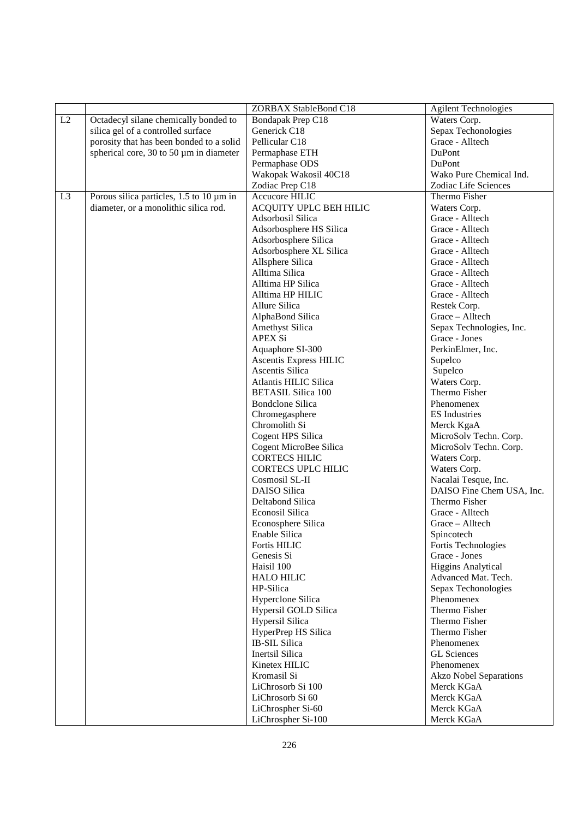|                |                                          | ZORBAX StableBond C18         | <b>Agilent Technologies</b>   |
|----------------|------------------------------------------|-------------------------------|-------------------------------|
| L2             | Octadecyl silane chemically bonded to    | Bondapak Prep C18             | Waters Corp.                  |
|                | silica gel of a controlled surface       | Generick C18                  | Sepax Techonologies           |
|                | porosity that has been bonded to a solid | Pellicular C18                | Grace - Alltech               |
|                | spherical core, 30 to 50 µm in diameter  | Permaphase ETH                | DuPont                        |
|                |                                          | Permaphase ODS                | DuPont                        |
|                |                                          | Wakopak Wakosil 40C18         | Wako Pure Chemical Ind.       |
|                |                                          | Zodiac Prep C18               | Zodiac Life Sciences          |
| L <sub>3</sub> | Porous silica particles, 1.5 to 10 µm in | Accucore HILIC                | Thermo Fisher                 |
|                | diameter, or a monolithic silica rod.    | ACQUITY UPLC BEH HILIC        | Waters Corp.                  |
|                |                                          | Adsorbosil Silica             | Grace - Alltech               |
|                |                                          | Adsorbosphere HS Silica       | Grace - Alltech               |
|                |                                          | Adsorbosphere Silica          | Grace - Alltech               |
|                |                                          | Adsorbosphere XL Silica       | Grace - Alltech               |
|                |                                          | Allsphere Silica              | Grace - Alltech               |
|                |                                          | Alltima Silica                | Grace - Alltech               |
|                |                                          | Alltima HP Silica             | Grace - Alltech               |
|                |                                          | Alltima HP HILIC              | Grace - Alltech               |
|                |                                          | Allure Silica                 | Restek Corp.                  |
|                |                                          | AlphaBond Silica              | Grace - Alltech               |
|                |                                          | <b>Amethyst Silica</b>        | Sepax Technologies, Inc.      |
|                |                                          | <b>APEX Si</b>                | Grace - Jones                 |
|                |                                          | Aquaphore SI-300              | PerkinElmer, Inc.             |
|                |                                          | <b>Ascentis Express HILIC</b> | Supelco                       |
|                |                                          | Ascentis Silica               | Supelco                       |
|                |                                          | Atlantis HILIC Silica         | Waters Corp.                  |
|                |                                          | <b>BETASIL Silica 100</b>     | Thermo Fisher                 |
|                |                                          | <b>Bondclone Silica</b>       | Phenomenex                    |
|                |                                          | Chromegasphere                | <b>ES</b> Industries          |
|                |                                          | Chromolith Si                 | Merck KgaA                    |
|                |                                          | Cogent HPS Silica             | MicroSolv Techn. Corp.        |
|                |                                          | Cogent MicroBee Silica        | MicroSolv Techn. Corp.        |
|                |                                          | <b>CORTECS HILIC</b>          | Waters Corp.                  |
|                |                                          | <b>CORTECS UPLC HILIC</b>     | Waters Corp.                  |
|                |                                          | Cosmosil SL-II                | Nacalai Tesque, Inc.          |
|                |                                          | <b>DAISO</b> Silica           | DAISO Fine Chem USA, Inc.     |
|                |                                          | Deltabond Silica              | Thermo Fisher                 |
|                |                                          | <b>Econosil Silica</b>        | Grace - Alltech               |
|                |                                          | Econosphere Silica            | Grace - Alltech               |
|                |                                          | Enable Silica                 | Spincotech                    |
|                |                                          | Fortis HILIC                  | Fortis Technologies           |
|                |                                          | Genesis Si                    | Grace - Jones                 |
|                |                                          | Haisil 100                    | <b>Higgins Analytical</b>     |
|                |                                          | <b>HALO HILIC</b>             | Advanced Mat. Tech.           |
|                |                                          | HP-Silica                     | Sepax Techonologies           |
|                |                                          | Hyperclone Silica             | Phenomenex                    |
|                |                                          | Hypersil GOLD Silica          | Thermo Fisher                 |
|                |                                          | Hypersil Silica               | Thermo Fisher                 |
|                |                                          | HyperPrep HS Silica           | Thermo Fisher                 |
|                |                                          | <b>IB-SIL Silica</b>          | Phenomenex                    |
|                |                                          | Inertsil Silica               | <b>GL</b> Sciences            |
|                |                                          | Kinetex HILIC                 | Phenomenex                    |
|                |                                          | Kromasil Si                   | <b>Akzo Nobel Separations</b> |
|                |                                          | LiChrosorb Si 100             | Merck KGaA                    |
|                |                                          | LiChrosorb Si 60              | Merck KGaA                    |
|                |                                          | LiChrospher Si-60             | Merck KGaA                    |
|                |                                          | LiChrospher Si-100            | Merck KGaA                    |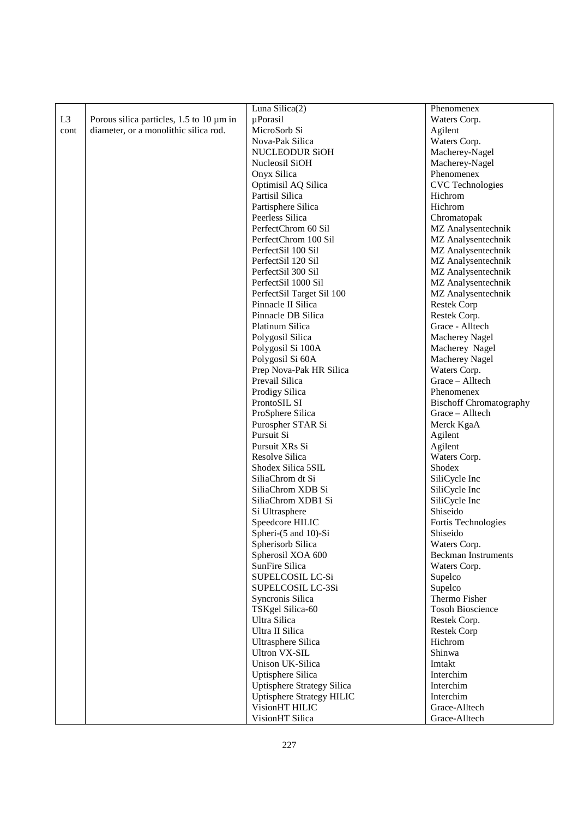| Luna Silica $(2)$<br>Phenomenex<br>L <sub>3</sub><br>Porous silica particles, $1.5$ to $10 \mu m$ in<br>$\mu$ Porasil<br>Waters Corp.<br>diameter, or a monolithic silica rod.<br>MicroSorb Si<br>Agilent<br>cont<br>Nova-Pak Silica<br>Waters Corp.<br><b>NUCLEODUR SiOH</b><br>Macherey-Nagel<br>Nucleosil SiOH<br>Macherey-Nagel<br>Phenomenex<br>Onyx Silica<br><b>CVC</b> Technologies<br>Optimisil AQ Silica<br>Partisil Silica<br>Hichrom<br>Partisphere Silica<br>Hichrom<br>Peerless Silica<br>Chromatopak<br>PerfectChrom 60 Sil<br>MZ Analysentechnik<br>PerfectChrom 100 Sil<br>MZ Analysentechnik<br>PerfectSil 100 Sil<br>MZ Analysentechnik<br>PerfectSil 120 Sil<br>MZ Analysentechnik<br>PerfectSil 300 Sil<br>MZ Analysentechnik<br>PerfectSil 1000 Sil<br>MZ Analysentechnik<br>PerfectSil Target Sil 100<br>MZ Analysentechnik<br>Pinnacle II Silica<br><b>Restek Corp</b><br>Pinnacle DB Silica<br>Restek Corp.<br>Grace - Alltech<br>Platinum Silica<br>Polygosil Silica<br>Macherey Nagel<br>Polygosil Si 100A<br>Macherey Nagel<br>Polygosil Si 60A<br>Macherey Nagel<br>Prep Nova-Pak HR Silica<br>Waters Corp.<br>Grace - Alltech<br>Prevail Silica<br>Prodigy Silica<br>Phenomenex<br>ProntoSIL SI<br><b>Bischoff Chromatography</b><br>ProSphere Silica<br>Grace – Alltech<br>Purospher STAR Si<br>Merck KgaA<br>Pursuit Si<br>Agilent<br>Pursuit XRs Si<br>Agilent<br>Resolve Silica<br>Waters Corp.<br>Shodex<br>Shodex Silica 5SIL<br>SiliaChrom dt Si<br>SiliCycle Inc<br>SiliaChrom XDB Si<br>SiliCycle Inc<br>SiliaChrom XDB1 Si<br>SiliCycle Inc<br>Shiseido<br>Si Ultrasphere<br>Speedcore HILIC<br>Fortis Technologies<br>Spheri-(5 and 10)-Si<br>Shiseido<br>Spherisorb Silica<br>Waters Corp.<br>Spherosil XOA 600<br><b>Beckman Instruments</b><br>SunFire Silica |
|-----------------------------------------------------------------------------------------------------------------------------------------------------------------------------------------------------------------------------------------------------------------------------------------------------------------------------------------------------------------------------------------------------------------------------------------------------------------------------------------------------------------------------------------------------------------------------------------------------------------------------------------------------------------------------------------------------------------------------------------------------------------------------------------------------------------------------------------------------------------------------------------------------------------------------------------------------------------------------------------------------------------------------------------------------------------------------------------------------------------------------------------------------------------------------------------------------------------------------------------------------------------------------------------------------------------------------------------------------------------------------------------------------------------------------------------------------------------------------------------------------------------------------------------------------------------------------------------------------------------------------------------------------------------------------------------------------------------------------------------------------------------------------------------------------------|
|                                                                                                                                                                                                                                                                                                                                                                                                                                                                                                                                                                                                                                                                                                                                                                                                                                                                                                                                                                                                                                                                                                                                                                                                                                                                                                                                                                                                                                                                                                                                                                                                                                                                                                                                                                                                           |
|                                                                                                                                                                                                                                                                                                                                                                                                                                                                                                                                                                                                                                                                                                                                                                                                                                                                                                                                                                                                                                                                                                                                                                                                                                                                                                                                                                                                                                                                                                                                                                                                                                                                                                                                                                                                           |
|                                                                                                                                                                                                                                                                                                                                                                                                                                                                                                                                                                                                                                                                                                                                                                                                                                                                                                                                                                                                                                                                                                                                                                                                                                                                                                                                                                                                                                                                                                                                                                                                                                                                                                                                                                                                           |
|                                                                                                                                                                                                                                                                                                                                                                                                                                                                                                                                                                                                                                                                                                                                                                                                                                                                                                                                                                                                                                                                                                                                                                                                                                                                                                                                                                                                                                                                                                                                                                                                                                                                                                                                                                                                           |
|                                                                                                                                                                                                                                                                                                                                                                                                                                                                                                                                                                                                                                                                                                                                                                                                                                                                                                                                                                                                                                                                                                                                                                                                                                                                                                                                                                                                                                                                                                                                                                                                                                                                                                                                                                                                           |
|                                                                                                                                                                                                                                                                                                                                                                                                                                                                                                                                                                                                                                                                                                                                                                                                                                                                                                                                                                                                                                                                                                                                                                                                                                                                                                                                                                                                                                                                                                                                                                                                                                                                                                                                                                                                           |
|                                                                                                                                                                                                                                                                                                                                                                                                                                                                                                                                                                                                                                                                                                                                                                                                                                                                                                                                                                                                                                                                                                                                                                                                                                                                                                                                                                                                                                                                                                                                                                                                                                                                                                                                                                                                           |
|                                                                                                                                                                                                                                                                                                                                                                                                                                                                                                                                                                                                                                                                                                                                                                                                                                                                                                                                                                                                                                                                                                                                                                                                                                                                                                                                                                                                                                                                                                                                                                                                                                                                                                                                                                                                           |
|                                                                                                                                                                                                                                                                                                                                                                                                                                                                                                                                                                                                                                                                                                                                                                                                                                                                                                                                                                                                                                                                                                                                                                                                                                                                                                                                                                                                                                                                                                                                                                                                                                                                                                                                                                                                           |
|                                                                                                                                                                                                                                                                                                                                                                                                                                                                                                                                                                                                                                                                                                                                                                                                                                                                                                                                                                                                                                                                                                                                                                                                                                                                                                                                                                                                                                                                                                                                                                                                                                                                                                                                                                                                           |
|                                                                                                                                                                                                                                                                                                                                                                                                                                                                                                                                                                                                                                                                                                                                                                                                                                                                                                                                                                                                                                                                                                                                                                                                                                                                                                                                                                                                                                                                                                                                                                                                                                                                                                                                                                                                           |
|                                                                                                                                                                                                                                                                                                                                                                                                                                                                                                                                                                                                                                                                                                                                                                                                                                                                                                                                                                                                                                                                                                                                                                                                                                                                                                                                                                                                                                                                                                                                                                                                                                                                                                                                                                                                           |
|                                                                                                                                                                                                                                                                                                                                                                                                                                                                                                                                                                                                                                                                                                                                                                                                                                                                                                                                                                                                                                                                                                                                                                                                                                                                                                                                                                                                                                                                                                                                                                                                                                                                                                                                                                                                           |
|                                                                                                                                                                                                                                                                                                                                                                                                                                                                                                                                                                                                                                                                                                                                                                                                                                                                                                                                                                                                                                                                                                                                                                                                                                                                                                                                                                                                                                                                                                                                                                                                                                                                                                                                                                                                           |
|                                                                                                                                                                                                                                                                                                                                                                                                                                                                                                                                                                                                                                                                                                                                                                                                                                                                                                                                                                                                                                                                                                                                                                                                                                                                                                                                                                                                                                                                                                                                                                                                                                                                                                                                                                                                           |
|                                                                                                                                                                                                                                                                                                                                                                                                                                                                                                                                                                                                                                                                                                                                                                                                                                                                                                                                                                                                                                                                                                                                                                                                                                                                                                                                                                                                                                                                                                                                                                                                                                                                                                                                                                                                           |
|                                                                                                                                                                                                                                                                                                                                                                                                                                                                                                                                                                                                                                                                                                                                                                                                                                                                                                                                                                                                                                                                                                                                                                                                                                                                                                                                                                                                                                                                                                                                                                                                                                                                                                                                                                                                           |
|                                                                                                                                                                                                                                                                                                                                                                                                                                                                                                                                                                                                                                                                                                                                                                                                                                                                                                                                                                                                                                                                                                                                                                                                                                                                                                                                                                                                                                                                                                                                                                                                                                                                                                                                                                                                           |
|                                                                                                                                                                                                                                                                                                                                                                                                                                                                                                                                                                                                                                                                                                                                                                                                                                                                                                                                                                                                                                                                                                                                                                                                                                                                                                                                                                                                                                                                                                                                                                                                                                                                                                                                                                                                           |
|                                                                                                                                                                                                                                                                                                                                                                                                                                                                                                                                                                                                                                                                                                                                                                                                                                                                                                                                                                                                                                                                                                                                                                                                                                                                                                                                                                                                                                                                                                                                                                                                                                                                                                                                                                                                           |
|                                                                                                                                                                                                                                                                                                                                                                                                                                                                                                                                                                                                                                                                                                                                                                                                                                                                                                                                                                                                                                                                                                                                                                                                                                                                                                                                                                                                                                                                                                                                                                                                                                                                                                                                                                                                           |
|                                                                                                                                                                                                                                                                                                                                                                                                                                                                                                                                                                                                                                                                                                                                                                                                                                                                                                                                                                                                                                                                                                                                                                                                                                                                                                                                                                                                                                                                                                                                                                                                                                                                                                                                                                                                           |
|                                                                                                                                                                                                                                                                                                                                                                                                                                                                                                                                                                                                                                                                                                                                                                                                                                                                                                                                                                                                                                                                                                                                                                                                                                                                                                                                                                                                                                                                                                                                                                                                                                                                                                                                                                                                           |
|                                                                                                                                                                                                                                                                                                                                                                                                                                                                                                                                                                                                                                                                                                                                                                                                                                                                                                                                                                                                                                                                                                                                                                                                                                                                                                                                                                                                                                                                                                                                                                                                                                                                                                                                                                                                           |
|                                                                                                                                                                                                                                                                                                                                                                                                                                                                                                                                                                                                                                                                                                                                                                                                                                                                                                                                                                                                                                                                                                                                                                                                                                                                                                                                                                                                                                                                                                                                                                                                                                                                                                                                                                                                           |
|                                                                                                                                                                                                                                                                                                                                                                                                                                                                                                                                                                                                                                                                                                                                                                                                                                                                                                                                                                                                                                                                                                                                                                                                                                                                                                                                                                                                                                                                                                                                                                                                                                                                                                                                                                                                           |
|                                                                                                                                                                                                                                                                                                                                                                                                                                                                                                                                                                                                                                                                                                                                                                                                                                                                                                                                                                                                                                                                                                                                                                                                                                                                                                                                                                                                                                                                                                                                                                                                                                                                                                                                                                                                           |
|                                                                                                                                                                                                                                                                                                                                                                                                                                                                                                                                                                                                                                                                                                                                                                                                                                                                                                                                                                                                                                                                                                                                                                                                                                                                                                                                                                                                                                                                                                                                                                                                                                                                                                                                                                                                           |
|                                                                                                                                                                                                                                                                                                                                                                                                                                                                                                                                                                                                                                                                                                                                                                                                                                                                                                                                                                                                                                                                                                                                                                                                                                                                                                                                                                                                                                                                                                                                                                                                                                                                                                                                                                                                           |
|                                                                                                                                                                                                                                                                                                                                                                                                                                                                                                                                                                                                                                                                                                                                                                                                                                                                                                                                                                                                                                                                                                                                                                                                                                                                                                                                                                                                                                                                                                                                                                                                                                                                                                                                                                                                           |
|                                                                                                                                                                                                                                                                                                                                                                                                                                                                                                                                                                                                                                                                                                                                                                                                                                                                                                                                                                                                                                                                                                                                                                                                                                                                                                                                                                                                                                                                                                                                                                                                                                                                                                                                                                                                           |
|                                                                                                                                                                                                                                                                                                                                                                                                                                                                                                                                                                                                                                                                                                                                                                                                                                                                                                                                                                                                                                                                                                                                                                                                                                                                                                                                                                                                                                                                                                                                                                                                                                                                                                                                                                                                           |
|                                                                                                                                                                                                                                                                                                                                                                                                                                                                                                                                                                                                                                                                                                                                                                                                                                                                                                                                                                                                                                                                                                                                                                                                                                                                                                                                                                                                                                                                                                                                                                                                                                                                                                                                                                                                           |
|                                                                                                                                                                                                                                                                                                                                                                                                                                                                                                                                                                                                                                                                                                                                                                                                                                                                                                                                                                                                                                                                                                                                                                                                                                                                                                                                                                                                                                                                                                                                                                                                                                                                                                                                                                                                           |
|                                                                                                                                                                                                                                                                                                                                                                                                                                                                                                                                                                                                                                                                                                                                                                                                                                                                                                                                                                                                                                                                                                                                                                                                                                                                                                                                                                                                                                                                                                                                                                                                                                                                                                                                                                                                           |
|                                                                                                                                                                                                                                                                                                                                                                                                                                                                                                                                                                                                                                                                                                                                                                                                                                                                                                                                                                                                                                                                                                                                                                                                                                                                                                                                                                                                                                                                                                                                                                                                                                                                                                                                                                                                           |
|                                                                                                                                                                                                                                                                                                                                                                                                                                                                                                                                                                                                                                                                                                                                                                                                                                                                                                                                                                                                                                                                                                                                                                                                                                                                                                                                                                                                                                                                                                                                                                                                                                                                                                                                                                                                           |
|                                                                                                                                                                                                                                                                                                                                                                                                                                                                                                                                                                                                                                                                                                                                                                                                                                                                                                                                                                                                                                                                                                                                                                                                                                                                                                                                                                                                                                                                                                                                                                                                                                                                                                                                                                                                           |
|                                                                                                                                                                                                                                                                                                                                                                                                                                                                                                                                                                                                                                                                                                                                                                                                                                                                                                                                                                                                                                                                                                                                                                                                                                                                                                                                                                                                                                                                                                                                                                                                                                                                                                                                                                                                           |
|                                                                                                                                                                                                                                                                                                                                                                                                                                                                                                                                                                                                                                                                                                                                                                                                                                                                                                                                                                                                                                                                                                                                                                                                                                                                                                                                                                                                                                                                                                                                                                                                                                                                                                                                                                                                           |
|                                                                                                                                                                                                                                                                                                                                                                                                                                                                                                                                                                                                                                                                                                                                                                                                                                                                                                                                                                                                                                                                                                                                                                                                                                                                                                                                                                                                                                                                                                                                                                                                                                                                                                                                                                                                           |
|                                                                                                                                                                                                                                                                                                                                                                                                                                                                                                                                                                                                                                                                                                                                                                                                                                                                                                                                                                                                                                                                                                                                                                                                                                                                                                                                                                                                                                                                                                                                                                                                                                                                                                                                                                                                           |
| Waters Corp.                                                                                                                                                                                                                                                                                                                                                                                                                                                                                                                                                                                                                                                                                                                                                                                                                                                                                                                                                                                                                                                                                                                                                                                                                                                                                                                                                                                                                                                                                                                                                                                                                                                                                                                                                                                              |
| SUPELCOSIL LC-Si<br>Supelco                                                                                                                                                                                                                                                                                                                                                                                                                                                                                                                                                                                                                                                                                                                                                                                                                                                                                                                                                                                                                                                                                                                                                                                                                                                                                                                                                                                                                                                                                                                                                                                                                                                                                                                                                                               |
| SUPELCOSIL LC-3Si<br>Supelco                                                                                                                                                                                                                                                                                                                                                                                                                                                                                                                                                                                                                                                                                                                                                                                                                                                                                                                                                                                                                                                                                                                                                                                                                                                                                                                                                                                                                                                                                                                                                                                                                                                                                                                                                                              |
| Thermo Fisher<br>Syncronis Silica                                                                                                                                                                                                                                                                                                                                                                                                                                                                                                                                                                                                                                                                                                                                                                                                                                                                                                                                                                                                                                                                                                                                                                                                                                                                                                                                                                                                                                                                                                                                                                                                                                                                                                                                                                         |
| TSKgel Silica-60<br><b>Tosoh Bioscience</b>                                                                                                                                                                                                                                                                                                                                                                                                                                                                                                                                                                                                                                                                                                                                                                                                                                                                                                                                                                                                                                                                                                                                                                                                                                                                                                                                                                                                                                                                                                                                                                                                                                                                                                                                                               |
| Ultra Silica<br>Restek Corp.                                                                                                                                                                                                                                                                                                                                                                                                                                                                                                                                                                                                                                                                                                                                                                                                                                                                                                                                                                                                                                                                                                                                                                                                                                                                                                                                                                                                                                                                                                                                                                                                                                                                                                                                                                              |
| Ultra II Silica<br><b>Restek Corp</b>                                                                                                                                                                                                                                                                                                                                                                                                                                                                                                                                                                                                                                                                                                                                                                                                                                                                                                                                                                                                                                                                                                                                                                                                                                                                                                                                                                                                                                                                                                                                                                                                                                                                                                                                                                     |
| Ultrasphere Silica<br>Hichrom                                                                                                                                                                                                                                                                                                                                                                                                                                                                                                                                                                                                                                                                                                                                                                                                                                                                                                                                                                                                                                                                                                                                                                                                                                                                                                                                                                                                                                                                                                                                                                                                                                                                                                                                                                             |
| Shinwa<br><b>Ultron VX-SIL</b>                                                                                                                                                                                                                                                                                                                                                                                                                                                                                                                                                                                                                                                                                                                                                                                                                                                                                                                                                                                                                                                                                                                                                                                                                                                                                                                                                                                                                                                                                                                                                                                                                                                                                                                                                                            |
| Unison UK-Silica<br>Imtakt                                                                                                                                                                                                                                                                                                                                                                                                                                                                                                                                                                                                                                                                                                                                                                                                                                                                                                                                                                                                                                                                                                                                                                                                                                                                                                                                                                                                                                                                                                                                                                                                                                                                                                                                                                                |
| Uptisphere Silica<br>Interchim                                                                                                                                                                                                                                                                                                                                                                                                                                                                                                                                                                                                                                                                                                                                                                                                                                                                                                                                                                                                                                                                                                                                                                                                                                                                                                                                                                                                                                                                                                                                                                                                                                                                                                                                                                            |
| <b>Uptisphere Strategy Silica</b><br>Interchim                                                                                                                                                                                                                                                                                                                                                                                                                                                                                                                                                                                                                                                                                                                                                                                                                                                                                                                                                                                                                                                                                                                                                                                                                                                                                                                                                                                                                                                                                                                                                                                                                                                                                                                                                            |
| <b>Uptisphere Strategy HILIC</b><br>Interchim                                                                                                                                                                                                                                                                                                                                                                                                                                                                                                                                                                                                                                                                                                                                                                                                                                                                                                                                                                                                                                                                                                                                                                                                                                                                                                                                                                                                                                                                                                                                                                                                                                                                                                                                                             |
| VisionHT HILIC<br>Grace-Alltech                                                                                                                                                                                                                                                                                                                                                                                                                                                                                                                                                                                                                                                                                                                                                                                                                                                                                                                                                                                                                                                                                                                                                                                                                                                                                                                                                                                                                                                                                                                                                                                                                                                                                                                                                                           |
| VisionHT Silica<br>Grace-Alltech                                                                                                                                                                                                                                                                                                                                                                                                                                                                                                                                                                                                                                                                                                                                                                                                                                                                                                                                                                                                                                                                                                                                                                                                                                                                                                                                                                                                                                                                                                                                                                                                                                                                                                                                                                          |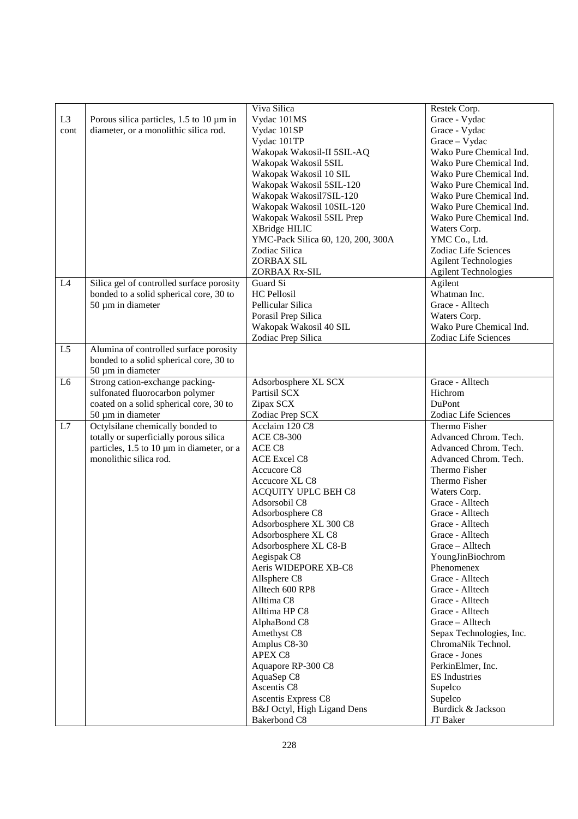| L <sub>3</sub><br>cont | Porous silica particles, 1.5 to 10 µm in<br>diameter, or a monolithic silica rod.                                                                 | Viva Silica<br>Vydac 101MS<br>Vydac 101SP<br>Vydac 101TP<br>Wakopak Wakosil-II 5SIL-AQ<br>Wakopak Wakosil 5SIL<br>Wakopak Wakosil 10 SIL<br>Wakopak Wakosil 5SIL-120<br>Wakopak Wakosil7SIL-120<br>Wakopak Wakosil 10SIL-120<br>Wakopak Wakosil 5SIL Prep<br>XBridge HILIC<br>YMC-Pack Silica 60, 120, 200, 300A<br>Zodiac Silica<br>ZORBAX SIL<br>ZORBAX Rx-SIL                                                                                                                                                                         | Restek Corp.<br>Grace - Vydac<br>Grace - Vydac<br>Grace - Vydac<br>Wako Pure Chemical Ind.<br>Wako Pure Chemical Ind.<br>Wako Pure Chemical Ind.<br>Wako Pure Chemical Ind.<br>Wako Pure Chemical Ind.<br>Wako Pure Chemical Ind.<br>Wako Pure Chemical Ind.<br>Waters Corp.<br>YMC Co., Ltd.<br>Zodiac Life Sciences<br><b>Agilent Technologies</b><br><b>Agilent Technologies</b>                                                                                                                                                               |
|------------------------|---------------------------------------------------------------------------------------------------------------------------------------------------|------------------------------------------------------------------------------------------------------------------------------------------------------------------------------------------------------------------------------------------------------------------------------------------------------------------------------------------------------------------------------------------------------------------------------------------------------------------------------------------------------------------------------------------|---------------------------------------------------------------------------------------------------------------------------------------------------------------------------------------------------------------------------------------------------------------------------------------------------------------------------------------------------------------------------------------------------------------------------------------------------------------------------------------------------------------------------------------------------|
| L4                     | Silica gel of controlled surface porosity<br>bonded to a solid spherical core, 30 to<br>50 µm in diameter                                         | Guard Si<br><b>HC</b> Pellosil<br>Pellicular Silica<br>Porasil Prep Silica<br>Wakopak Wakosil 40 SIL<br>Zodiac Prep Silica                                                                                                                                                                                                                                                                                                                                                                                                               | Agilent<br>Whatman Inc.<br>Grace - Alltech<br>Waters Corp.<br>Wako Pure Chemical Ind.<br>Zodiac Life Sciences                                                                                                                                                                                                                                                                                                                                                                                                                                     |
| L <sub>5</sub>         | Alumina of controlled surface porosity<br>bonded to a solid spherical core, 30 to<br>50 µm in diameter                                            |                                                                                                                                                                                                                                                                                                                                                                                                                                                                                                                                          |                                                                                                                                                                                                                                                                                                                                                                                                                                                                                                                                                   |
| L6                     | Strong cation-exchange packing-<br>sulfonated fluorocarbon polymer<br>coated on a solid spherical core, 30 to<br>50 µm in diameter                | Adsorbosphere XL SCX<br>Partisil SCX<br>Zipax SCX<br>Zodiac Prep SCX                                                                                                                                                                                                                                                                                                                                                                                                                                                                     | Grace - Alltech<br>Hichrom<br>DuPont<br>Zodiac Life Sciences                                                                                                                                                                                                                                                                                                                                                                                                                                                                                      |
| L7                     | Octylsilane chemically bonded to<br>totally or superficially porous silica<br>particles, 1.5 to 10 µm in diameter, or a<br>monolithic silica rod. | Acclaim 120 C8<br><b>ACE C8-300</b><br>ACE C8<br><b>ACE Excel C8</b><br>Accucore C8<br>Accucore XL C8<br>ACQUITY UPLC BEH C8<br>Adsorsobil C8<br>Adsorbosphere C8<br>Adsorbosphere XL 300 C8<br>Adsorbosphere XL C8<br>Adsorbosphere XL C8-B<br>Aegispak C8<br>Aeris WIDEPORE XB-C8<br>Allsphere C8<br>Alltech 600 RP8<br>Alltima C8<br>Alltima HP C8<br>AlphaBond C8<br>Amethyst C8<br>Amplus C8-30<br>APEX C8<br>Aquapore RP-300 C8<br>AquaSep C8<br>Ascentis C8<br>Ascentis Express C8<br>B&J Octyl, High Ligand Dens<br>Bakerbond C8 | Thermo Fisher<br>Advanced Chrom. Tech.<br>Advanced Chrom. Tech.<br>Advanced Chrom. Tech.<br>Thermo Fisher<br>Thermo Fisher<br>Waters Corp.<br>Grace - Alltech<br>Grace - Alltech<br>Grace - Alltech<br>Grace - Alltech<br>Grace - Alltech<br>YoungJinBiochrom<br>Phenomenex<br>Grace - Alltech<br>Grace - Alltech<br>Grace - Alltech<br>Grace - Alltech<br>Grace - Alltech<br>Sepax Technologies, Inc.<br>ChromaNik Technol.<br>Grace - Jones<br>PerkinElmer, Inc.<br><b>ES</b> Industries<br>Supelco<br>Supelco<br>Burdick & Jackson<br>JT Baker |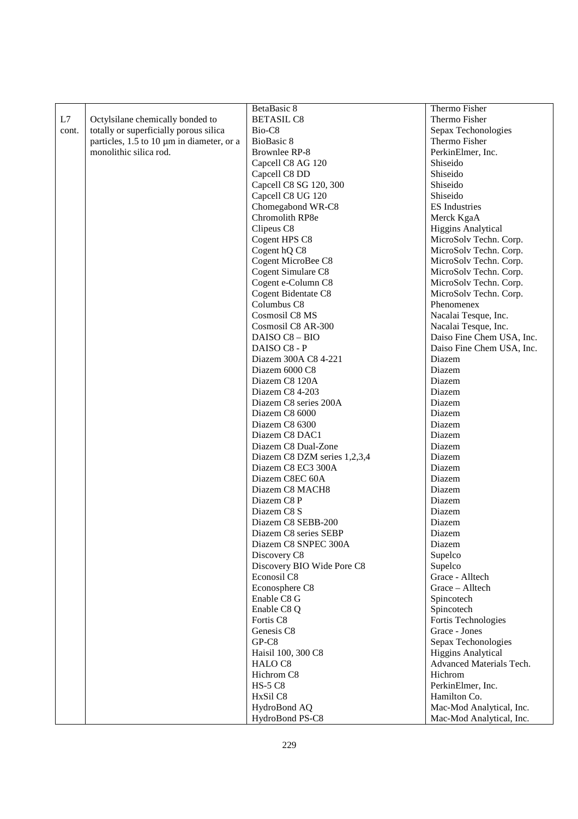|       |                                           | BetaBasic 8                  | Thermo Fisher             |
|-------|-------------------------------------------|------------------------------|---------------------------|
| L7    | Octylsilane chemically bonded to          | <b>BETASIL C8</b>            | Thermo Fisher             |
| cont. | totally or superficially porous silica    | Bio-C8                       | Sepax Techonologies       |
|       | particles, 1.5 to 10 µm in diameter, or a | BioBasic 8                   | Thermo Fisher             |
|       | monolithic silica rod.                    | Brownlee RP-8                | PerkinElmer, Inc.         |
|       |                                           | Capcell C8 AG 120            | Shiseido                  |
|       |                                           | Capcell C8 DD                | Shiseido                  |
|       |                                           | Capcell C8 SG 120, 300       | Shiseido                  |
|       |                                           | Capcell C8 UG 120            | Shiseido                  |
|       |                                           | Chomegabond WR-C8            | <b>ES</b> Industries      |
|       |                                           | Chromolith RP8e              | Merck KgaA                |
|       |                                           | Clipeus C8                   | <b>Higgins Analytical</b> |
|       |                                           | Cogent HPS C8                | MicroSolv Techn. Corp.    |
|       |                                           | Cogent hQ C8                 | MicroSolv Techn. Corp.    |
|       |                                           | Cogent MicroBee C8           | MicroSolv Techn. Corp.    |
|       |                                           | Cogent Simulare C8           | MicroSolv Techn. Corp.    |
|       |                                           | Cogent e-Column C8           | MicroSolv Techn. Corp.    |
|       |                                           | Cogent Bidentate C8          | MicroSolv Techn. Corp.    |
|       |                                           | Columbus C8                  | Phenomenex                |
|       |                                           | Cosmosil C8 MS               | Nacalai Tesque, Inc.      |
|       |                                           | Cosmosil C8 AR-300           | Nacalai Tesque, Inc.      |
|       |                                           | DAISO C8 - BIO               | Daiso Fine Chem USA, Inc. |
|       |                                           | DAISO C8 - P                 | Daiso Fine Chem USA, Inc. |
|       |                                           | Diazem 300A C8 4-221         | Diazem                    |
|       |                                           | Diazem 6000 C8               | Diazem                    |
|       |                                           | Diazem C8 120A               | Diazem                    |
|       |                                           | Diazem C8 4-203              | Diazem                    |
|       |                                           | Diazem C8 series 200A        | Diazem                    |
|       |                                           | Diazem C8 6000               | Diazem                    |
|       |                                           | Diazem C8 6300               | Diazem                    |
|       |                                           | Diazem C8 DAC1               | Diazem                    |
|       |                                           | Diazem C8 Dual-Zone          | Diazem                    |
|       |                                           | Diazem C8 DZM series 1,2,3,4 | Diazem                    |
|       |                                           | Diazem C8 EC3 300A           | Diazem                    |
|       |                                           | Diazem C8EC 60A              | Diazem                    |
|       |                                           | Diazem C8 MACH8              | Diazem                    |
|       |                                           | Diazem C8 P                  | Diazem                    |
|       |                                           | Diazem C8 S                  | Diazem                    |
|       |                                           | Diazem C8 SEBB-200           | Diazem                    |
|       |                                           | Diazem C8 series SEBP        | Diazem                    |
|       |                                           | Diazem C8 SNPEC 300A         | Diazem                    |
|       |                                           | Discovery C8                 | Supelco                   |
|       |                                           | Discovery BIO Wide Pore C8   | Supelco                   |
|       |                                           | Econosil C8                  | Grace - Alltech           |
|       |                                           | Econosphere C8               | Grace - Alltech           |
|       |                                           | Enable C8 G                  | Spincotech                |
|       |                                           | Enable C8 Q                  | Spincotech                |
|       |                                           | Fortis C8                    | Fortis Technologies       |
|       |                                           | Genesis C8                   | Grace - Jones             |
|       |                                           | $GP-C8$                      | Sepax Techonologies       |
|       |                                           | Haisil 100, 300 C8           | <b>Higgins Analytical</b> |
|       |                                           | HALO <sub>C8</sub>           | Advanced Materials Tech.  |
|       |                                           | Hichrom C8                   | Hichrom                   |
|       |                                           | <b>HS-5 C8</b>               | PerkinElmer, Inc.         |
|       |                                           | HxSil C8                     | Hamilton Co.              |
|       |                                           | HydroBond AQ                 | Mac-Mod Analytical, Inc.  |
|       |                                           | HydroBond PS-C8              | Mac-Mod Analytical, Inc.  |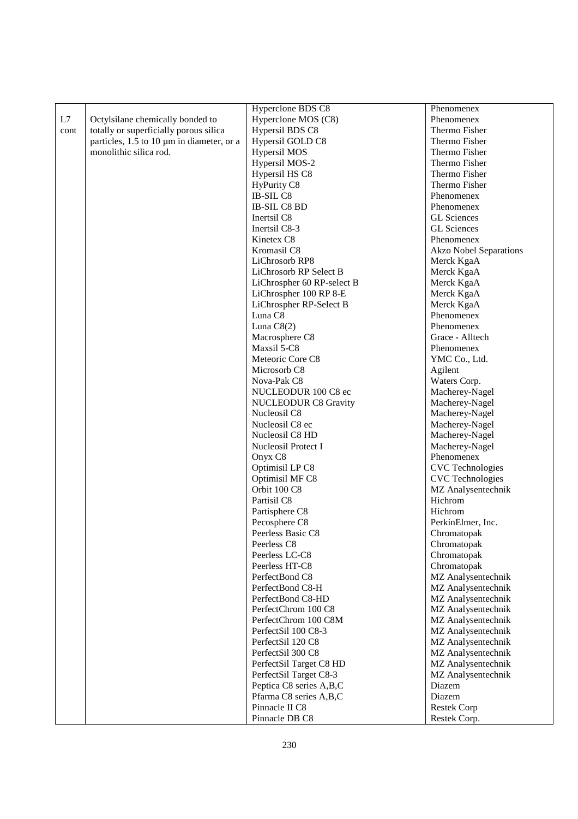|      |                                           | Hyperclone BDS C8           | Phenomenex                    |
|------|-------------------------------------------|-----------------------------|-------------------------------|
| L7   | Octylsilane chemically bonded to          | Hyperclone MOS (C8)         | Phenomenex                    |
| cont | totally or superficially porous silica    | Hypersil BDS C8             | Thermo Fisher                 |
|      | particles, 1.5 to 10 µm in diameter, or a | Hypersil GOLD C8            | Thermo Fisher                 |
|      | monolithic silica rod.                    | <b>Hypersil MOS</b>         | Thermo Fisher                 |
|      |                                           | Hypersil MOS-2              | Thermo Fisher                 |
|      |                                           | Hypersil HS C8              | Thermo Fisher                 |
|      |                                           | HyPurity C8                 | Thermo Fisher                 |
|      |                                           | IB-SIL C8                   | Phenomenex                    |
|      |                                           | IB-SIL C8 BD                | Phenomenex                    |
|      |                                           |                             | <b>GL</b> Sciences            |
|      |                                           | Inertsil C8                 |                               |
|      |                                           | Inertsil C8-3               | <b>GL</b> Sciences            |
|      |                                           | Kinetex C8                  | Phenomenex                    |
|      |                                           | Kromasil C8                 | <b>Akzo Nobel Separations</b> |
|      |                                           | LiChrosorb RP8              | Merck KgaA                    |
|      |                                           | LiChrosorb RP Select B      | Merck KgaA                    |
|      |                                           | LiChrospher 60 RP-select B  | Merck KgaA                    |
|      |                                           | LiChrospher 100 RP 8-E      | Merck KgaA                    |
|      |                                           | LiChrospher RP-Select B     | Merck KgaA                    |
|      |                                           | Luna C8                     | Phenomenex                    |
|      |                                           | Luna $C8(2)$                | Phenomenex                    |
|      |                                           | Macrosphere C8              | Grace - Alltech               |
|      |                                           | Maxsil 5-C8                 | Phenomenex                    |
|      |                                           | Meteoric Core C8            | YMC Co., Ltd.                 |
|      |                                           | Microsorb <sub>C8</sub>     | Agilent                       |
|      |                                           | Nova-Pak C8                 | Waters Corp.                  |
|      |                                           | NUCLEODUR 100 C8 ec         | Macherey-Nagel                |
|      |                                           | <b>NUCLEODUR C8 Gravity</b> | Macherey-Nagel                |
|      |                                           | Nucleosil C8                | Macherey-Nagel                |
|      |                                           | Nucleosil C8 ec             | Macherey-Nagel                |
|      |                                           | Nucleosil C8 HD             | Macherey-Nagel                |
|      |                                           | Nucleosil Protect I         | Macherey-Nagel                |
|      |                                           | Onyx C8                     | Phenomenex                    |
|      |                                           | Optimisil LP C8             | <b>CVC</b> Technologies       |
|      |                                           | Optimisil MF C8             | <b>CVC</b> Technologies       |
|      |                                           | Orbit 100 C8                | MZ Analysentechnik            |
|      |                                           | Partisil C8                 | Hichrom                       |
|      |                                           | Partisphere C8              | Hichrom                       |
|      |                                           | Pecosphere C8               | PerkinElmer, Inc.             |
|      |                                           | Peerless Basic C8           | Chromatopak                   |
|      |                                           | Peerless C8                 | Chromatopak                   |
|      |                                           | Peerless LC-C8              | Chromatopak                   |
|      |                                           | Peerless HT-C8              | Chromatopak                   |
|      |                                           | PerfectBond C8              | MZ Analysentechnik            |
|      |                                           | PerfectBond C8-H            | MZ Analysentechnik            |
|      |                                           | PerfectBond C8-HD           | MZ Analysentechnik            |
|      |                                           | PerfectChrom 100 C8         |                               |
|      |                                           | PerfectChrom 100 C8M        | MZ Analysentechnik            |
|      |                                           | PerfectSil 100 C8-3         | MZ Analysentechnik            |
|      |                                           |                             | MZ Analysentechnik            |
|      |                                           | PerfectSil 120 C8           | MZ Analysentechnik            |
|      |                                           | PerfectSil 300 C8           | MZ Analysentechnik            |
|      |                                           | PerfectSil Target C8 HD     | MZ Analysentechnik            |
|      |                                           | PerfectSil Target C8-3      | MZ Analysentechnik            |
|      |                                           | Peptica C8 series A,B,C     | Diazem                        |
|      |                                           | Pfarma C8 series A,B,C      | Diazem                        |
|      |                                           | Pinnacle II C8              | <b>Restek Corp</b>            |
|      |                                           | Pinnacle DB C8              | Restek Corp.                  |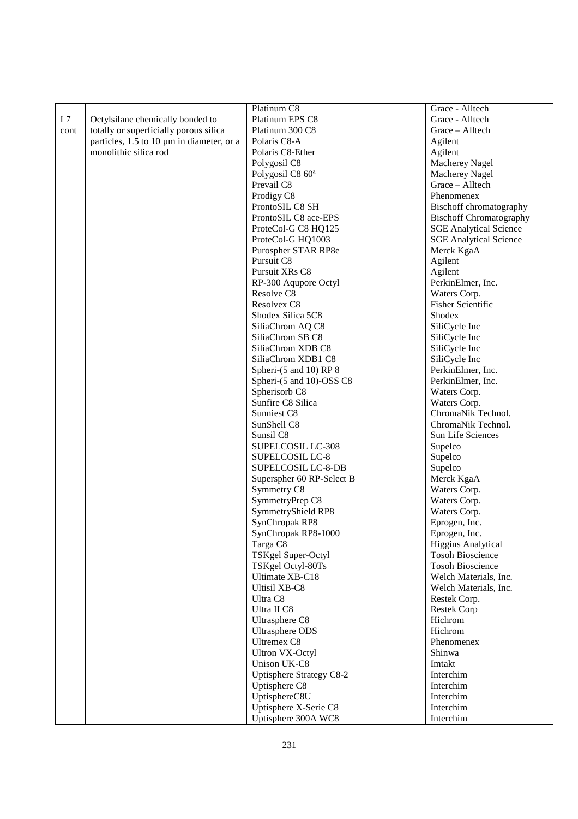|      |                                           | Platinum C8                   | Grace - Alltech                |
|------|-------------------------------------------|-------------------------------|--------------------------------|
| L7   | Octylsilane chemically bonded to          | Platinum EPS C8               | Grace - Alltech                |
| cont | totally or superficially porous silica    | Platinum 300 C8               | Grace - Alltech                |
|      | particles, 1.5 to 10 µm in diameter, or a | Polaris C8-A                  | Agilent                        |
|      | monolithic silica rod                     | Polaris C8-Ether              | Agilent                        |
|      |                                           | Polygosil C8                  | <b>Macherey Nagel</b>          |
|      |                                           | Polygosil C8 60 <sup>a</sup>  | Macherey Nagel                 |
|      |                                           | Prevail C <sub>8</sub>        | Grace - Alltech                |
|      |                                           |                               | Phenomenex                     |
|      |                                           | Prodigy C8<br>ProntoSIL C8 SH |                                |
|      |                                           |                               | Bischoff chromatography        |
|      |                                           | ProntoSIL C8 ace-EPS          | <b>Bischoff Chromatography</b> |
|      |                                           | ProteCol-G C8 HQ125           | <b>SGE Analytical Science</b>  |
|      |                                           | ProteCol-G HQ1003             | <b>SGE Analytical Science</b>  |
|      |                                           | Purospher STAR RP8e           | Merck KgaA                     |
|      |                                           | Pursuit C8                    | Agilent                        |
|      |                                           | Pursuit XRs C8                | Agilent                        |
|      |                                           | RP-300 Aqupore Octyl          | PerkinElmer, Inc.              |
|      |                                           | Resolve C8                    | Waters Corp.                   |
|      |                                           | Resolvex C8                   | <b>Fisher Scientific</b>       |
|      |                                           | Shodex Silica 5C8             | Shodex                         |
|      |                                           | SiliaChrom AQ C8              | SiliCycle Inc                  |
|      |                                           | SiliaChrom SB C8              | SiliCycle Inc                  |
|      |                                           | SiliaChrom XDB C8             | SiliCycle Inc                  |
|      |                                           | SiliaChrom XDB1 C8            | SiliCycle Inc                  |
|      |                                           | Spheri-(5 and 10) RP 8        | PerkinElmer, Inc.              |
|      |                                           | Spheri-(5 and 10)-OSS C8      | PerkinElmer, Inc.              |
|      |                                           | Spherisorb <sub>C8</sub>      | Waters Corp.                   |
|      |                                           | Sunfire C8 Silica             | Waters Corp.                   |
|      |                                           | Sunniest C8                   | ChromaNik Technol.             |
|      |                                           | SunShell C8                   | ChromaNik Technol.             |
|      |                                           | Sunsil C <sub>8</sub>         | Sun Life Sciences              |
|      |                                           | SUPELCOSIL LC-308             | Supelco                        |
|      |                                           | <b>SUPELCOSIL LC-8</b>        | Supelco                        |
|      |                                           | <b>SUPELCOSIL LC-8-DB</b>     | Supelco                        |
|      |                                           | Superspher 60 RP-Select B     | Merck KgaA                     |
|      |                                           | Symmetry C8                   | Waters Corp.                   |
|      |                                           | SymmetryPrep C8               | Waters Corp.                   |
|      |                                           | SymmetryShield RP8            | Waters Corp.                   |
|      |                                           | SynChropak RP8                | Eprogen, Inc.                  |
|      |                                           | SynChropak RP8-1000           | Eprogen, Inc.                  |
|      |                                           | Targa C8                      | Higgins Analytical             |
|      |                                           | TSKgel Super-Octyl            | <b>Tosoh Bioscience</b>        |
|      |                                           | TSKgel Octyl-80Ts             | <b>Tosoh Bioscience</b>        |
|      |                                           | Ultimate XB-C18               | Welch Materials, Inc.          |
|      |                                           | <b>Ultisil XB-C8</b>          | Welch Materials, Inc.          |
|      |                                           | Ultra C8                      | Restek Corp.                   |
|      |                                           | Ultra II C8                   | <b>Restek Corp</b>             |
|      |                                           | Ultrasphere C8                | Hichrom                        |
|      |                                           | <b>Ultrasphere ODS</b>        | Hichrom                        |
|      |                                           | <b>Ultremex C8</b>            | Phenomenex                     |
|      |                                           |                               | Shinwa                         |
|      |                                           | <b>Ultron VX-Octyl</b>        |                                |
|      |                                           | Unison UK-C8                  | Imtakt                         |
|      |                                           | Uptisphere Strategy C8-2      | Interchim                      |
|      |                                           | Uptisphere C8                 | Interchim                      |
|      |                                           | UptisphereC8U                 | Interchim                      |
|      |                                           | Uptisphere X-Serie C8         | Interchim                      |
|      |                                           | Uptisphere 300A WC8           | Interchim                      |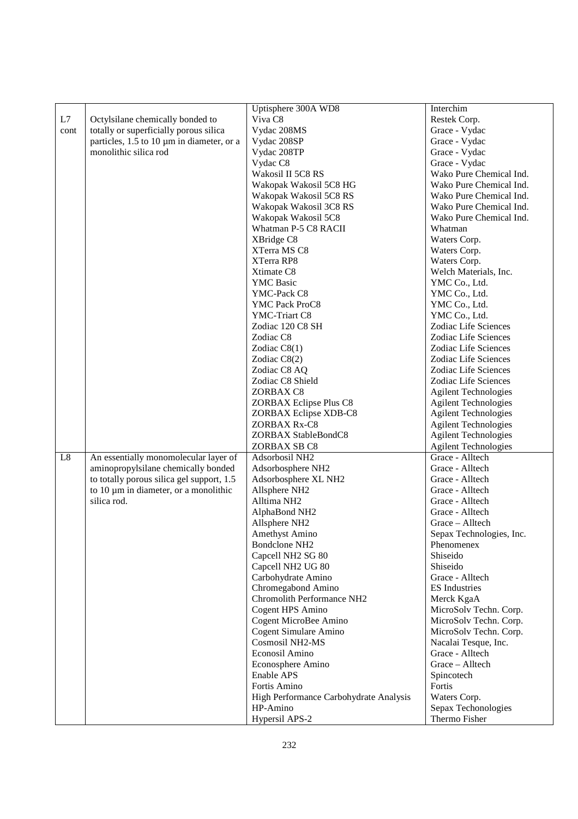|      |                                           | Uptisphere 300A WD8                    | Interchim                   |
|------|-------------------------------------------|----------------------------------------|-----------------------------|
| L7   | Octylsilane chemically bonded to          | Viva <sub>C8</sub>                     | Restek Corp.                |
| cont | totally or superficially porous silica    | Vydac 208MS                            | Grace - Vydac               |
|      | particles, 1.5 to 10 µm in diameter, or a | Vydac 208SP                            | Grace - Vydac               |
|      | monolithic silica rod                     | Vydac 208TP                            | Grace - Vydac               |
|      |                                           | Vydac C8                               | Grace - Vydac               |
|      |                                           | Wakosil II 5C8 RS                      | Wako Pure Chemical Ind.     |
|      |                                           | Wakopak Wakosil 5C8 HG                 | Wako Pure Chemical Ind.     |
|      |                                           | Wakopak Wakosil 5C8 RS                 | Wako Pure Chemical Ind.     |
|      |                                           | Wakopak Wakosil 3C8 RS                 | Wako Pure Chemical Ind.     |
|      |                                           | Wakopak Wakosil 5C8                    | Wako Pure Chemical Ind.     |
|      |                                           | Whatman P-5 C8 RACII                   | Whatman                     |
|      |                                           | XBridge C8                             | Waters Corp.                |
|      |                                           | XTerra MS C8                           | Waters Corp.                |
|      |                                           | XTerra RP8                             | Waters Corp.                |
|      |                                           | Xtimate C8                             | Welch Materials, Inc.       |
|      |                                           | <b>YMC</b> Basic                       | YMC Co., Ltd.               |
|      |                                           | YMC-Pack C8                            | YMC Co., Ltd.               |
|      |                                           | YMC Pack ProC8                         | YMC Co., Ltd.               |
|      |                                           | YMC-Triart C8                          | YMC Co., Ltd.               |
|      |                                           |                                        | Zodiac Life Sciences        |
|      |                                           | Zodiac 120 C8 SH                       |                             |
|      |                                           | Zodiac C8                              | Zodiac Life Sciences        |
|      |                                           | Zodiac $C8(1)$                         | Zodiac Life Sciences        |
|      |                                           | Zodiac C8(2)                           | Zodiac Life Sciences        |
|      |                                           | Zodiac C8 AQ                           | Zodiac Life Sciences        |
|      |                                           | Zodiac C8 Shield                       | Zodiac Life Sciences        |
|      |                                           | ZORBAX C8                              | <b>Agilent Technologies</b> |
|      |                                           | ZORBAX Eclipse Plus C8                 | <b>Agilent Technologies</b> |
|      |                                           | ZORBAX Eclipse XDB-C8                  | <b>Agilent Technologies</b> |
|      |                                           | ZORBAX Rx-C8                           | <b>Agilent Technologies</b> |
|      |                                           | ZORBAX StableBondC8                    | <b>Agilent Technologies</b> |
|      |                                           | ZORBAX SB C8                           | <b>Agilent Technologies</b> |
| L8   | An essentially monomolecular layer of     | Adsorbosil NH2                         | Grace - Alltech             |
|      | aminopropylsilane chemically bonded       | Adsorbosphere NH2                      | Grace - Alltech             |
|      | to totally porous silica gel support, 1.5 | Adsorbosphere XL NH2                   | Grace - Alltech             |
|      | to 10 µm in diameter, or a monolithic     | Allsphere NH2                          | Grace - Alltech             |
|      | silica rod.                               | Alltima NH <sub>2</sub>                | Grace - Alltech             |
|      |                                           | AlphaBond NH <sub>2</sub>              | Grace - Alltech             |
|      |                                           | Allsphere NH2                          | Grace - Alltech             |
|      |                                           | Amethyst Amino                         | Sepax Technologies, Inc.    |
|      |                                           | Bondclone NH <sub>2</sub>              | Phenomenex                  |
|      |                                           | Capcell NH2 SG 80                      | Shiseido                    |
|      |                                           | Capcell NH2 UG 80                      | Shiseido                    |
|      |                                           | Carbohydrate Amino                     | Grace - Alltech             |
|      |                                           | Chromegabond Amino                     | <b>ES</b> Industries        |
|      |                                           | Chromolith Performance NH2             | Merck KgaA                  |
|      |                                           | Cogent HPS Amino                       | MicroSolv Techn. Corp.      |
|      |                                           | Cogent MicroBee Amino                  | MicroSolv Techn. Corp.      |
|      |                                           | Cogent Simulare Amino                  | MicroSolv Techn. Corp.      |
|      |                                           | Cosmosil NH2-MS                        | Nacalai Tesque, Inc.        |
|      |                                           | Econosil Amino                         | Grace - Alltech             |
|      |                                           | Econosphere Amino                      | Grace - Alltech             |
|      |                                           | Enable APS                             | Spincotech                  |
|      |                                           | Fortis Amino                           | Fortis                      |
|      |                                           | High Performance Carbohydrate Analysis | Waters Corp.                |
|      |                                           | HP-Amino                               | Sepax Techonologies         |
|      |                                           | Hypersil APS-2                         | Thermo Fisher               |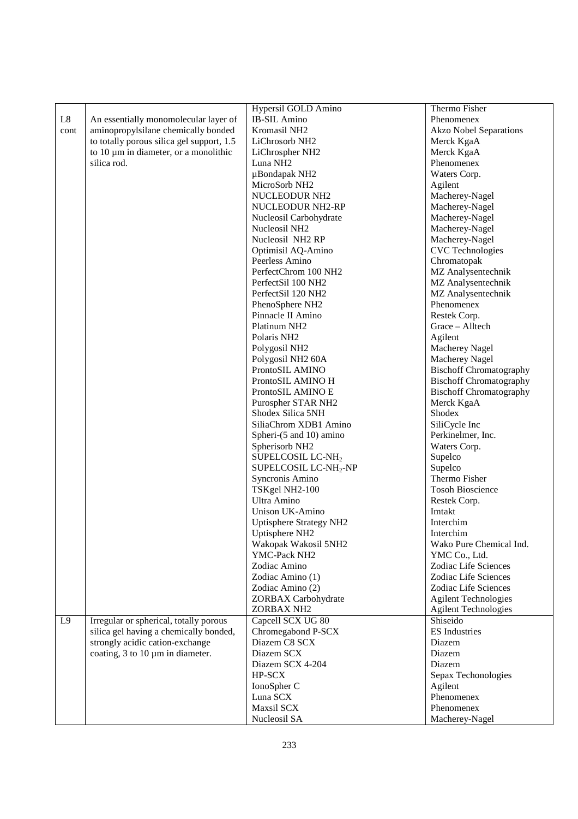|          |                                           | Hypersil GOLD Amino                  | Thermo Fisher                         |
|----------|-------------------------------------------|--------------------------------------|---------------------------------------|
| $\rm L8$ | An essentially monomolecular layer of     | <b>IB-SIL Amino</b>                  | Phenomenex                            |
| cont     | aminopropylsilane chemically bonded       | Kromasil NH <sub>2</sub>             | <b>Akzo Nobel Separations</b>         |
|          | to totally porous silica gel support, 1.5 | LiChrosorb NH <sub>2</sub>           | Merck KgaA                            |
|          | to 10 µm in diameter, or a monolithic     | LiChrospher NH2                      | Merck KgaA                            |
|          | silica rod.                               | Luna NH <sub>2</sub>                 | Phenomenex                            |
|          |                                           | µBondapak NH2                        | Waters Corp.                          |
|          |                                           | MicroSorb NH2                        | Agilent                               |
|          |                                           | NUCLEODUR NH <sub>2</sub>            | Macherey-Nagel                        |
|          |                                           | NUCLEODUR NH2-RP                     | Macherey-Nagel                        |
|          |                                           | Nucleosil Carbohydrate               | Macherey-Nagel                        |
|          |                                           | Nucleosil NH <sub>2</sub>            | Macherey-Nagel                        |
|          |                                           |                                      |                                       |
|          |                                           | Nucleosil NH2 RP                     | Macherey-Nagel                        |
|          |                                           | Optimisil AQ-Amino                   | <b>CVC</b> Technologies               |
|          |                                           | Peerless Amino                       | Chromatopak                           |
|          |                                           | PerfectChrom 100 NH2                 | MZ Analysentechnik                    |
|          |                                           | PerfectSil 100 NH2                   | MZ Analysentechnik                    |
|          |                                           | PerfectSil 120 NH2                   | MZ Analysentechnik                    |
|          |                                           | PhenoSphere NH <sub>2</sub>          | Phenomenex                            |
|          |                                           | Pinnacle II Amino                    | Restek Corp.                          |
|          |                                           | Platinum NH <sub>2</sub>             | Grace - Alltech                       |
|          |                                           | Polaris NH <sub>2</sub>              | Agilent                               |
|          |                                           | Polygosil NH2                        | Macherey Nagel                        |
|          |                                           | Polygosil NH2 60A                    | Macherey Nagel                        |
|          |                                           | ProntoSIL AMINO                      | <b>Bischoff Chromatography</b>        |
|          |                                           | ProntoSIL AMINO H                    | <b>Bischoff Chromatography</b>        |
|          |                                           | ProntoSIL AMINO E                    | <b>Bischoff Chromatography</b>        |
|          |                                           | Purospher STAR NH2                   | Merck KgaA                            |
|          |                                           | Shodex Silica 5NH                    | Shodex                                |
|          |                                           | SiliaChrom XDB1 Amino                | SiliCycle Inc                         |
|          |                                           | Spheri-(5 and 10) amino              | Perkinelmer, Inc.                     |
|          |                                           | Spherisorb NH2                       | Waters Corp.                          |
|          |                                           | SUPELCOSIL LC-NH <sub>2</sub>        | Supelco                               |
|          |                                           | SUPELCOSIL LC-NH <sub>2</sub> -NP    | Supelco                               |
|          |                                           | Syncronis Amino                      | Thermo Fisher                         |
|          |                                           | TSKgel NH2-100                       | <b>Tosoh Bioscience</b>               |
|          |                                           | Ultra Amino                          | Restek Corp.                          |
|          |                                           | Unison UK-Amino                      | Imtakt                                |
|          |                                           | <b>Uptisphere Strategy NH2</b>       | Interchim                             |
|          |                                           |                                      | Interchim                             |
|          |                                           | Uptisphere NH2                       | Wako Pure Chemical Ind.               |
|          |                                           | Wakopak Wakosil 5NH2<br>YMC-Pack NH2 |                                       |
|          |                                           |                                      | YMC Co., Ltd.<br>Zodiac Life Sciences |
|          |                                           | Zodiac Amino                         |                                       |
|          |                                           | Zodiac Amino (1)                     | Zodiac Life Sciences                  |
|          |                                           | Zodiac Amino (2)                     | Zodiac Life Sciences                  |
|          |                                           | ZORBAX Carbohydrate                  | <b>Agilent Technologies</b>           |
|          |                                           | ZORBAX NH2                           | <b>Agilent Technologies</b>           |
| L9       | Irregular or spherical, totally porous    | Capcell SCX UG 80                    | Shiseido                              |
|          | silica gel having a chemically bonded,    | Chromegabond P-SCX                   | <b>ES</b> Industries                  |
|          | strongly acidic cation-exchange           | Diazem C8 SCX                        | Diazem                                |
|          | coating, $3$ to $10 \mu m$ in diameter.   | Diazem SCX                           | Diazem                                |
|          |                                           | Diazem SCX 4-204                     | Diazem                                |
|          |                                           | HP-SCX                               | Sepax Techonologies                   |
|          |                                           | IonoSpher C                          | Agilent                               |
|          |                                           | Luna SCX                             | Phenomenex                            |
|          |                                           | Maxsil SCX                           | Phenomenex                            |
|          |                                           | Nucleosil SA                         | Macherey-Nagel                        |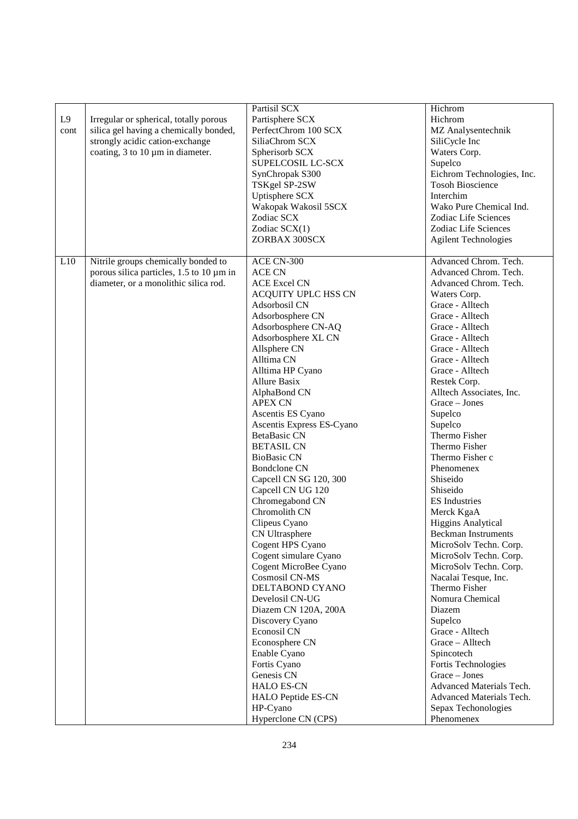| Advanced Chrom. Tech.<br>L10<br>ACE CN-300<br>porous silica particles, 1.5 to 10 µm in<br>Advanced Chrom. Tech.<br><b>ACE CN</b><br>diameter, or a monolithic silica rod.<br>Advanced Chrom. Tech.<br><b>ACE Excel CN</b><br>ACQUITY UPLC HSS CN<br>Waters Corp.<br>Adsorbosil CN<br>Grace - Alltech<br>Adsorbosphere CN<br>Grace - Alltech<br>Adsorbosphere CN-AQ<br>Grace - Alltech<br>Adsorbosphere XL CN<br>Grace - Alltech<br>Allsphere CN<br>Grace - Alltech<br>Alltima CN<br>Grace - Alltech<br>Alltima HP Cyano<br>Grace - Alltech<br><b>Allure Basix</b><br>Restek Corp.<br>Alltech Associates, Inc.<br>AlphaBond CN<br>Grace - Jones<br><b>APEX CN</b><br>Supelco<br>Ascentis ES Cyano<br>Supelco<br>Ascentis Express ES-Cyano<br>Thermo Fisher<br>BetaBasic CN<br>Thermo Fisher<br><b>BETASIL CN</b><br><b>BioBasic CN</b><br>Thermo Fisher c<br><b>Bondclone CN</b><br>Phenomenex<br>Capcell CN SG 120, 300<br>Shiseido<br>Capcell CN UG 120<br>Shiseido<br>Chromegabond CN<br><b>ES</b> Industries<br>Chromolith CN<br>Merck KgaA<br><b>Higgins Analytical</b><br>Clipeus Cyano<br>CN Ultrasphere<br><b>Beckman Instruments</b><br>Cogent HPS Cyano<br>MicroSolv Techn. Corp.<br>Cogent simulare Cyano<br>MicroSolv Techn. Corp.<br>Cogent MicroBee Cyano<br>MicroSolv Techn. Corp.<br>Cosmosil CN-MS<br>Nacalai Tesque, Inc.<br>DELTABOND CYANO<br>Thermo Fisher<br>Nomura Chemical<br>Develosil CN-UG<br>Diazem CN 120A, 200A<br>Diazem<br>Supelco<br>Discovery Cyano<br>Econosil CN<br>Grace - Alltech<br>Econosphere CN<br>Grace - Alltech<br>Enable Cyano<br>Spincotech<br>Fortis Cyano<br>Fortis Technologies | L9<br>cont | Irregular or spherical, totally porous<br>silica gel having a chemically bonded,<br>strongly acidic cation-exchange<br>coating, $3$ to $10 \mu m$ in diameter. | Partisil SCX<br>Partisphere SCX<br>PerfectChrom 100 SCX<br>SiliaChrom SCX<br>Spherisorb SCX<br>SUPELCOSIL LC-SCX<br>SynChropak S300<br>TSKgel SP-2SW<br>Uptisphere SCX<br>Wakopak Wakosil 5SCX<br>Zodiac SCX<br>Zodiac SCX(1)<br>ZORBAX 300SCX | Hichrom<br>Hichrom<br>MZ Analysentechnik<br>SiliCycle Inc<br>Waters Corp.<br>Supelco<br>Eichrom Technologies, Inc.<br><b>Tosoh Bioscience</b><br>Interchim<br>Wako Pure Chemical Ind.<br>Zodiac Life Sciences<br>Zodiac Life Sciences<br><b>Agilent Technologies</b> |
|----------------------------------------------------------------------------------------------------------------------------------------------------------------------------------------------------------------------------------------------------------------------------------------------------------------------------------------------------------------------------------------------------------------------------------------------------------------------------------------------------------------------------------------------------------------------------------------------------------------------------------------------------------------------------------------------------------------------------------------------------------------------------------------------------------------------------------------------------------------------------------------------------------------------------------------------------------------------------------------------------------------------------------------------------------------------------------------------------------------------------------------------------------------------------------------------------------------------------------------------------------------------------------------------------------------------------------------------------------------------------------------------------------------------------------------------------------------------------------------------------------------------------------------------------------------------------------------------------------------------------------|------------|----------------------------------------------------------------------------------------------------------------------------------------------------------------|------------------------------------------------------------------------------------------------------------------------------------------------------------------------------------------------------------------------------------------------|----------------------------------------------------------------------------------------------------------------------------------------------------------------------------------------------------------------------------------------------------------------------|
| <b>HALO ES-CN</b><br>Advanced Materials Tech.<br>HALO Peptide ES-CN<br>Advanced Materials Tech.<br>HP-Cyano<br>Sepax Techonologies<br>Hyperclone CN (CPS)<br>Phenomenex                                                                                                                                                                                                                                                                                                                                                                                                                                                                                                                                                                                                                                                                                                                                                                                                                                                                                                                                                                                                                                                                                                                                                                                                                                                                                                                                                                                                                                                          |            | Nitrile groups chemically bonded to                                                                                                                            | Genesis CN                                                                                                                                                                                                                                     | Grace - Jones                                                                                                                                                                                                                                                        |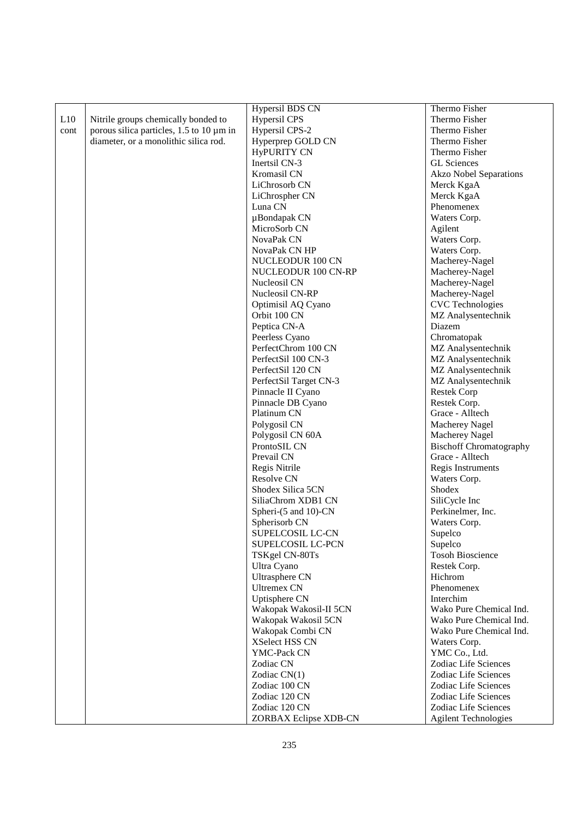|      |                                          | Hypersil BDS CN        | Thermo Fisher                  |
|------|------------------------------------------|------------------------|--------------------------------|
| L10  | Nitrile groups chemically bonded to      | <b>Hypersil CPS</b>    | Thermo Fisher                  |
| cont | porous silica particles, 1.5 to 10 µm in | Hypersil CPS-2         | Thermo Fisher                  |
|      | diameter, or a monolithic silica rod.    | Hyperprep GOLD CN      | Thermo Fisher                  |
|      |                                          | <b>HyPURITY CN</b>     | Thermo Fisher                  |
|      |                                          | Inertsil CN-3          | <b>GL</b> Sciences             |
|      |                                          | Kromasil CN            | <b>Akzo Nobel Separations</b>  |
|      |                                          | LiChrosorb CN          | Merck KgaA                     |
|      |                                          | LiChrospher CN         | Merck KgaA                     |
|      |                                          | Luna CN                | Phenomenex                     |
|      |                                          | µBondapak CN           | Waters Corp.                   |
|      |                                          | MicroSorb CN           | Agilent                        |
|      |                                          | NovaPak CN             | Waters Corp.                   |
|      |                                          | NovaPak CN HP          | Waters Corp.                   |
|      |                                          | NUCLEODUR 100 CN       | Macherey-Nagel                 |
|      |                                          | NUCLEODUR 100 CN-RP    | Macherey-Nagel                 |
|      |                                          | Nucleosil CN           | Macherey-Nagel                 |
|      |                                          | Nucleosil CN-RP        | Macherey-Nagel                 |
|      |                                          | Optimisil AQ Cyano     | <b>CVC</b> Technologies        |
|      |                                          | Orbit 100 CN           | MZ Analysentechnik             |
|      |                                          | Peptica CN-A           | Diazem                         |
|      |                                          | Peerless Cyano         | Chromatopak                    |
|      |                                          | PerfectChrom 100 CN    | MZ Analysentechnik             |
|      |                                          | PerfectSil 100 CN-3    | MZ Analysentechnik             |
|      |                                          | PerfectSil 120 CN      | MZ Analysentechnik             |
|      |                                          | PerfectSil Target CN-3 | MZ Analysentechnik             |
|      |                                          | Pinnacle II Cyano      | <b>Restek Corp</b>             |
|      |                                          | Pinnacle DB Cyano      | Restek Corp.                   |
|      |                                          | Platinum CN            | Grace - Alltech                |
|      |                                          | Polygosil CN           | Macherey Nagel                 |
|      |                                          | Polygosil CN 60A       | Macherey Nagel                 |
|      |                                          | ProntoSIL CN           | <b>Bischoff Chromatography</b> |
|      |                                          | Prevail CN             | Grace - Alltech                |
|      |                                          | Regis Nitrile          | Regis Instruments              |
|      |                                          | Resolve CN             | Waters Corp.                   |
|      |                                          | Shodex Silica 5CN      | Shodex                         |
|      |                                          | SiliaChrom XDB1 CN     | SiliCycle Inc                  |
|      |                                          | Spheri-(5 and 10)-CN   | Perkinelmer, Inc.              |
|      |                                          | Spherisorb CN          | Waters Corp.                   |
|      |                                          | SUPELCOSIL LC-CN       | Supelco                        |
|      |                                          | SUPELCOSIL LC-PCN      | Supelco                        |
|      |                                          | TSKgel CN-80Ts         | <b>Tosoh Bioscience</b>        |
|      |                                          | Ultra Cyano            | Restek Corp.                   |
|      |                                          | Ultrasphere CN         | Hichrom                        |
|      |                                          | <b>Ultremex CN</b>     | Phenomenex                     |
|      |                                          | Uptisphere CN          | Interchim                      |
|      |                                          | Wakopak Wakosil-II 5CN | Wako Pure Chemical Ind.        |
|      |                                          | Wakopak Wakosil 5CN    | Wako Pure Chemical Ind.        |
|      |                                          | Wakopak Combi CN       | Wako Pure Chemical Ind.        |
|      |                                          | XSelect HSS CN         | Waters Corp.                   |
|      |                                          | YMC-Pack CN            | YMC Co., Ltd.                  |
|      |                                          | Zodiac CN              | Zodiac Life Sciences           |
|      |                                          | Zodiac $CN(1)$         | Zodiac Life Sciences           |
|      |                                          | Zodiac 100 CN          | Zodiac Life Sciences           |
|      |                                          | Zodiac 120 CN          | Zodiac Life Sciences           |
|      |                                          | Zodiac 120 CN          | Zodiac Life Sciences           |
|      |                                          | ZORBAX Eclipse XDB-CN  | <b>Agilent Technologies</b>    |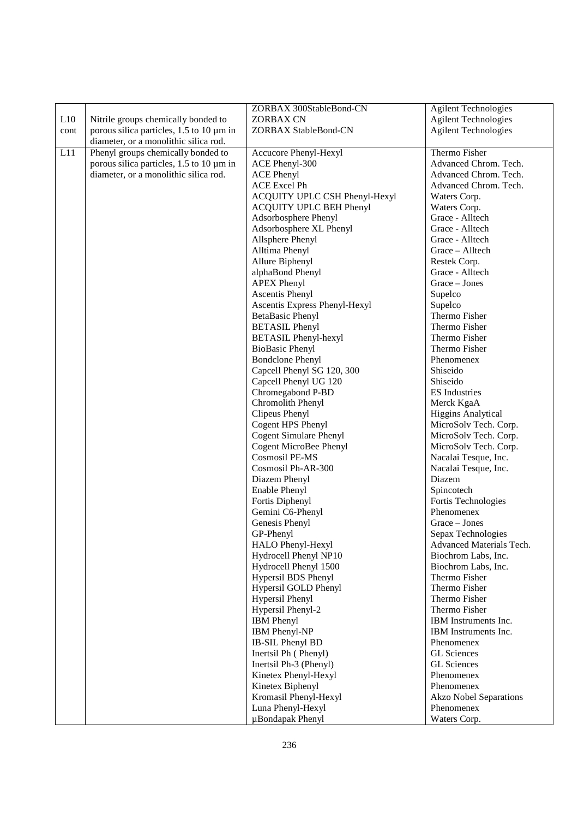|      |                                          | ZORBAX 300StableBond-CN        | <b>Agilent Technologies</b>   |
|------|------------------------------------------|--------------------------------|-------------------------------|
| L10  | Nitrile groups chemically bonded to      | <b>ZORBAX CN</b>               | <b>Agilent Technologies</b>   |
| cont | porous silica particles, 1.5 to 10 µm in | ZORBAX StableBond-CN           | <b>Agilent Technologies</b>   |
|      | diameter, or a monolithic silica rod.    |                                |                               |
| L11  | Phenyl groups chemically bonded to       | Accucore Phenyl-Hexyl          | Thermo Fisher                 |
|      | porous silica particles, 1.5 to 10 µm in | ACE Phenyl-300                 | Advanced Chrom. Tech.         |
|      | diameter, or a monolithic silica rod.    | <b>ACE Phenyl</b>              | Advanced Chrom. Tech.         |
|      |                                          | ACE Excel Ph                   | Advanced Chrom. Tech.         |
|      |                                          | ACQUITY UPLC CSH Phenyl-Hexyl  | Waters Corp.                  |
|      |                                          | <b>ACQUITY UPLC BEH Phenyl</b> | Waters Corp.                  |
|      |                                          | Adsorbosphere Phenyl           | Grace - Alltech               |
|      |                                          | Adsorbosphere XL Phenyl        | Grace - Alltech               |
|      |                                          | Allsphere Phenyl               | Grace - Alltech               |
|      |                                          | Alltima Phenyl                 | Grace - Alltech               |
|      |                                          | Allure Biphenyl                | Restek Corp.                  |
|      |                                          | alphaBond Phenyl               | Grace - Alltech               |
|      |                                          | <b>APEX Phenyl</b>             | Grace - Jones                 |
|      |                                          | <b>Ascentis Phenyl</b>         | Supelco                       |
|      |                                          | Ascentis Express Phenyl-Hexyl  | Supelco                       |
|      |                                          | <b>BetaBasic Phenyl</b>        | Thermo Fisher                 |
|      |                                          | <b>BETASIL Phenyl</b>          | Thermo Fisher                 |
|      |                                          | <b>BETASIL Phenyl-hexyl</b>    | Thermo Fisher                 |
|      |                                          | <b>BioBasic Phenyl</b>         | Thermo Fisher                 |
|      |                                          | <b>Bondclone Phenyl</b>        | Phenomenex                    |
|      |                                          | Capcell Phenyl SG 120, 300     | Shiseido                      |
|      |                                          | Capcell Phenyl UG 120          | Shiseido                      |
|      |                                          | Chromegabond P-BD              | <b>ES</b> Industries          |
|      |                                          | Chromolith Phenyl              | Merck KgaA                    |
|      |                                          | Clipeus Phenyl                 | <b>Higgins Analytical</b>     |
|      |                                          | Cogent HPS Phenyl              | MicroSolv Tech. Corp.         |
|      |                                          | <b>Cogent Simulare Phenyl</b>  | MicroSolv Tech. Corp.         |
|      |                                          | Cogent MicroBee Phenyl         | MicroSolv Tech. Corp.         |
|      |                                          | <b>Cosmosil PE-MS</b>          | Nacalai Tesque, Inc.          |
|      |                                          | Cosmosil Ph-AR-300             | Nacalai Tesque, Inc.          |
|      |                                          | Diazem Phenyl                  | Diazem                        |
|      |                                          | Enable Phenyl                  | Spincotech                    |
|      |                                          | Fortis Diphenyl                | Fortis Technologies           |
|      |                                          | Gemini C6-Phenyl               | Phenomenex                    |
|      |                                          | Genesis Phenyl                 | Grace - Jones                 |
|      |                                          | GP-Phenyl                      | Sepax Technologies            |
|      |                                          | HALO Phenyl-Hexyl              | Advanced Materials Tech.      |
|      |                                          | Hydrocell Phenyl NP10          | Biochrom Labs, Inc.           |
|      |                                          | Hydrocell Phenyl 1500          | Biochrom Labs, Inc.           |
|      |                                          | Hypersil BDS Phenyl            | Thermo Fisher                 |
|      |                                          | Hypersil GOLD Phenyl           | Thermo Fisher                 |
|      |                                          | Hypersil Phenyl                | Thermo Fisher                 |
|      |                                          | Hypersil Phenyl-2              | Thermo Fisher                 |
|      |                                          | <b>IBM</b> Phenyl              | IBM Instruments Inc.          |
|      |                                          | IBM Phenyl-NP                  | IBM Instruments Inc.          |
|      |                                          | IB-SIL Phenyl BD               | Phenomenex                    |
|      |                                          | Inertsil Ph (Phenyl)           | <b>GL</b> Sciences            |
|      |                                          | Inertsil Ph-3 (Phenyl)         | <b>GL</b> Sciences            |
|      |                                          | Kinetex Phenyl-Hexyl           | Phenomenex                    |
|      |                                          | Kinetex Biphenyl               | Phenomenex                    |
|      |                                          | Kromasil Phenyl-Hexyl          | <b>Akzo Nobel Separations</b> |
|      |                                          | Luna Phenyl-Hexyl              | Phenomenex                    |
|      |                                          | µBondapak Phenyl               | Waters Corp.                  |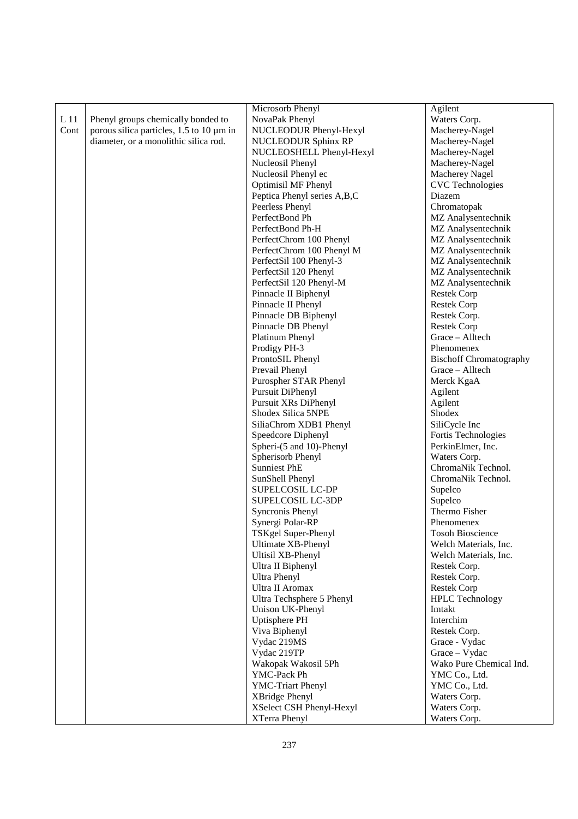|                 |                                          | Microsorb Phenyl            | Agilent                        |
|-----------------|------------------------------------------|-----------------------------|--------------------------------|
| L <sub>11</sub> | Phenyl groups chemically bonded to       | NovaPak Phenyl              | Waters Corp.                   |
| Cont            | porous silica particles, 1.5 to 10 µm in | NUCLEODUR Phenyl-Hexyl      | Macherey-Nagel                 |
|                 | diameter, or a monolithic silica rod.    | <b>NUCLEODUR Sphinx RP</b>  | Macherey-Nagel                 |
|                 |                                          | NUCLEOSHELL Phenyl-Hexyl    | Macherey-Nagel                 |
|                 |                                          | Nucleosil Phenyl            | Macherey-Nagel                 |
|                 |                                          | Nucleosil Phenyl ec         | Macherey Nagel                 |
|                 |                                          | Optimisil MF Phenyl         | <b>CVC</b> Technologies        |
|                 |                                          | Peptica Phenyl series A,B,C | Diazem                         |
|                 |                                          | Peerless Phenyl             | Chromatopak                    |
|                 |                                          | PerfectBond Ph              | MZ Analysentechnik             |
|                 |                                          | PerfectBond Ph-H            | MZ Analysentechnik             |
|                 |                                          | PerfectChrom 100 Phenyl     | MZ Analysentechnik             |
|                 |                                          | PerfectChrom 100 Phenyl M   | MZ Analysentechnik             |
|                 |                                          | PerfectSil 100 Phenyl-3     | MZ Analysentechnik             |
|                 |                                          | PerfectSil 120 Phenyl       | MZ Analysentechnik             |
|                 |                                          | PerfectSil 120 Phenyl-M     | MZ Analysentechnik             |
|                 |                                          | Pinnacle II Biphenyl        | <b>Restek Corp</b>             |
|                 |                                          | Pinnacle II Phenyl          | <b>Restek Corp</b>             |
|                 |                                          | Pinnacle DB Biphenyl        | Restek Corp.                   |
|                 |                                          | Pinnacle DB Phenyl          | <b>Restek Corp</b>             |
|                 |                                          | Platinum Phenyl             | Grace - Alltech                |
|                 |                                          | Prodigy PH-3                | Phenomenex                     |
|                 |                                          | ProntoSIL Phenyl            | <b>Bischoff Chromatography</b> |
|                 |                                          | Prevail Phenyl              | Grace - Alltech                |
|                 |                                          | Purospher STAR Phenyl       | Merck KgaA                     |
|                 |                                          | Pursuit DiPhenyl            | Agilent                        |
|                 |                                          | Pursuit XRs DiPhenyl        | Agilent                        |
|                 |                                          | Shodex Silica 5NPE          | Shodex                         |
|                 |                                          | SiliaChrom XDB1 Phenyl      | SiliCycle Inc                  |
|                 |                                          | Speedcore Diphenyl          | Fortis Technologies            |
|                 |                                          | Spheri-(5 and 10)-Phenyl    | PerkinElmer, Inc.              |
|                 |                                          | Spherisorb Phenyl           | Waters Corp.                   |
|                 |                                          | <b>Sunniest PhE</b>         | ChromaNik Technol.             |
|                 |                                          | SunShell Phenyl             | ChromaNik Technol.             |
|                 |                                          | SUPELCOSIL LC-DP            | Supelco                        |
|                 |                                          | SUPELCOSIL LC-3DP           | Supelco                        |
|                 |                                          | Syncronis Phenyl            | Thermo Fisher                  |
|                 |                                          | Synergi Polar-RP            | Phenomenex                     |
|                 |                                          | TSKgel Super-Phenyl         | <b>Tosoh Bioscience</b>        |
|                 |                                          | Ultimate XB-Phenyl          | Welch Materials, Inc.          |
|                 |                                          | Ultisil XB-Phenyl           | Welch Materials, Inc.          |
|                 |                                          | Ultra II Biphenyl           | Restek Corp.                   |
|                 |                                          | <b>Ultra Phenyl</b>         | Restek Corp.                   |
|                 |                                          | Ultra II Aromax             | <b>Restek Corp</b>             |
|                 |                                          | Ultra Techsphere 5 Phenyl   | <b>HPLC</b> Technology         |
|                 |                                          | Unison UK-Phenyl            | Imtakt                         |
|                 |                                          | Uptisphere PH               | Interchim                      |
|                 |                                          | Viva Biphenyl               | Restek Corp.                   |
|                 |                                          | Vydac 219MS                 | Grace - Vydac                  |
|                 |                                          | Vydac 219TP                 | Grace - Vydac                  |
|                 |                                          | Wakopak Wakosil 5Ph         | Wako Pure Chemical Ind.        |
|                 |                                          | YMC-Pack Ph                 | YMC Co., Ltd.                  |
|                 |                                          | YMC-Triart Phenyl           | YMC Co., Ltd.                  |
|                 |                                          | XBridge Phenyl              | Waters Corp.                   |
|                 |                                          | XSelect CSH Phenyl-Hexyl    | Waters Corp.                   |
|                 |                                          | XTerra Phenyl               | Waters Corp.                   |
|                 |                                          |                             |                                |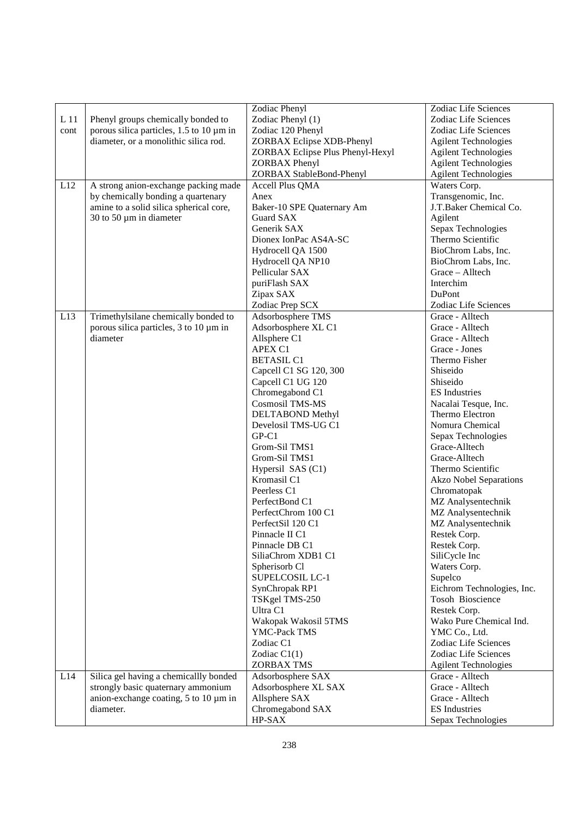|                 |                                              | Zodiac Phenyl                    | Zodiac Life Sciences          |
|-----------------|----------------------------------------------|----------------------------------|-------------------------------|
| L <sub>11</sub> | Phenyl groups chemically bonded to           | Zodiac Phenyl (1)                | Zodiac Life Sciences          |
| cont            | porous silica particles, 1.5 to 10 µm in     | Zodiac 120 Phenyl                | Zodiac Life Sciences          |
|                 | diameter, or a monolithic silica rod.        | ZORBAX Eclipse XDB-Phenyl        | <b>Agilent Technologies</b>   |
|                 |                                              | ZORBAX Eclipse Plus Phenyl-Hexyl | <b>Agilent Technologies</b>   |
|                 |                                              | <b>ZORBAX</b> Phenyl             | <b>Agilent Technologies</b>   |
|                 |                                              |                                  |                               |
|                 |                                              | ZORBAX StableBond-Phenyl         | <b>Agilent Technologies</b>   |
| L12             | A strong anion-exchange packing made         | Accell Plus QMA                  | Waters Corp.                  |
|                 | by chemically bonding a quartenary           | Anex                             | Transgenomic, Inc.            |
|                 | amine to a solid silica spherical core,      | Baker-10 SPE Quaternary Am       | J.T.Baker Chemical Co.        |
|                 | 30 to 50 $\mu$ m in diameter                 | Guard SAX                        | Agilent                       |
|                 |                                              | Generik SAX                      | Sepax Technologies            |
|                 |                                              | Dionex IonPac AS4A-SC            | Thermo Scientific             |
|                 |                                              | Hydrocell QA 1500                | BioChrom Labs, Inc.           |
|                 |                                              | Hydrocell QA NP10                | BioChrom Labs, Inc.           |
|                 |                                              | Pellicular SAX                   | Grace - Alltech               |
|                 |                                              | puriFlash SAX                    | Interchim                     |
|                 |                                              | Zipax SAX                        | DuPont                        |
|                 |                                              | Zodiac Prep SCX                  | Zodiac Life Sciences          |
| L13             | Trimethylsilane chemically bonded to         | Adsorbosphere TMS                | Grace - Alltech               |
|                 | porous silica particles, 3 to 10 µm in       | Adsorbosphere XL C1              | Grace - Alltech               |
|                 | diameter                                     | Allsphere C1                     | Grace - Alltech               |
|                 |                                              | APEX C1                          | Grace - Jones                 |
|                 |                                              | <b>BETASIL C1</b>                | Thermo Fisher                 |
|                 |                                              | Capcell C1 SG 120, 300           | Shiseido                      |
|                 |                                              | Capcell C1 UG 120                | Shiseido                      |
|                 |                                              | Chromegabond C1                  | <b>ES</b> Industries          |
|                 |                                              | Cosmosil TMS-MS                  | Nacalai Tesque, Inc.          |
|                 |                                              | DELTABOND Methyl                 | Thermo Electron               |
|                 |                                              | Develosil TMS-UG C1              | Nomura Chemical               |
|                 |                                              | $GP-C1$                          | Sepax Technologies            |
|                 |                                              | Grom-Sil TMS1                    | Grace-Alltech                 |
|                 |                                              | Grom-Sil TMS1                    | Grace-Alltech                 |
|                 |                                              |                                  | Thermo Scientific             |
|                 |                                              | Hypersil SAS (C1)                |                               |
|                 |                                              | Kromasil C1                      | <b>Akzo Nobel Separations</b> |
|                 |                                              | Peerless C1                      | Chromatopak                   |
|                 |                                              | PerfectBond C1                   | MZ Analysentechnik            |
|                 |                                              | PerfectChrom 100 C1              | MZ Analysentechnik            |
|                 |                                              | PerfectSil 120 C1                | MZ Analysentechnik            |
|                 |                                              | Pinnacle II C1                   | Restek Corp.                  |
|                 |                                              | Pinnacle DB C1                   | Restek Corp.                  |
|                 |                                              | SiliaChrom XDB1 C1               | SiliCycle Inc                 |
|                 |                                              | Spherisorb Cl                    | Waters Corp.                  |
|                 |                                              | SUPELCOSIL LC-1                  | Supelco                       |
|                 |                                              | SynChropak RP1                   | Eichrom Technologies, Inc.    |
|                 |                                              | TSKgel TMS-250                   | Tosoh Bioscience              |
|                 |                                              | Ultra C1                         | Restek Corp.                  |
|                 |                                              | Wakopak Wakosil 5TMS             | Wako Pure Chemical Ind.       |
|                 |                                              | YMC-Pack TMS                     | YMC Co., Ltd.                 |
|                 |                                              | Zodiac C1                        | Zodiac Life Sciences          |
|                 |                                              | Zodiac $C1(1)$                   | Zodiac Life Sciences          |
|                 |                                              | ZORBAX TMS                       | <b>Agilent Technologies</b>   |
| L14             | Silica gel having a chemicallly bonded       | Adsorbosphere SAX                | Grace - Alltech               |
|                 | strongly basic quaternary ammonium           | Adsorbosphere XL SAX             | Grace - Alltech               |
|                 | anion-exchange coating, $5$ to $10 \mu m$ in | Allsphere SAX                    | Grace - Alltech               |
|                 | diameter.                                    | Chromegabond SAX                 | <b>ES</b> Industries          |
|                 |                                              | HP-SAX                           | Sepax Technologies            |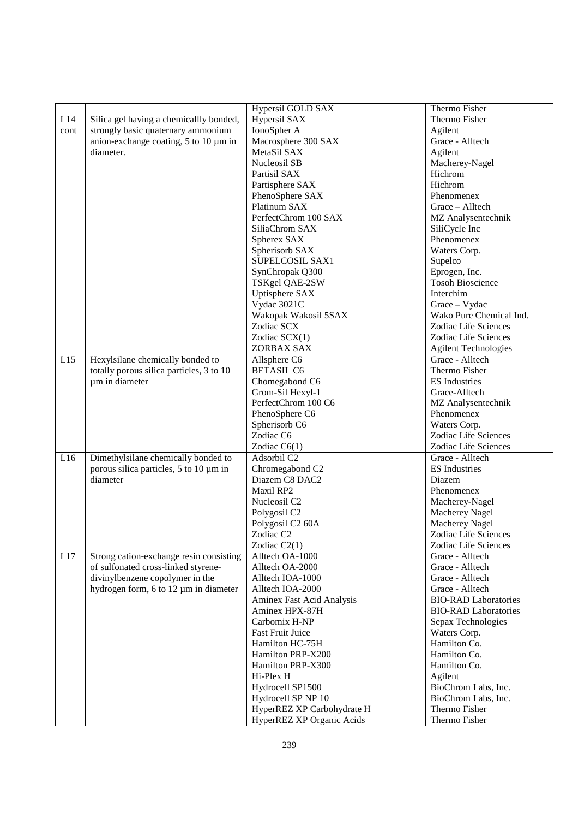|      |                                              | Hypersil GOLD SAX            | Thermo Fisher               |
|------|----------------------------------------------|------------------------------|-----------------------------|
| L14  | Silica gel having a chemicallly bonded,      | Hypersil SAX                 | Thermo Fisher               |
| cont | strongly basic quaternary ammonium           | IonoSpher A                  | Agilent                     |
|      | anion-exchange coating, $5$ to $10 \mu m$ in | Macrosphere 300 SAX          | Grace - Alltech             |
|      | diameter.                                    | MetaSil SAX                  | Agilent                     |
|      |                                              | Nucleosil SB                 | Macherey-Nagel              |
|      |                                              | Partisil SAX                 | Hichrom                     |
|      |                                              | Partisphere SAX              | Hichrom                     |
|      |                                              | PhenoSphere SAX              | Phenomenex                  |
|      |                                              | Platinum SAX                 | Grace - Alltech             |
|      |                                              | PerfectChrom 100 SAX         | MZ Analysentechnik          |
|      |                                              | SiliaChrom SAX               | SiliCycle Inc               |
|      |                                              | Spherex SAX                  | Phenomenex                  |
|      |                                              | Spherisorb SAX               | Waters Corp.                |
|      |                                              | SUPELCOSIL SAX1              | Supelco                     |
|      |                                              | SynChropak Q300              | Eprogen, Inc.               |
|      |                                              | TSKgel QAE-2SW               | <b>Tosoh Bioscience</b>     |
|      |                                              | Uptisphere SAX               | Interchim                   |
|      |                                              | Vydac 3021C                  | Grace - Vydac               |
|      |                                              | Wakopak Wakosil 5SAX         | Wako Pure Chemical Ind.     |
|      |                                              | Zodiac SCX                   | Zodiac Life Sciences        |
|      |                                              | Zodiac SCX(1)                | Zodiac Life Sciences        |
|      |                                              | ZORBAX SAX                   | <b>Agilent Technologies</b> |
| L15  | Hexylsilane chemically bonded to             | Allsphere C6                 | Grace - Alltech             |
|      | totally porous silica particles, 3 to 10     | <b>BETASIL C6</b>            | Thermo Fisher               |
|      | µm in diameter                               | Chomegabond C6               | <b>ES</b> Industries        |
|      |                                              | Grom-Sil Hexyl-1             | Grace-Alltech               |
|      |                                              | PerfectChrom 100 C6          | MZ Analysentechnik          |
|      |                                              | PhenoSphere C6               | Phenomenex                  |
|      |                                              | Spherisorb C6                | Waters Corp.                |
|      |                                              | Zodiac C6                    | Zodiac Life Sciences        |
|      |                                              | Zodiac $C6(1)$               | Zodiac Life Sciences        |
| L16  | Dimethylsilane chemically bonded to          | Adsorbil C2                  | Grace - Alltech             |
|      | porous silica particles, 5 to 10 µm in       | Chromegabond C2              | <b>ES</b> Industries        |
|      | diameter                                     | Diazem C8 DAC2               | Diazem                      |
|      |                                              | Maxil RP2                    | Phenomenex                  |
|      |                                              | Nucleosil C2                 | Macherey-Nagel              |
|      |                                              | Polygosil C <sub>2</sub>     | Macherey Nagel              |
|      |                                              | Polygosil C <sub>2</sub> 60A | Macherey Nagel              |
|      |                                              | Zodiac C <sub>2</sub>        | Zodiac Life Sciences        |
|      |                                              | Zodiac C2(1)                 | Zodiac Life Sciences        |
| L17  | Strong cation-exchange resin consisting      | Alltech OA-1000              | Grace - Alltech             |
|      | of sulfonated cross-linked styrene-          | Alltech OA-2000              | Grace - Alltech             |
|      | divinylbenzene copolymer in the              | Alltech IOA-1000             | Grace - Alltech             |
|      | hydrogen form, 6 to 12 µm in diameter        | Alltech IOA-2000             | Grace - Alltech             |
|      |                                              | Aminex Fast Acid Analysis    | <b>BIO-RAD Laboratories</b> |
|      |                                              | Aminex HPX-87H               | <b>BIO-RAD Laboratories</b> |
|      |                                              | Carbomix H-NP                | Sepax Technologies          |
|      |                                              | <b>Fast Fruit Juice</b>      | Waters Corp.                |
|      |                                              | Hamilton HC-75H              | Hamilton Co.                |
|      |                                              | Hamilton PRP-X200            | Hamilton Co.                |
|      |                                              | Hamilton PRP-X300            | Hamilton Co.                |
|      |                                              | Hi-Plex H                    | Agilent                     |
|      |                                              | Hydrocell SP1500             | BioChrom Labs, Inc.         |
|      |                                              | Hydrocell SP NP 10           | BioChrom Labs, Inc.         |
|      |                                              | HyperREZ XP Carbohydrate H   | Thermo Fisher               |
|      |                                              | HyperREZ XP Organic Acids    | Thermo Fisher               |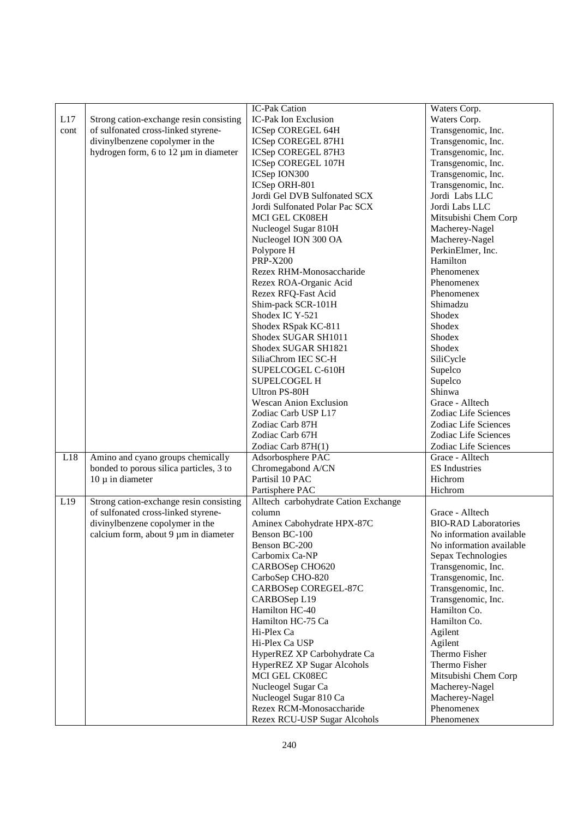|      |                                         | IC-Pak Cation                        | Waters Corp.                |
|------|-----------------------------------------|--------------------------------------|-----------------------------|
| L17  | Strong cation-exchange resin consisting | IC-Pak Ion Exclusion                 | Waters Corp.                |
| cont | of sulfonated cross-linked styrene-     | ICSep COREGEL 64H                    | Transgenomic, Inc.          |
|      | divinylbenzene copolymer in the         | ICSep COREGEL 87H1                   | Transgenomic, Inc.          |
|      |                                         |                                      | Transgenomic, Inc.          |
|      | hydrogen form, 6 to 12 µm in diameter   | ICSep COREGEL 87H3                   |                             |
|      |                                         | ICSep COREGEL 107H                   | Transgenomic, Inc.          |
|      |                                         | ICSep ION300                         | Transgenomic, Inc.          |
|      |                                         | ICSep ORH-801                        | Transgenomic, Inc.          |
|      |                                         | Jordi Gel DVB Sulfonated SCX         | Jordi Labs LLC              |
|      |                                         | Jordi Sulfonated Polar Pac SCX       | Jordi Labs LLC              |
|      |                                         | MCI GEL CK08EH                       | Mitsubishi Chem Corp        |
|      |                                         | Nucleogel Sugar 810H                 | Macherey-Nagel              |
|      |                                         | Nucleogel ION 300 OA                 | Macherey-Nagel              |
|      |                                         | Polypore H                           | PerkinElmer, Inc.           |
|      |                                         | <b>PRP-X200</b>                      | Hamilton                    |
|      |                                         | Rezex RHM-Monosaccharide             | Phenomenex                  |
|      |                                         | Rezex ROA-Organic Acid               | Phenomenex                  |
|      |                                         | Rezex RFQ-Fast Acid                  | Phenomenex                  |
|      |                                         | Shim-pack SCR-101H                   | Shimadzu                    |
|      |                                         | Shodex IC Y-521                      | Shodex                      |
|      |                                         | Shodex RSpak KC-811                  | Shodex                      |
|      |                                         | Shodex SUGAR SH1011                  | Shodex                      |
|      |                                         | Shodex SUGAR SH1821                  | Shodex                      |
|      |                                         | SiliaChrom IEC SC-H                  | SiliCycle                   |
|      |                                         | SUPELCOGEL C-610H                    | Supelco                     |
|      |                                         | <b>SUPELCOGEL H</b>                  | Supelco                     |
|      |                                         | Ultron PS-80H                        | Shinwa                      |
|      |                                         | <b>Wescan Anion Exclusion</b>        | Grace - Alltech             |
|      |                                         | Zodiac Carb USP L17                  | Zodiac Life Sciences        |
|      |                                         | Zodiac Carb 87H                      | Zodiac Life Sciences        |
|      |                                         | Zodiac Carb 67H                      | Zodiac Life Sciences        |
|      |                                         | Zodiac Carb 87H(1)                   | Zodiac Life Sciences        |
| L18  | Amino and cyano groups chemically       | Adsorbosphere PAC                    | Grace - Alltech             |
|      | bonded to porous silica particles, 3 to | Chromegabond A/CN                    | <b>ES</b> Industries        |
|      | $10 \mu$ in diameter                    | Partisil 10 PAC                      | Hichrom                     |
|      |                                         |                                      |                             |
|      |                                         | Partisphere PAC                      | Hichrom                     |
| L19  | Strong cation-exchange resin consisting | Alltech carbohydrate Cation Exchange |                             |
|      | of sulfonated cross-linked styrene-     | column                               | Grace - Alltech             |
|      | divinylbenzene copolymer in the         | Aminex Cabohydrate HPX-87C           | <b>BIO-RAD Laboratories</b> |
|      | calcium form, about 9 µm in diameter    | Benson BC-100                        | No information available    |
|      |                                         | Benson BC-200                        | No information available    |
|      |                                         | Carbomix Ca-NP                       | Sepax Technologies          |
|      |                                         | CARBOSep CHO620                      | Transgenomic, Inc.          |
|      |                                         | CarboSep CHO-820                     | Transgenomic, Inc.          |
|      |                                         | CARBOSep COREGEL-87C                 | Transgenomic, Inc.          |
|      |                                         | CARBOSep L19                         | Transgenomic, Inc.          |
|      |                                         | Hamilton HC-40                       | Hamilton Co.                |
|      |                                         | Hamilton HC-75 Ca                    | Hamilton Co.                |
|      |                                         | Hi-Plex Ca                           | Agilent                     |
|      |                                         | Hi-Plex Ca USP                       | Agilent                     |
|      |                                         | HyperREZ XP Carbohydrate Ca          | Thermo Fisher               |
|      |                                         | HyperREZ XP Sugar Alcohols           | Thermo Fisher               |
|      |                                         | MCI GEL CK08EC                       | Mitsubishi Chem Corp        |
|      |                                         | Nucleogel Sugar Ca                   | Macherey-Nagel              |
|      |                                         | Nucleogel Sugar 810 Ca               | Macherey-Nagel              |
|      |                                         | Rezex RCM-Monosaccharide             | Phenomenex                  |
|      |                                         | Rezex RCU-USP Sugar Alcohols         | Phenomenex                  |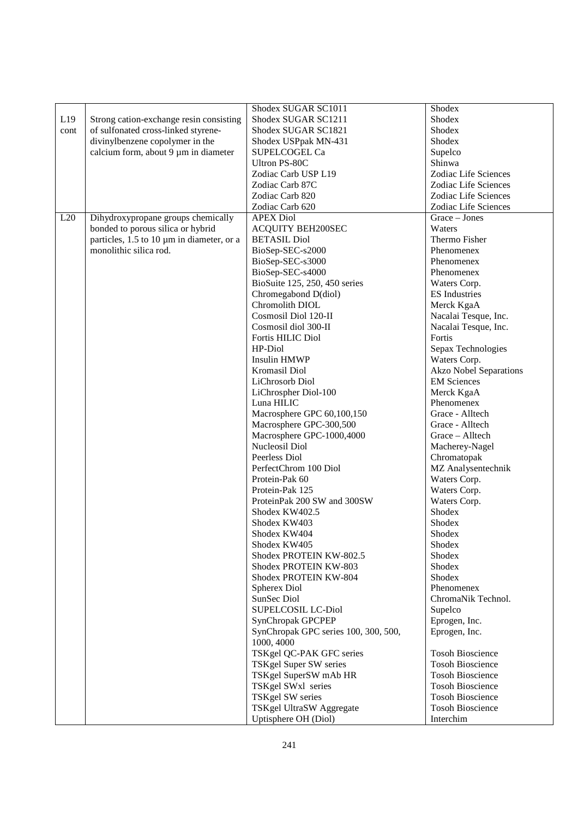|      |                                           | Shodex SUGAR SC1011                  | Shodex                        |
|------|-------------------------------------------|--------------------------------------|-------------------------------|
| L19  | Strong cation-exchange resin consisting   | Shodex SUGAR SC1211                  | Shodex                        |
| cont | of sulfonated cross-linked styrene-       | Shodex SUGAR SC1821                  | Shodex                        |
|      | divinylbenzene copolymer in the           | Shodex USPpak MN-431                 | Shodex                        |
|      | calcium form, about 9 µm in diameter      | SUPELCOGEL Ca                        | Supelco                       |
|      |                                           | Ultron PS-80C                        | Shinwa                        |
|      |                                           | Zodiac Carb USP L19                  | Zodiac Life Sciences          |
|      |                                           | Zodiac Carb 87C                      | Zodiac Life Sciences          |
|      |                                           | Zodiac Carb 820                      | Zodiac Life Sciences          |
|      |                                           | Zodiac Carb 620                      | Zodiac Life Sciences          |
| L20  | Dihydroxypropane groups chemically        | <b>APEX Diol</b>                     | Grace - Jones                 |
|      | bonded to porous silica or hybrid         | <b>ACQUITY BEH200SEC</b>             | Waters                        |
|      | particles, 1.5 to 10 µm in diameter, or a | <b>BETASIL Diol</b>                  | Thermo Fisher                 |
|      | monolithic silica rod.                    | BioSep-SEC-s2000                     | Phenomenex                    |
|      |                                           | BioSep-SEC-s3000                     | Phenomenex                    |
|      |                                           | BioSep-SEC-s4000                     | Phenomenex                    |
|      |                                           | BioSuite 125, 250, 450 series        | Waters Corp.                  |
|      |                                           | Chromegabond D(diol)                 | <b>ES</b> Industries          |
|      |                                           | Chromolith DIOL                      | Merck KgaA                    |
|      |                                           | Cosmosil Diol 120-II                 | Nacalai Tesque, Inc.          |
|      |                                           | Cosmosil diol 300-II                 | Nacalai Tesque, Inc.          |
|      |                                           | Fortis HILIC Diol                    | Fortis                        |
|      |                                           | HP-Diol                              | Sepax Technologies            |
|      |                                           | <b>Insulin HMWP</b>                  | Waters Corp.                  |
|      |                                           | Kromasil Diol                        | <b>Akzo Nobel Separations</b> |
|      |                                           | LiChrosorb Diol                      | <b>EM Sciences</b>            |
|      |                                           | LiChrospher Diol-100                 | Merck KgaA                    |
|      |                                           | Luna HILIC                           | Phenomenex                    |
|      |                                           | Macrosphere GPC 60,100,150           | Grace - Alltech               |
|      |                                           | Macrosphere GPC-300,500              | Grace - Alltech               |
|      |                                           | Macrosphere GPC-1000,4000            | Grace - Alltech               |
|      |                                           | Nucleosil Diol                       | Macherey-Nagel                |
|      |                                           | Peerless Diol                        | Chromatopak                   |
|      |                                           | PerfectChrom 100 Diol                | MZ Analysentechnik            |
|      |                                           | Protein-Pak 60                       | Waters Corp.                  |
|      |                                           | Protein-Pak 125                      | Waters Corp.                  |
|      |                                           | ProteinPak 200 SW and 300SW          | Waters Corp.                  |
|      |                                           | Shodex KW402.5                       | Shodex                        |
|      |                                           | Shodex KW403                         | Shodex                        |
|      |                                           | Shodex KW404                         | Shodex                        |
|      |                                           | Shodex KW405                         | Shodex                        |
|      |                                           | Shodex PROTEIN KW-802.5              | Shodex                        |
|      |                                           | Shodex PROTEIN KW-803                | <b>Shodex</b>                 |
|      |                                           | Shodex PROTEIN KW-804                | <b>Shodex</b>                 |
|      |                                           | Spherex Diol                         | Phenomenex                    |
|      |                                           | SunSec Diol                          | ChromaNik Technol.            |
|      |                                           | SUPELCOSIL LC-Diol                   | Supelco                       |
|      |                                           | SynChropak GPCPEP                    | Eprogen, Inc.                 |
|      |                                           | SynChropak GPC series 100, 300, 500, | Eprogen, Inc.                 |
|      |                                           | 1000, 4000                           |                               |
|      |                                           | TSKgel QC-PAK GFC series             | <b>Tosoh Bioscience</b>       |
|      |                                           | TSKgel Super SW series               | <b>Tosoh Bioscience</b>       |
|      |                                           | TSKgel SuperSW mAb HR                | <b>Tosoh Bioscience</b>       |
|      |                                           | TSKgel SWxl series                   | <b>Tosoh Bioscience</b>       |
|      |                                           | TSKgel SW series                     | <b>Tosoh Bioscience</b>       |
|      |                                           | TSKgel UltraSW Aggregate             | <b>Tosoh Bioscience</b>       |
|      |                                           | Uptisphere OH (Diol)                 | Interchim                     |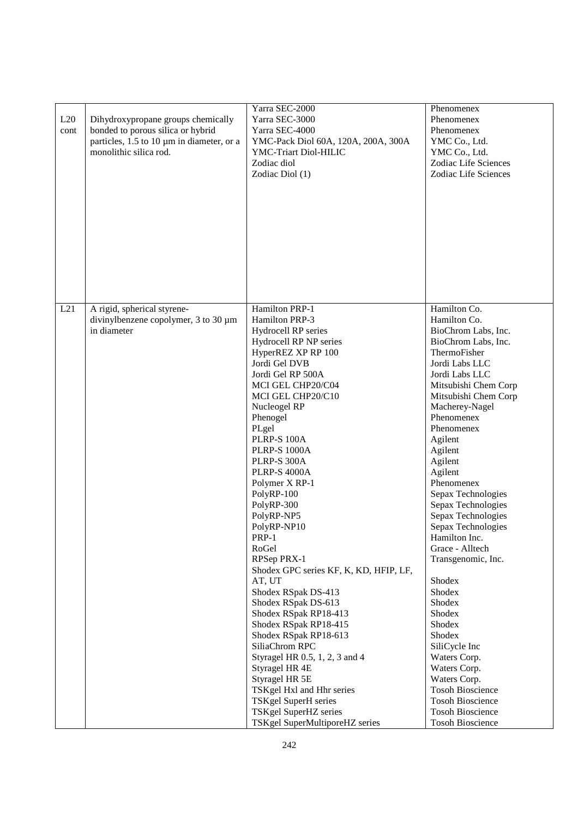| L20<br>cont | Dihydroxypropane groups chemically<br>bonded to porous silica or hybrid<br>particles, 1.5 to 10 µm in diameter, or a<br>monolithic silica rod. | Yarra SEC-2000<br>Yarra SEC-3000<br>Yarra SEC-4000<br>YMC-Pack Diol 60A, 120A, 200A, 300A<br>YMC-Triart Diol-HILIC<br>Zodiac diol<br>Zodiac Diol (1)                                                                                                                                                                                                                                                                                                                                                                                                                                                                                                                                                                                                                                                             | Phenomenex<br>Phenomenex<br>Phenomenex<br>YMC Co., Ltd.<br>YMC Co., Ltd.<br>Zodiac Life Sciences<br>Zodiac Life Sciences                                                                                                                                                                                                                                                                                                                                                                                                                                                                                                                                                   |
|-------------|------------------------------------------------------------------------------------------------------------------------------------------------|------------------------------------------------------------------------------------------------------------------------------------------------------------------------------------------------------------------------------------------------------------------------------------------------------------------------------------------------------------------------------------------------------------------------------------------------------------------------------------------------------------------------------------------------------------------------------------------------------------------------------------------------------------------------------------------------------------------------------------------------------------------------------------------------------------------|----------------------------------------------------------------------------------------------------------------------------------------------------------------------------------------------------------------------------------------------------------------------------------------------------------------------------------------------------------------------------------------------------------------------------------------------------------------------------------------------------------------------------------------------------------------------------------------------------------------------------------------------------------------------------|
| L21         | A rigid, spherical styrene-<br>divinylbenzene copolymer, 3 to 30 um<br>in diameter                                                             | Hamilton PRP-1<br>Hamilton PRP-3<br>Hydrocell RP series<br>Hydrocell RP NP series<br>HyperREZ XP RP 100<br>Jordi Gel DVB<br>Jordi Gel RP 500A<br>MCI GEL CHP20/C04<br>MCI GEL CHP20/C10<br>Nucleogel RP<br>Phenogel<br>PLgel<br><b>PLRP-S 100A</b><br><b>PLRP-S 1000A</b><br>PLRP-S 300A<br><b>PLRP-S 4000A</b><br>Polymer X RP-1<br>PolyRP-100<br>PolyRP-300<br>PolyRP-NP5<br>PolyRP-NP10<br>PRP-1<br>RoGel<br>RPSep PRX-1<br>Shodex GPC series KF, K, KD, HFIP, LF,<br>AT, UT<br>Shodex RSpak DS-413<br>Shodex RSpak DS-613<br>Shodex RSpak RP18-413<br>Shodex RSpak RP18-415<br>Shodex RSpak RP18-613<br>SiliaChrom RPC<br>Styragel HR 0.5, 1, 2, 3 and 4<br>Styragel HR 4E<br>Styragel HR 5E<br>TSKgel Hxl and Hhr series<br>TSKgel SuperH series<br>TSKgel SuperHZ series<br>TSKgel SuperMultiporeHZ series | Hamilton Co.<br>Hamilton Co.<br>BioChrom Labs, Inc.<br>BioChrom Labs, Inc.<br>ThermoFisher<br>Jordi Labs LLC<br>Jordi Labs LLC<br>Mitsubishi Chem Corp<br>Mitsubishi Chem Corp<br>Macherey-Nagel<br>Phenomenex<br>Phenomenex<br>Agilent<br>Agilent<br>Agilent<br>Agilent<br>Phenomenex<br>Sepax Technologies<br>Sepax Technologies<br>Sepax Technologies<br>Sepax Technologies<br>Hamilton Inc.<br>Grace - Alltech<br>Transgenomic, Inc.<br>Shodex<br>Shodex<br>Shodex<br>Shodex<br>Shodex<br>Shodex<br>SiliCycle Inc<br>Waters Corp.<br>Waters Corp.<br>Waters Corp.<br><b>Tosoh Bioscience</b><br><b>Tosoh Bioscience</b><br><b>Tosoh Bioscience</b><br>Tosoh Bioscience |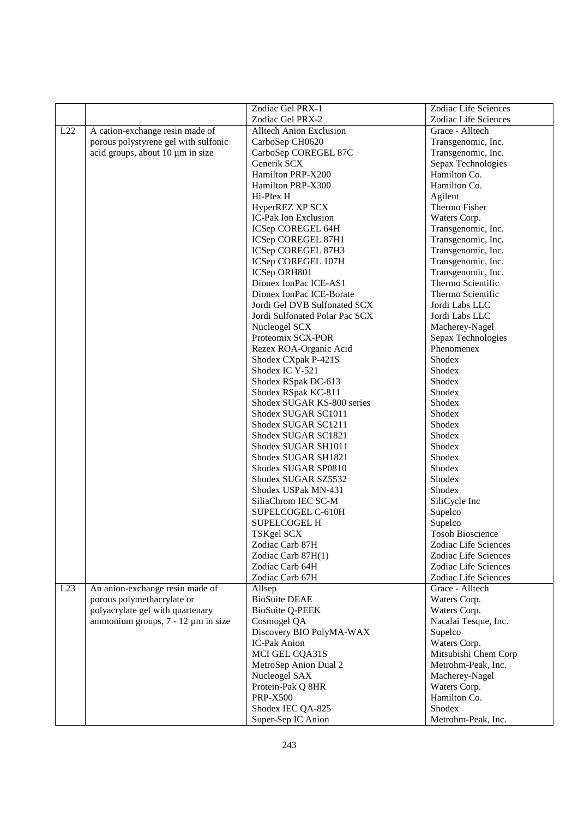|     |                                      | Zodiac Gel PRX-1               | Zodiac Life Sciences    |
|-----|--------------------------------------|--------------------------------|-------------------------|
|     |                                      | Zodiac Gel PRX-2               | Zodiac Life Sciences    |
| L22 | A cation-exchange resin made of      | <b>Alltech Anion Exclusion</b> | Grace - Alltech         |
|     | porous polystyrene gel with sulfonic | CarboSep CH0620                | Transgenomic, Inc.      |
|     | acid groups, about 10 µm in size     | CarboSep COREGEL 87C           | Transgenomic, Inc.      |
|     |                                      | Generik SCX                    | Sepax Technologies      |
|     |                                      | Hamilton PRP-X200              | Hamilton Co.            |
|     |                                      | Hamilton PRP-X300              | Hamilton Co.            |
|     |                                      | Hi-Plex H                      | Agilent                 |
|     |                                      | HyperREZ XP SCX                | Thermo Fisher           |
|     |                                      | IC-Pak Ion Exclusion           | Waters Corp.            |
|     |                                      | ICSep COREGEL 64H              | Transgenomic, Inc.      |
|     |                                      | ICSep COREGEL 87H1             | Transgenomic, Inc.      |
|     |                                      | ICSep COREGEL 87H3             | Transgenomic, Inc.      |
|     |                                      | ICSep COREGEL 107H             | Transgenomic, Inc.      |
|     |                                      | ICSep ORH801                   | Transgenomic, Inc.      |
|     |                                      | Dionex IonPac ICE-AS1          | Thermo Scientific       |
|     |                                      | Dionex IonPac ICE-Borate       | Thermo Scientific       |
|     |                                      | Jordi Gel DVB Sulfonated SCX   | Jordi Labs LLC          |
|     |                                      | Jordi Sulfonated Polar Pac SCX | Jordi Labs LLC          |
|     |                                      | Nucleogel SCX                  | Macherey-Nagel          |
|     |                                      | Proteomix SCX-POR              | Sepax Technologies      |
|     |                                      | Rezex ROA-Organic Acid         | Phenomenex              |
|     |                                      | Shodex CXpak P-421S            | Shodex                  |
|     |                                      | Shodex IC Y-521                | Shodex                  |
|     |                                      | Shodex RSpak DC-613            | Shodex                  |
|     |                                      | Shodex RSpak KC-811            | Shodex                  |
|     |                                      | Shodex SUGAR KS-800 series     | Shodex                  |
|     |                                      | Shodex SUGAR SC1011            | Shodex                  |
|     |                                      | Shodex SUGAR SC1211            | Shodex                  |
|     |                                      | Shodex SUGAR SC1821            | Shodex                  |
|     |                                      | Shodex SUGAR SH1011            | Shodex                  |
|     |                                      | Shodex SUGAR SH1821            | Shodex                  |
|     |                                      | Shodex SUGAR SP0810            | Shodex                  |
|     |                                      | Shodex SUGAR SZ5532            | Shodex                  |
|     |                                      | Shodex USPak MN-431            | Shodex                  |
|     |                                      | SiliaChrom IEC SC-M            | SiliCycle Inc           |
|     |                                      | SUPELCOGEL C-610H              | Supelco                 |
|     |                                      | <b>SUPELCOGEL H</b>            | Supelco                 |
|     |                                      | TSKgel SCX                     | <b>Tosoh Bioscience</b> |
|     |                                      | Zodiac Carb 87H                | Zodiac Life Sciences    |
|     |                                      | Zodiac Carb 87H(1)             | Zodiac Life Sciences    |
|     |                                      | Zodiac Carb 64H                | Zodiac Life Sciences    |
|     |                                      | Zodiac Carb 67H                | Zodiac Life Sciences    |
| L23 | An anion-exchange resin made of      | Allsep                         | Grace - Alltech         |
|     | porous polymethacrylate or           | <b>BioSuite DEAE</b>           | Waters Corp.            |
|     | polyacrylate gel with quartenary     | <b>BioSuite Q-PEEK</b>         | Waters Corp.            |
|     | ammonium groups, 7 - 12 µm in size   | Cosmogel QA                    | Nacalai Tesque, Inc.    |
|     |                                      | Discovery BIO PolyMA-WAX       | Supelco                 |
|     |                                      | <b>IC-Pak Anion</b>            | Waters Corp.            |
|     |                                      | MCI GEL CQA31S                 | Mitsubishi Chem Corp    |
|     |                                      | MetroSep Anion Dual 2          | Metrohm-Peak, Inc.      |
|     |                                      | Nucleogel SAX                  | Macherey-Nagel          |
|     |                                      | Protein-Pak Q 8HR              | Waters Corp.            |
|     |                                      | <b>PRP-X500</b>                | Hamilton Co.            |
|     |                                      | Shodex IEC QA-825              | Shodex                  |
|     |                                      | Super-Sep IC Anion             | Metrohm-Peak, Inc.      |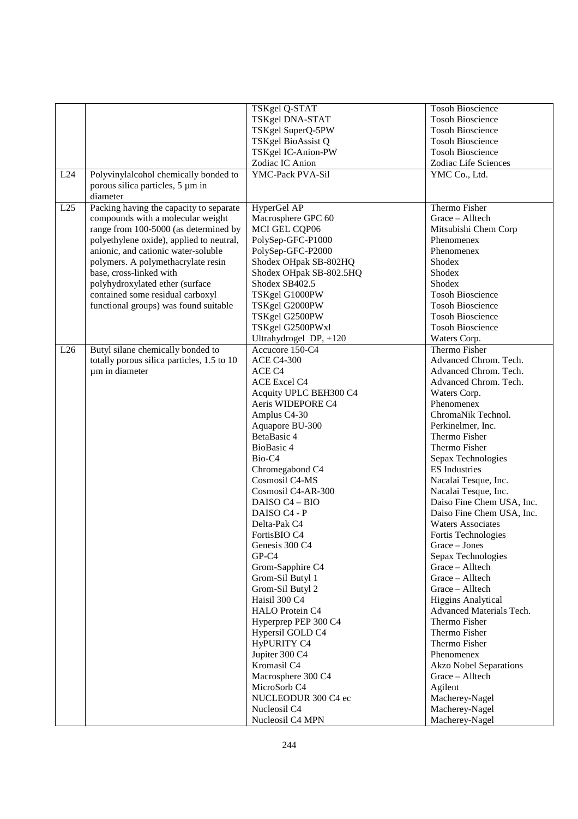|     |                                            | TSKgel Q-STAT           | <b>Tosoh Bioscience</b>       |
|-----|--------------------------------------------|-------------------------|-------------------------------|
|     |                                            | TSKgel DNA-STAT         | <b>Tosoh Bioscience</b>       |
|     |                                            | TSKgel SuperQ-5PW       | <b>Tosoh Bioscience</b>       |
|     |                                            | TSKgel BioAssist Q      | <b>Tosoh Bioscience</b>       |
|     |                                            | TSKgel IC-Anion-PW      | <b>Tosoh Bioscience</b>       |
|     |                                            | Zodiac IC Anion         | Zodiac Life Sciences          |
| L24 | Polyvinylalcohol chemically bonded to      | YMC-Pack PVA-Sil        | YMC Co., Ltd.                 |
|     | porous silica particles, 5 µm in           |                         |                               |
|     | diameter                                   |                         |                               |
| L25 |                                            | HyperGel AP             | Thermo Fisher                 |
|     | Packing having the capacity to separate    |                         |                               |
|     | compounds with a molecular weight          | Macrosphere GPC 60      | Grace - Alltech               |
|     | range from 100-5000 (as determined by      | MCI GEL CQP06           | Mitsubishi Chem Corp          |
|     | polyethylene oxide), applied to neutral,   | PolySep-GFC-P1000       | Phenomenex<br>Phenomenex      |
|     | anionic, and cationic water-soluble        | PolySep-GFC-P2000       |                               |
|     | polymers. A polymethacrylate resin         | Shodex OHpak SB-802HQ   | Shodex                        |
|     | base, cross-linked with                    | Shodex OHpak SB-802.5HQ | Shodex                        |
|     | polyhydroxylated ether (surface            | Shodex SB402.5          | Shodex                        |
|     | contained some residual carboxyl           | TSKgel G1000PW          | <b>Tosoh Bioscience</b>       |
|     | functional groups) was found suitable      | TSKgel G2000PW          | <b>Tosoh Bioscience</b>       |
|     |                                            | TSKgel G2500PW          | <b>Tosoh Bioscience</b>       |
|     |                                            | TSKgel G2500PWxl        | <b>Tosoh Bioscience</b>       |
|     |                                            | Ultrahydrogel DP, +120  | Waters Corp.                  |
| L26 | Butyl silane chemically bonded to          | Accucore 150-C4         | Thermo Fisher                 |
|     | totally porous silica particles, 1.5 to 10 | <b>ACE C4-300</b>       | Advanced Chrom. Tech.         |
|     | um in diameter                             | ACE C4                  | Advanced Chrom. Tech.         |
|     |                                            | <b>ACE Excel C4</b>     | Advanced Chrom. Tech.         |
|     |                                            | Acquity UPLC BEH300 C4  | Waters Corp.                  |
|     |                                            | Aeris WIDEPORE C4       | Phenomenex                    |
|     |                                            | Amplus C4-30            | ChromaNik Technol.            |
|     |                                            | Aquapore BU-300         | Perkinelmer, Inc.             |
|     |                                            | BetaBasic 4             | Thermo Fisher                 |
|     |                                            | BioBasic 4              | Thermo Fisher                 |
|     |                                            | Bio-C <sub>4</sub>      | Sepax Technologies            |
|     |                                            | Chromegabond C4         | <b>ES</b> Industries          |
|     |                                            | Cosmosil C4-MS          | Nacalai Tesque, Inc.          |
|     |                                            | Cosmosil C4-AR-300      | Nacalai Tesque, Inc.          |
|     |                                            | DAISO C4 - BIO          | Daiso Fine Chem USA, Inc.     |
|     |                                            | DAISO C4 - P            | Daiso Fine Chem USA, Inc.     |
|     |                                            | Delta-Pak C4            | <b>Waters Associates</b>      |
|     |                                            | FortisBIO C4            | Fortis Technologies           |
|     |                                            | Genesis 300 C4          | Grace - Jones                 |
|     |                                            | GP-C4                   | Sepax Technologies            |
|     |                                            | Grom-Sapphire C4        | Grace - Alltech               |
|     |                                            | Grom-Sil Butyl 1        | Grace - Alltech               |
|     |                                            | Grom-Sil Butyl 2        | Grace - Alltech               |
|     |                                            | Haisil 300 C4           | <b>Higgins Analytical</b>     |
|     |                                            | HALO Protein C4         | Advanced Materials Tech.      |
|     |                                            | Hyperprep PEP 300 C4    | Thermo Fisher                 |
|     |                                            | Hypersil GOLD C4        | Thermo Fisher                 |
|     |                                            | <b>HyPURITY C4</b>      | Thermo Fisher                 |
|     |                                            | Jupiter 300 C4          | Phenomenex                    |
|     |                                            | Kromasil C4             | <b>Akzo Nobel Separations</b> |
|     |                                            | Macrosphere 300 C4      | Grace - Alltech               |
|     |                                            | MicroSorb C4            | Agilent                       |
|     |                                            | NUCLEODUR 300 C4 ec     | Macherey-Nagel                |
|     |                                            | Nucleosil C4            | Macherey-Nagel                |
|     |                                            | Nucleosil C4 MPN        | Macherey-Nagel                |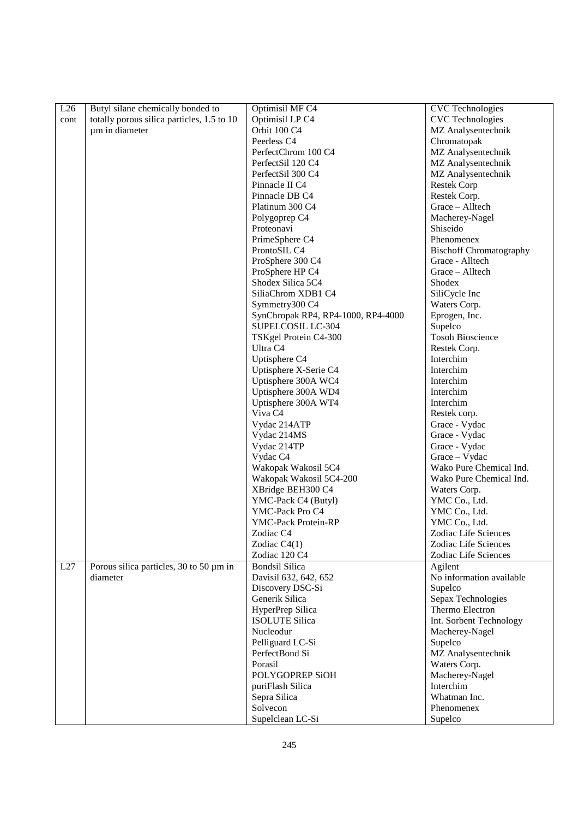| L26  | Butyl silane chemically bonded to          | Optimisil MF C4                            | <b>CVC</b> Technologies        |
|------|--------------------------------------------|--------------------------------------------|--------------------------------|
| cont | totally porous silica particles, 1.5 to 10 | Optimisil LP C4                            | <b>CVC</b> Technologies        |
|      | um in diameter                             | Orbit 100 C4                               | MZ Analysentechnik             |
|      |                                            | Peerless <sub>C4</sub>                     | Chromatopak                    |
|      |                                            | PerfectChrom 100 C4                        | MZ Analysentechnik             |
|      |                                            |                                            |                                |
|      |                                            | PerfectSil 120 C4                          | MZ Analysentechnik             |
|      |                                            | PerfectSil 300 C4                          | MZ Analysentechnik             |
|      |                                            | Pinnacle II C4                             | <b>Restek Corp</b>             |
|      |                                            | Pinnacle DB C4                             | Restek Corp.                   |
|      |                                            | Platinum 300 C4                            | Grace - Alltech                |
|      |                                            | Polygoprep C4                              | Macherey-Nagel                 |
|      |                                            | Proteonavi                                 | Shiseido                       |
|      |                                            | PrimeSphere C4                             | Phenomenex                     |
|      |                                            | ProntoSIL C4                               | <b>Bischoff Chromatography</b> |
|      |                                            | ProSphere 300 C4                           | Grace - Alltech                |
|      |                                            | ProSphere HP C4                            | Grace - Alltech                |
|      |                                            | Shodex Silica 5C4                          | Shodex                         |
|      |                                            | SiliaChrom XDB1 C4                         | SiliCycle Inc                  |
|      |                                            | Symmetry300 C4                             | Waters Corp.                   |
|      |                                            | SynChropak RP4, RP4-1000, RP4-4000         | Eprogen, Inc.                  |
|      |                                            | SUPELCOSIL LC-304                          | Supelco                        |
|      |                                            | TSKgel Protein C4-300                      | <b>Tosoh Bioscience</b>        |
|      |                                            | Ultra C <sub>4</sub>                       | Restek Corp.                   |
|      |                                            | Uptisphere C4                              | Interchim                      |
|      |                                            | Uptisphere X-Serie C4                      | Interchim                      |
|      |                                            | Uptisphere 300A WC4                        | Interchim                      |
|      |                                            | Uptisphere 300A WD4                        | Interchim                      |
|      |                                            |                                            | Interchim                      |
|      |                                            | Uptisphere 300A WT4<br>Viva C <sub>4</sub> |                                |
|      |                                            |                                            | Restek corp.                   |
|      |                                            | Vydac 214ATP                               | Grace - Vydac                  |
|      |                                            | Vydac 214MS                                | Grace - Vydac                  |
|      |                                            | Vydac 214TP                                | Grace - Vydac                  |
|      |                                            | Vydac C4                                   | Grace - Vydac                  |
|      |                                            | Wakopak Wakosil 5C4                        | Wako Pure Chemical Ind.        |
|      |                                            | Wakopak Wakosil 5C4-200                    | Wako Pure Chemical Ind.        |
|      |                                            | XBridge BEH300 C4                          | Waters Corp.                   |
|      |                                            | YMC-Pack C4 (Butyl)                        | YMC Co., Ltd.                  |
|      |                                            | YMC-Pack Pro C4                            | YMC Co., Ltd.                  |
|      |                                            | YMC-Pack Protein-RP                        | YMC Co., Ltd.                  |
|      |                                            | Zodiac C4                                  | Zodiac Life Sciences           |
|      |                                            | Zodiac C4(1)                               | Zodiac Life Sciences           |
|      |                                            | Zodiac 120 C4                              | Zodiac Life Sciences           |
| L27  | Porous silica particles, 30 to 50 µm in    | <b>Bondsil Silica</b>                      | Agilent                        |
|      | diameter                                   | Davisil 632, 642, 652                      | No information available       |
|      |                                            | Discovery DSC-Si                           | Supelco                        |
|      |                                            | Generik Silica                             | Sepax Technologies             |
|      |                                            | HyperPrep Silica                           | Thermo Electron                |
|      |                                            | <b>ISOLUTE Silica</b>                      | Int. Sorbent Technology        |
|      |                                            | Nucleodur                                  | Macherey-Nagel                 |
|      |                                            | Pelliguard LC-Si                           | Supelco                        |
|      |                                            | PerfectBond Si                             |                                |
|      |                                            |                                            | MZ Analysentechnik             |
|      |                                            | Porasil                                    | Waters Corp.                   |
|      |                                            | POLYGOPREP SiOH                            | Macherey-Nagel                 |
|      |                                            | puriFlash Silica                           | Interchim                      |
|      |                                            | Sepra Silica                               | Whatman Inc.                   |
|      |                                            | Solvecon                                   | Phenomenex                     |
|      |                                            | Supelclean LC-Si                           | Supelco                        |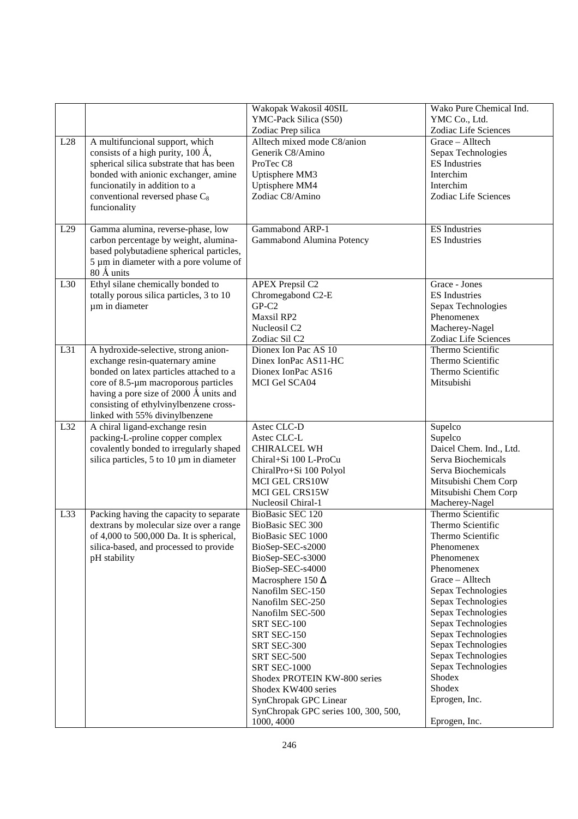|     |                                                                                 | Wakopak Wakosil 40SIL                | Wako Pure Chemical Ind.                |
|-----|---------------------------------------------------------------------------------|--------------------------------------|----------------------------------------|
|     |                                                                                 | YMC-Pack Silica (S50)                | YMC Co., Ltd.                          |
|     |                                                                                 | Zodiac Prep silica                   | Zodiac Life Sciences                   |
| L28 | A multifuncional support, which                                                 | Alltech mixed mode C8/anion          | Grace - Alltech                        |
|     | consists of a high purity, $100 \text{ Å}$ ,                                    | Generik C8/Amino                     | Sepax Technologies                     |
|     | spherical silica substrate that has been                                        | ProTec <sub>C8</sub>                 | <b>ES</b> Industries                   |
|     | bonded with anionic exchanger, amine                                            | Uptisphere MM3                       | Interchim                              |
|     | funcionatily in addition to a                                                   | Uptisphere MM4                       | Interchim                              |
|     | conventional reversed phase C <sub>8</sub>                                      | Zodiac C8/Amino                      | Zodiac Life Sciences                   |
|     | funcionality                                                                    |                                      |                                        |
|     |                                                                                 |                                      |                                        |
| L29 | Gamma alumina, reverse-phase, low                                               | Gammabond ARP-1                      | <b>ES</b> Industries                   |
|     | carbon percentage by weight, alumina-                                           | Gammabond Alumina Potency            | <b>ES</b> Industries                   |
|     | based polybutadiene spherical particles,                                        |                                      |                                        |
|     | 5 µm in diameter with a pore volume of                                          |                                      |                                        |
|     | 80 Å units                                                                      |                                      |                                        |
| L30 | Ethyl silane chemically bonded to                                               | <b>APEX Prepsil C2</b>               | Grace - Jones                          |
|     | totally porous silica particles, 3 to 10                                        | Chromegabond C2-E                    | <b>ES</b> Industries                   |
|     | um in diameter                                                                  | $GP-C2$                              | Sepax Technologies                     |
|     |                                                                                 | Maxsil RP2                           | Phenomenex                             |
|     |                                                                                 | Nucleosil C2                         |                                        |
|     |                                                                                 | Zodiac Sil C2                        | Macherey-Nagel<br>Zodiac Life Sciences |
| L31 |                                                                                 | Dionex Ion Pac AS 10                 | Thermo Scientific                      |
|     | A hydroxide-selective, strong anion-                                            | Dinex IonPac AS11-HC                 | Thermo Scientific                      |
|     | exchange resin-quaternary amine                                                 |                                      | Thermo Scientific                      |
|     | bonded on latex particles attached to a<br>core of 8.5-µm macroporous particles | Dionex IonPac AS16                   | Mitsubishi                             |
|     |                                                                                 | MCI Gel SCA04                        |                                        |
|     | having a pore size of 2000 Å units and                                          |                                      |                                        |
|     | consisting of ethylvinylbenzene cross-                                          |                                      |                                        |
|     | linked with 55% divinylbenzene                                                  |                                      |                                        |
| L32 | A chiral ligand-exchange resin                                                  | Astec CLC-D                          | Supelco                                |
|     | packing-L-proline copper complex                                                | Astec CLC-L                          | Supelco                                |
|     | covalently bonded to irregularly shaped                                         | CHIRALCEL WH                         | Daicel Chem. Ind., Ltd.                |
|     | silica particles, 5 to 10 µm in diameter                                        | Chiral+Si 100 L-ProCu                | Serva Biochemicals                     |
|     |                                                                                 | ChiralPro+Si 100 Polyol              | Serva Biochemicals                     |
|     |                                                                                 | MCI GEL CRS10W                       | Mitsubishi Chem Corp                   |
|     |                                                                                 | MCI GEL CRS15W                       | Mitsubishi Chem Corp                   |
|     |                                                                                 | Nucleosil Chiral-1                   | Macherey-Nagel                         |
| L33 | Packing having the capacity to separate                                         | BioBasic SEC 120                     | Thermo Scientific                      |
|     | dextrans by molecular size over a range                                         | BioBasic SEC 300                     | Thermo Scientific                      |
|     | of 4,000 to 500,000 Da. It is spherical,                                        | BioBasic SEC 1000                    | Thermo Scientific                      |
|     | silica-based, and processed to provide                                          | BioSep-SEC-s2000                     | Phenomenex                             |
|     | pH stability                                                                    | BioSep-SEC-s3000                     | Phenomenex                             |
|     |                                                                                 | BioSep-SEC-s4000                     | Phenomenex                             |
|     |                                                                                 | Macrosphere 150 $\Delta$             | Grace - Alltech                        |
|     |                                                                                 | Nanofilm SEC-150                     | Sepax Technologies                     |
|     |                                                                                 | Nanofilm SEC-250                     | Sepax Technologies                     |
|     |                                                                                 | Nanofilm SEC-500                     | Sepax Technologies                     |
|     |                                                                                 | SRT SEC-100                          | Sepax Technologies                     |
|     |                                                                                 | SRT SEC-150                          | Sepax Technologies                     |
|     |                                                                                 | SRT SEC-300                          | Sepax Technologies                     |
|     |                                                                                 | SRT SEC-500                          | Sepax Technologies                     |
|     |                                                                                 | SRT SEC-1000                         | Sepax Technologies                     |
|     |                                                                                 | Shodex PROTEIN KW-800 series         | Shodex                                 |
|     |                                                                                 | Shodex KW400 series                  | Shodex                                 |
|     |                                                                                 | SynChropak GPC Linear                | Eprogen, Inc.                          |
|     |                                                                                 | SynChropak GPC series 100, 300, 500, |                                        |
|     |                                                                                 | 1000, 4000                           | Eprogen, Inc.                          |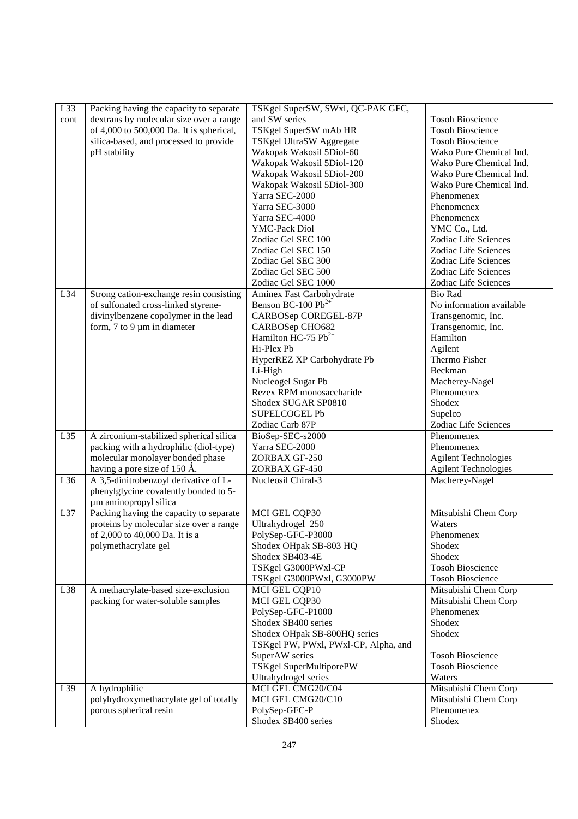| L33  | Packing having the capacity to separate  | TSKgel SuperSW, SWxl, QC-PAK GFC,    |                             |
|------|------------------------------------------|--------------------------------------|-----------------------------|
| cont | dextrans by molecular size over a range  | and SW series                        | <b>Tosoh Bioscience</b>     |
|      | of 4,000 to 500,000 Da. It is spherical, | TSKgel SuperSW mAb HR                | <b>Tosoh Bioscience</b>     |
|      |                                          |                                      |                             |
|      | silica-based, and processed to provide   | TSKgel UltraSW Aggregate             | <b>Tosoh Bioscience</b>     |
|      | pH stability                             | Wakopak Wakosil 5Diol-60             | Wako Pure Chemical Ind.     |
|      |                                          | Wakopak Wakosil 5Diol-120            | Wako Pure Chemical Ind.     |
|      |                                          | Wakopak Wakosil 5Diol-200            | Wako Pure Chemical Ind.     |
|      |                                          | Wakopak Wakosil 5Diol-300            | Wako Pure Chemical Ind.     |
|      |                                          | Yarra SEC-2000                       | Phenomenex                  |
|      |                                          | Yarra SEC-3000                       | Phenomenex                  |
|      |                                          | Yarra SEC-4000                       | Phenomenex                  |
|      |                                          | <b>YMC-Pack Diol</b>                 | YMC Co., Ltd.               |
|      |                                          | Zodiac Gel SEC 100                   | Zodiac Life Sciences        |
|      |                                          | Zodiac Gel SEC 150                   | Zodiac Life Sciences        |
|      |                                          | Zodiac Gel SEC 300                   | Zodiac Life Sciences        |
|      |                                          | Zodiac Gel SEC 500                   | Zodiac Life Sciences        |
|      |                                          | Zodiac Gel SEC 1000                  | Zodiac Life Sciences        |
| L34  | Strong cation-exchange resin consisting  | Aminex Fast Carbohydrate             | <b>Bio Rad</b>              |
|      | of sulfonated cross-linked styrene-      | Benson BC-100 $Pb^{2+}$              | No information available    |
|      | divinylbenzene copolymer in the lead     | CARBOSep COREGEL-87P                 | Transgenomic, Inc.          |
|      | form, $7$ to $9 \mu m$ in diameter       | CARBOSep CHO682                      | Transgenomic, Inc.          |
|      |                                          | Hamilton HC-75 $Pb^{2+}$             | Hamilton                    |
|      |                                          | Hi-Plex Pb                           |                             |
|      |                                          |                                      | Agilent                     |
|      |                                          | HyperREZ XP Carbohydrate Pb          | Thermo Fisher               |
|      |                                          | Li-High                              | Beckman                     |
|      |                                          | Nucleogel Sugar Pb                   | Macherey-Nagel              |
|      |                                          | Rezex RPM monosaccharide             | Phenomenex                  |
|      |                                          | Shodex SUGAR SP0810                  | Shodex                      |
|      |                                          | <b>SUPELCOGEL Pb</b>                 | Supelco                     |
|      |                                          | Zodiac Carb 87P                      | Zodiac Life Sciences        |
| L35  | A zirconium-stabilized spherical silica  | BioSep-SEC-s2000                     | Phenomenex                  |
|      | packing with a hydrophilic (diol-type)   | Yarra SEC-2000                       | Phenomenex                  |
|      | molecular monolayer bonded phase         | ZORBAX GF-250                        | <b>Agilent Technologies</b> |
|      | having a pore size of 150 Å.             | ZORBAX GF-450                        | <b>Agilent Technologies</b> |
| L36  | A 3,5-dinitrobenzoyl derivative of L-    | Nucleosil Chiral-3                   | Macherey-Nagel              |
|      | phenylglycine covalently bonded to 5-    |                                      |                             |
|      | µm aminopropyl silica                    |                                      |                             |
| L37  | Packing having the capacity to separate  | MCI GEL CQP30                        | Mitsubishi Chem Corp        |
|      | proteins by molecular size over a range  | Ultrahydrogel 250                    | Waters                      |
|      | of 2,000 to 40,000 Da. It is a           | PolySep-GFC-P3000                    | Phenomenex                  |
|      | polymethacrylate gel                     | Shodex OHpak SB-803 HQ               | Shodex                      |
|      |                                          | Shodex SB403-4E                      | Shodex                      |
|      |                                          | TSKgel G3000PWxl-CP                  | <b>Tosoh Bioscience</b>     |
|      |                                          | TSKgel G3000PWxl, G3000PW            | <b>Tosoh Bioscience</b>     |
| L38  | A methacrylate-based size-exclusion      | MCI GEL CQP10                        | Mitsubishi Chem Corp        |
|      | packing for water-soluble samples        | MCI GEL CQP30                        | Mitsubishi Chem Corp        |
|      |                                          | PolySep-GFC-P1000                    | Phenomenex                  |
|      |                                          | Shodex SB400 series                  | Shodex                      |
|      |                                          | Shodex OHpak SB-800HQ series         | Shodex                      |
|      |                                          | TSKgel PW, PWxl, PWxl-CP, Alpha, and |                             |
|      |                                          | SuperAW series                       | <b>Tosoh Bioscience</b>     |
|      |                                          |                                      | <b>Tosoh Bioscience</b>     |
|      |                                          | TSKgel SuperMultiporePW              |                             |
|      |                                          | Ultrahydrogel series                 | Waters                      |
| L39  | A hydrophilic                            | MCI GEL CMG20/C04                    | Mitsubishi Chem Corp        |
|      | polyhydroxymethacrylate gel of totally   | MCI GEL CMG20/C10                    | Mitsubishi Chem Corp        |
|      | porous spherical resin                   | PolySep-GFC-P                        | Phenomenex                  |
|      |                                          | Shodex SB400 series                  | Shodex                      |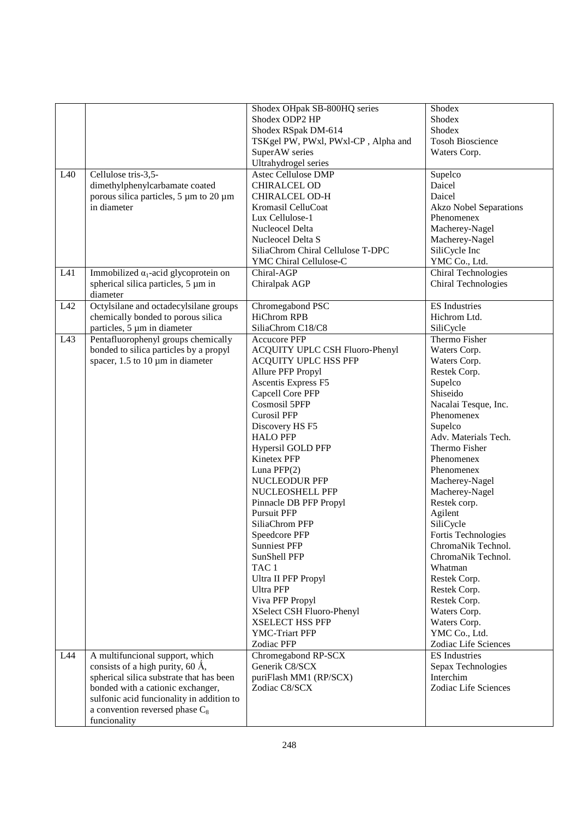|     |                                              | Shodex OHpak SB-800HQ series        | Shodex                          |
|-----|----------------------------------------------|-------------------------------------|---------------------------------|
|     |                                              | Shodex ODP2 HP                      | Shodex                          |
|     |                                              | Shodex RSpak DM-614                 | Shodex                          |
|     |                                              | TSKgel PW, PWxl, PWxl-CP, Alpha and | <b>Tosoh Bioscience</b>         |
|     |                                              | SuperAW series                      | Waters Corp.                    |
|     |                                              | Ultrahydrogel series                |                                 |
| L40 | Cellulose tris-3,5-                          | <b>Astec Cellulose DMP</b>          | Supelco                         |
|     | dimethylphenylcarbamate coated               | <b>CHIRALCEL OD</b>                 | Daicel                          |
|     | porous silica particles, 5 μm to 20 μm       | <b>CHIRALCEL OD-H</b>               | Daicel                          |
|     | in diameter                                  | Kromasil CelluCoat                  | <b>Akzo Nobel Separations</b>   |
|     |                                              | Lux Cellulose-1                     | Phenomenex                      |
|     |                                              | Nucleocel Delta                     | Macherey-Nagel                  |
|     |                                              | Nucleocel Delta S                   |                                 |
|     |                                              | SiliaChrom Chiral Cellulose T-DPC   | Macherey-Nagel<br>SiliCycle Inc |
|     |                                              |                                     |                                 |
|     |                                              | YMC Chiral Cellulose-C              | YMC Co., Ltd.                   |
| L41 | Immobilized $\alpha_1$ -acid glycoprotein on | Chiral-AGP                          | Chiral Technologies             |
|     | spherical silica particles, 5 µm in          | Chiralpak AGP                       | Chiral Technologies             |
|     | diameter                                     |                                     |                                 |
| L42 | Octylsilane and octadecylsilane groups       | Chromegabond PSC                    | <b>ES</b> Industries            |
|     | chemically bonded to porous silica           | <b>HiChrom RPB</b>                  | Hichrom Ltd.                    |
|     | particles, 5 µm in diameter                  | SiliaChrom C18/C8                   | SiliCycle                       |
| L43 | Pentafluorophenyl groups chemically          | <b>Accucore PFP</b>                 | Thermo Fisher                   |
|     | bonded to silica particles by a propyl       | ACQUITY UPLC CSH Fluoro-Phenyl      | Waters Corp.                    |
|     | spacer, $1.5$ to $10 \mu m$ in diameter      | <b>ACQUITY UPLC HSS PFP</b>         | Waters Corp.                    |
|     |                                              | Allure PFP Propyl                   | Restek Corp.                    |
|     |                                              | Ascentis Express F5                 | Supelco                         |
|     |                                              | Capcell Core PFP                    | Shiseido                        |
|     |                                              | Cosmosil 5PFP                       | Nacalai Tesque, Inc.            |
|     |                                              | <b>Curosil PFP</b>                  | Phenomenex                      |
|     |                                              | Discovery HS F5                     | Supelco                         |
|     |                                              | <b>HALO PFP</b>                     | Adv. Materials Tech.            |
|     |                                              | Hypersil GOLD PFP                   | Thermo Fisher                   |
|     |                                              | Kinetex PFP                         | Phenomenex                      |
|     |                                              | Luna $PFP(2)$                       | Phenomenex                      |
|     |                                              | <b>NUCLEODUR PFP</b>                | Macherey-Nagel                  |
|     |                                              | NUCLEOSHELL PFP                     | Macherey-Nagel                  |
|     |                                              | Pinnacle DB PFP Propyl              | Restek corp.                    |
|     |                                              | <b>Pursuit PFP</b>                  | Agilent                         |
|     |                                              | SiliaChrom PFP                      | SiliCycle                       |
|     |                                              | Speedcore PFP                       | Fortis Technologies             |
|     |                                              | <b>Sunniest PFP</b>                 | ChromaNik Technol.              |
|     |                                              | SunShell PFP                        | ChromaNik Technol.              |
|     |                                              | TAC <sub>1</sub>                    | Whatman                         |
|     |                                              | Ultra II PFP Propyl                 | Restek Corp.                    |
|     |                                              | <b>Ultra PFP</b>                    | Restek Corp.                    |
|     |                                              | Viva PFP Propyl                     | Restek Corp.                    |
|     |                                              | XSelect CSH Fluoro-Phenyl           | Waters Corp.                    |
|     |                                              | <b>XSELECT HSS PFP</b>              | Waters Corp.                    |
|     |                                              | YMC-Triart PFP                      | YMC Co., Ltd.                   |
|     |                                              | Zodiac PFP                          | Zodiac Life Sciences            |
| L44 | A multifuncional support, which              | Chromegabond RP-SCX                 | <b>ES</b> Industries            |
|     | consists of a high purity, 60 $\AA$ ,        | Generik C8/SCX                      | Sepax Technologies              |
|     | spherical silica substrate that has been     | puriFlash MM1 (RP/SCX)              | Interchim                       |
|     | bonded with a cationic exchanger,            | Zodiac C8/SCX                       | Zodiac Life Sciences            |
|     | sulfonic acid funcionality in addition to    |                                     |                                 |
|     | a convention reversed phase $C_8$            |                                     |                                 |
|     | funcionality                                 |                                     |                                 |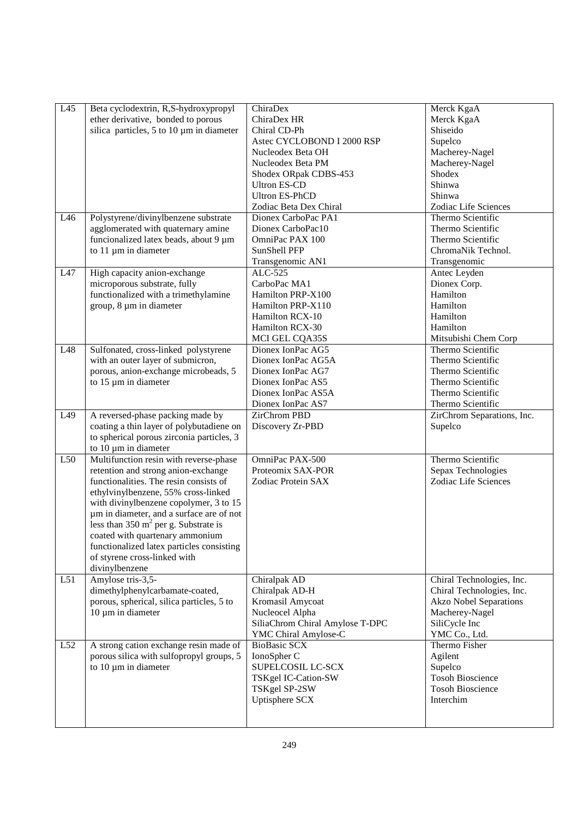| L51<br>L52 | um in diameter, and a surface are of not<br>less than $350 \text{ m}^2$ per g. Substrate is<br>coated with quartenary ammonium<br>functionalized latex particles consisting<br>of styrene cross-linked with<br>divinylbenzene<br>Amylose tris-3,5-<br>dimethylphenylcarbamate-coated,<br>porous, spherical, silica particles, 5 to<br>$10 \mu m$ in diameter<br>A strong cation exchange resin made of | Chiralpak AD<br>Chiralpak AD-H<br>Kromasil Amycoat<br>Nucleocel Alpha<br>SiliaChrom Chiral Amylose T-DPC<br>YMC Chiral Amylose-C<br><b>BioBasic SCX</b> | Chiral Technologies, Inc.<br>Chiral Technologies, Inc.<br><b>Akzo Nobel Separations</b><br>Macherey-Nagel<br>SiliCycle Inc<br>YMC Co., Ltd.<br>Thermo Fisher |
|------------|--------------------------------------------------------------------------------------------------------------------------------------------------------------------------------------------------------------------------------------------------------------------------------------------------------------------------------------------------------------------------------------------------------|---------------------------------------------------------------------------------------------------------------------------------------------------------|--------------------------------------------------------------------------------------------------------------------------------------------------------------|
|            |                                                                                                                                                                                                                                                                                                                                                                                                        |                                                                                                                                                         |                                                                                                                                                              |
|            |                                                                                                                                                                                                                                                                                                                                                                                                        |                                                                                                                                                         |                                                                                                                                                              |
|            |                                                                                                                                                                                                                                                                                                                                                                                                        |                                                                                                                                                         |                                                                                                                                                              |
|            |                                                                                                                                                                                                                                                                                                                                                                                                        |                                                                                                                                                         |                                                                                                                                                              |
|            |                                                                                                                                                                                                                                                                                                                                                                                                        |                                                                                                                                                         |                                                                                                                                                              |
|            |                                                                                                                                                                                                                                                                                                                                                                                                        |                                                                                                                                                         |                                                                                                                                                              |
|            | with divinylbenzene copolymer, 3 to 15                                                                                                                                                                                                                                                                                                                                                                 |                                                                                                                                                         |                                                                                                                                                              |
|            | ethylvinylbenzene, 55% cross-linked                                                                                                                                                                                                                                                                                                                                                                    |                                                                                                                                                         |                                                                                                                                                              |
|            | retention and strong anion-exchange<br>functionalities. The resin consists of                                                                                                                                                                                                                                                                                                                          | Proteomix SAX-POR<br>Zodiac Protein SAX                                                                                                                 | Sepax Technologies<br>Zodiac Life Sciences                                                                                                                   |
| L50        | Multifunction resin with reverse-phase                                                                                                                                                                                                                                                                                                                                                                 | OmniPac PAX-500                                                                                                                                         | Thermo Scientific                                                                                                                                            |
|            | to spherical porous zirconia particles, 3<br>to $10 \mu m$ in diameter                                                                                                                                                                                                                                                                                                                                 |                                                                                                                                                         |                                                                                                                                                              |
| L49        | A reversed-phase packing made by<br>coating a thin layer of polybutadiene on                                                                                                                                                                                                                                                                                                                           | <b>ZirChrom PBD</b><br>Discovery Zr-PBD                                                                                                                 | ZirChrom Separations, Inc.<br>Supelco                                                                                                                        |
|            |                                                                                                                                                                                                                                                                                                                                                                                                        | Dionex IonPac AS7                                                                                                                                       | Thermo Scientific                                                                                                                                            |
|            |                                                                                                                                                                                                                                                                                                                                                                                                        | Dionex IonPac AS5A                                                                                                                                      | Thermo Scientific                                                                                                                                            |
|            | porous, anion-exchange microbeads, 5<br>to 15 µm in diameter                                                                                                                                                                                                                                                                                                                                           | Dionex IonPac AG7<br>Dionex IonPac AS5                                                                                                                  | Thermo Scientific<br>Thermo Scientific                                                                                                                       |
|            | with an outer layer of submicron,                                                                                                                                                                                                                                                                                                                                                                      | Dionex IonPac AG5A                                                                                                                                      | Thermo Scientific                                                                                                                                            |
| L48        | Sulfonated, cross-linked polystyrene                                                                                                                                                                                                                                                                                                                                                                   | Dionex IonPac AG5                                                                                                                                       | Thermo Scientific                                                                                                                                            |
|            |                                                                                                                                                                                                                                                                                                                                                                                                        | MCI GEL CQA35S                                                                                                                                          | Mitsubishi Chem Corp                                                                                                                                         |
|            |                                                                                                                                                                                                                                                                                                                                                                                                        | Hamilton RCX-30                                                                                                                                         | Hamilton                                                                                                                                                     |
|            | group, 8 µm in diameter                                                                                                                                                                                                                                                                                                                                                                                | Hamilton PRP-X110<br>Hamilton RCX-10                                                                                                                    | Hamilton<br>Hamilton                                                                                                                                         |
|            | functionalized with a trimethylamine                                                                                                                                                                                                                                                                                                                                                                   | Hamilton PRP-X100                                                                                                                                       | Hamilton                                                                                                                                                     |
|            | microporous substrate, fully                                                                                                                                                                                                                                                                                                                                                                           | CarboPac MA1                                                                                                                                            | Dionex Corp.                                                                                                                                                 |
| L47        | High capacity anion-exchange                                                                                                                                                                                                                                                                                                                                                                           | ALC-525                                                                                                                                                 | Antec Leyden                                                                                                                                                 |
|            |                                                                                                                                                                                                                                                                                                                                                                                                        | Transgenomic AN1                                                                                                                                        | Transgenomic                                                                                                                                                 |
|            | to 11 µm in diameter                                                                                                                                                                                                                                                                                                                                                                                   | <b>SunShell PFP</b>                                                                                                                                     | ChromaNik Technol.                                                                                                                                           |
|            | funcionalized latex beads, about 9 µm                                                                                                                                                                                                                                                                                                                                                                  | OmniPac PAX 100                                                                                                                                         | Thermo Scientific                                                                                                                                            |
| L46        | Polystyrene/divinylbenzene substrate<br>agglomerated with quaternary amine                                                                                                                                                                                                                                                                                                                             | Dionex CarboPac PA1<br>Dionex CarboPac10                                                                                                                | Thermo Scientific<br>Thermo Scientific                                                                                                                       |
|            |                                                                                                                                                                                                                                                                                                                                                                                                        | Zodiac Beta Dex Chiral                                                                                                                                  | Zodiac Life Sciences                                                                                                                                         |
|            |                                                                                                                                                                                                                                                                                                                                                                                                        | <b>Ultron ES-PhCD</b>                                                                                                                                   | Shinwa                                                                                                                                                       |
|            |                                                                                                                                                                                                                                                                                                                                                                                                        | <b>Ultron ES-CD</b>                                                                                                                                     | Shinwa                                                                                                                                                       |
|            |                                                                                                                                                                                                                                                                                                                                                                                                        | Shodex ORpak CDBS-453                                                                                                                                   | Shodex                                                                                                                                                       |
|            |                                                                                                                                                                                                                                                                                                                                                                                                        | Nucleodex Beta PM                                                                                                                                       | Macherey-Nagel                                                                                                                                               |
|            |                                                                                                                                                                                                                                                                                                                                                                                                        | Astec CYCLOBOND I 2000 RSP<br>Nucleodex Beta OH                                                                                                         | Supelco<br>Macherey-Nagel                                                                                                                                    |
|            | silica particles, 5 to 10 $\mu$ m in diameter                                                                                                                                                                                                                                                                                                                                                          | Chiral CD-Ph                                                                                                                                            | Shiseido                                                                                                                                                     |
|            | ether derivative, bonded to porous                                                                                                                                                                                                                                                                                                                                                                     | ChiraDex HR                                                                                                                                             | Merck KgaA                                                                                                                                                   |
| L45        | Beta cyclodextrin, R,S-hydroxypropyl                                                                                                                                                                                                                                                                                                                                                                   | ChiraDex                                                                                                                                                | Merck KgaA                                                                                                                                                   |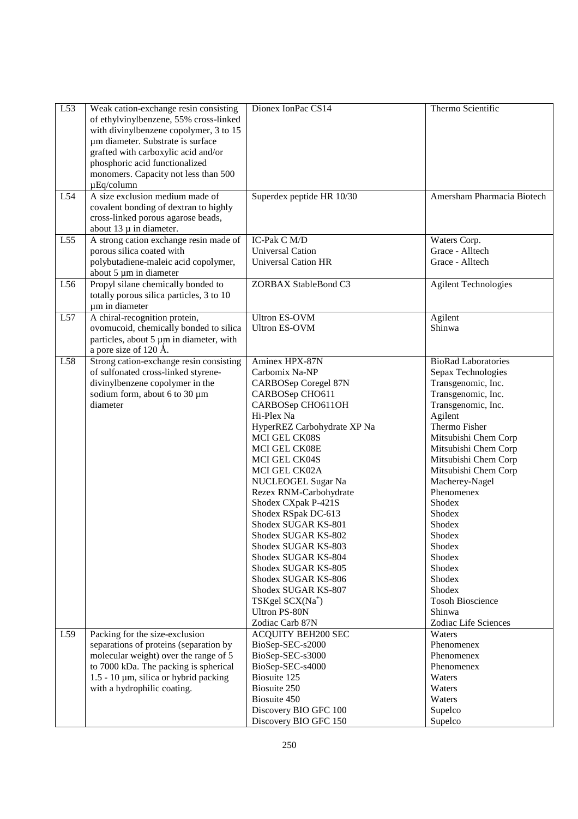| L53 | Weak cation-exchange resin consisting              | Dionex IonPac CS14                  | Thermo Scientific                            |
|-----|----------------------------------------------------|-------------------------------------|----------------------------------------------|
|     | of ethylvinylbenzene, 55% cross-linked             |                                     |                                              |
|     | with divinylbenzene copolymer, 3 to 15             |                                     |                                              |
|     | um diameter. Substrate is surface                  |                                     |                                              |
|     | grafted with carboxylic acid and/or                |                                     |                                              |
|     | phosphoric acid functionalized                     |                                     |                                              |
|     | monomers. Capacity not less than 500               |                                     |                                              |
|     | $\mu$ Eq/column<br>A size exclusion medium made of |                                     |                                              |
| L54 | covalent bonding of dextran to highly              | Superdex peptide HR 10/30           | Amersham Pharmacia Biotech                   |
|     | cross-linked porous agarose beads,                 |                                     |                                              |
|     | about $13 \mu$ in diameter.                        |                                     |                                              |
| L55 | A strong cation exchange resin made of             | <b>IC-Pak C M/D</b>                 | Waters Corp.                                 |
|     | porous silica coated with                          | <b>Universal Cation</b>             | Grace - Alltech                              |
|     | polybutadiene-maleic acid copolymer,               | <b>Universal Cation HR</b>          | Grace - Alltech                              |
|     | about 5 µm in diameter                             |                                     |                                              |
| L56 | Propyl silane chemically bonded to                 | ZORBAX StableBond C3                | <b>Agilent Technologies</b>                  |
|     | totally porous silica particles, 3 to 10           |                                     |                                              |
|     | um in diameter                                     |                                     |                                              |
| L57 | A chiral-recognition protein,                      | <b>Ultron ES-OVM</b>                | Agilent                                      |
|     | ovomucoid, chemically bonded to silica             | <b>Ultron ES-OVM</b>                | Shinwa                                       |
|     | particles, about 5 µm in diameter, with            |                                     |                                              |
|     | a pore size of 120 Å.                              |                                     |                                              |
| L58 | Strong cation-exchange resin consisting            | Aminex HPX-87N                      | <b>BioRad Laboratories</b>                   |
|     | of sulfonated cross-linked styrene-                | Carbomix Na-NP                      | Sepax Technologies                           |
|     | divinylbenzene copolymer in the                    | CARBOSep Coregel 87N                | Transgenomic, Inc.                           |
|     | sodium form, about 6 to 30 µm                      | CARBOSep CHO611                     | Transgenomic, Inc.                           |
|     | diameter                                           | CARBOSep CHO611OH                   | Transgenomic, Inc.                           |
|     |                                                    | Hi-Plex Na                          | Agilent                                      |
|     |                                                    | HyperREZ Carbohydrate XP Na         | Thermo Fisher                                |
|     |                                                    | MCI GEL CK08S                       | Mitsubishi Chem Corp                         |
|     |                                                    | MCI GEL CK08E                       | Mitsubishi Chem Corp                         |
|     |                                                    | MCI GEL CK04S                       | Mitsubishi Chem Corp<br>Mitsubishi Chem Corp |
|     |                                                    | MCI GEL CK02A<br>NUCLEOGEL Sugar Na | Macherey-Nagel                               |
|     |                                                    | Rezex RNM-Carbohydrate              | Phenomenex                                   |
|     |                                                    | Shodex CXpak P-421S                 | Shodex                                       |
|     |                                                    | Shodex RSpak DC-613                 | Shodex                                       |
|     |                                                    | Shodex SUGAR KS-801                 | Shodex                                       |
|     |                                                    | Shodex SUGAR KS-802                 | Shodex                                       |
|     |                                                    | Shodex SUGAR KS-803                 | Shodex                                       |
|     |                                                    | Shodex SUGAR KS-804                 | Shodex                                       |
|     |                                                    | Shodex SUGAR KS-805                 | Shodex                                       |
|     |                                                    | Shodex SUGAR KS-806                 | Shodex                                       |
|     |                                                    | Shodex SUGAR KS-807                 | Shodex                                       |
|     |                                                    | TSKgel SCX(Na <sup>+</sup> )        | <b>Tosoh Bioscience</b>                      |
|     |                                                    | <b>Ultron PS-80N</b>                | Shinwa                                       |
|     |                                                    | Zodiac Carb 87N                     | Zodiac Life Sciences                         |
| L59 | Packing for the size-exclusion                     | <b>ACQUITY BEH200 SEC</b>           | Waters                                       |
|     | separations of proteins (separation by             | BioSep-SEC-s2000                    | Phenomenex                                   |
|     | molecular weight) over the range of 5              | BioSep-SEC-s3000                    | Phenomenex                                   |
|     | to 7000 kDa. The packing is spherical              | BioSep-SEC-s4000                    | Phenomenex                                   |
|     | $1.5 - 10 \mu m$ , silica or hybrid packing        | Biosuite 125                        | Waters                                       |
|     | with a hydrophilic coating.                        | Biosuite 250                        | Waters                                       |
|     |                                                    | Biosuite 450                        | Waters                                       |
|     |                                                    | Discovery BIO GFC 100               | Supelco                                      |
|     |                                                    | Discovery BIO GFC 150               | Supelco                                      |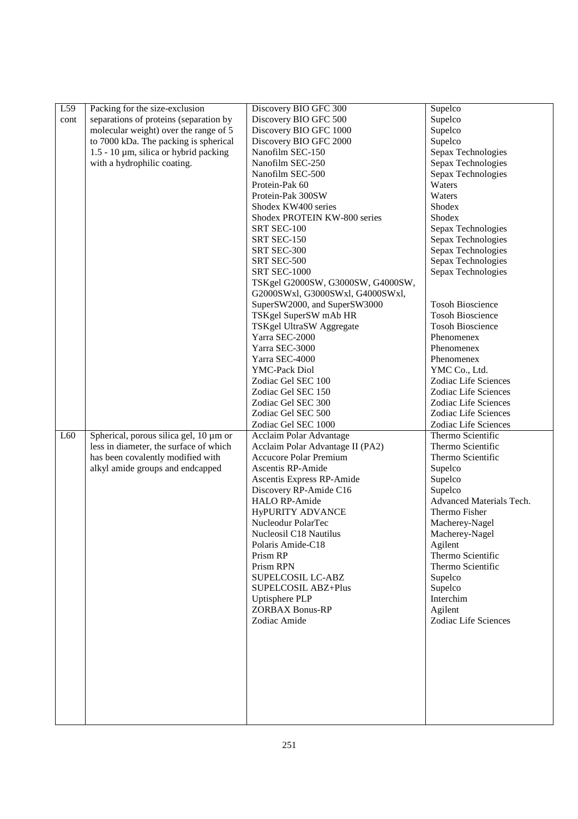| L59  | Packing for the size-exclusion              | Discovery BIO GFC 300             | Supelco                  |
|------|---------------------------------------------|-----------------------------------|--------------------------|
| cont | separations of proteins (separation by      | Discovery BIO GFC 500             | Supelco                  |
|      | molecular weight) over the range of 5       | Discovery BIO GFC 1000            | Supelco                  |
|      | to 7000 kDa. The packing is spherical       | Discovery BIO GFC 2000            | Supelco                  |
|      | $1.5 - 10 \mu m$ , silica or hybrid packing | Nanofilm SEC-150                  | Sepax Technologies       |
|      | with a hydrophilic coating.                 | Nanofilm SEC-250                  | Sepax Technologies       |
|      |                                             | Nanofilm SEC-500                  | Sepax Technologies       |
|      |                                             | Protein-Pak 60                    | Waters                   |
|      |                                             | Protein-Pak 300SW                 | Waters                   |
|      |                                             | Shodex KW400 series               | Shodex                   |
|      |                                             | Shodex PROTEIN KW-800 series      | Shodex                   |
|      |                                             | SRT SEC-100                       |                          |
|      |                                             |                                   | Sepax Technologies       |
|      |                                             | SRT SEC-150                       | Sepax Technologies       |
|      |                                             | SRT SEC-300                       | Sepax Technologies       |
|      |                                             | SRT SEC-500                       | Sepax Technologies       |
|      |                                             | <b>SRT SEC-1000</b>               | Sepax Technologies       |
|      |                                             | TSKgel G2000SW, G3000SW, G4000SW, |                          |
|      |                                             | G2000SWxl, G3000SWxl, G4000SWxl,  |                          |
|      |                                             | SuperSW2000, and SuperSW3000      | <b>Tosoh Bioscience</b>  |
|      |                                             | TSKgel SuperSW mAb HR             | <b>Tosoh Bioscience</b>  |
|      |                                             | TSKgel UltraSW Aggregate          | <b>Tosoh Bioscience</b>  |
|      |                                             | Yarra SEC-2000                    | Phenomenex               |
|      |                                             | Yarra SEC-3000                    | Phenomenex               |
|      |                                             | Yarra SEC-4000                    | Phenomenex               |
|      |                                             | YMC-Pack Diol                     | YMC Co., Ltd.            |
|      |                                             | Zodiac Gel SEC 100                | Zodiac Life Sciences     |
|      |                                             | Zodiac Gel SEC 150                | Zodiac Life Sciences     |
|      |                                             | Zodiac Gel SEC 300                | Zodiac Life Sciences     |
|      |                                             | Zodiac Gel SEC 500                | Zodiac Life Sciences     |
|      |                                             | Zodiac Gel SEC 1000               | Zodiac Life Sciences     |
| L60  | Spherical, porous silica gel, 10 µm or      | Acclaim Polar Advantage           | Thermo Scientific        |
|      | less in diameter, the surface of which      | Acclaim Polar Advantage II (PA2)  | Thermo Scientific        |
|      | has been covalently modified with           | <b>Accucore Polar Premium</b>     | Thermo Scientific        |
|      | alkyl amide groups and endcapped            | Ascentis RP-Amide                 | Supelco                  |
|      |                                             | Ascentis Express RP-Amide         | Supelco                  |
|      |                                             | Discovery RP-Amide C16            | Supelco                  |
|      |                                             | <b>HALO RP-Amide</b>              | Advanced Materials Tech. |
|      |                                             | <b>HyPURITY ADVANCE</b>           | Thermo Fisher            |
|      |                                             | Nucleodur PolarTec                | Macherey-Nagel           |
|      |                                             | Nucleosil C18 Nautilus            | Macherey-Nagel           |
|      |                                             | Polaris Amide-C18                 | Agilent                  |
|      |                                             | Prism RP                          | Thermo Scientific        |
|      |                                             | Prism RPN                         | Thermo Scientific        |
|      |                                             | SUPELCOSIL LC-ABZ                 | Supelco                  |
|      |                                             | SUPELCOSIL ABZ+Plus               | Supelco                  |
|      |                                             | Uptisphere PLP                    | Interchim                |
|      |                                             | <b>ZORBAX Bonus-RP</b>            | Agilent                  |
|      |                                             | Zodiac Amide                      | Zodiac Life Sciences     |
|      |                                             |                                   |                          |
|      |                                             |                                   |                          |
|      |                                             |                                   |                          |
|      |                                             |                                   |                          |
|      |                                             |                                   |                          |
|      |                                             |                                   |                          |
|      |                                             |                                   |                          |
|      |                                             |                                   |                          |
|      |                                             |                                   |                          |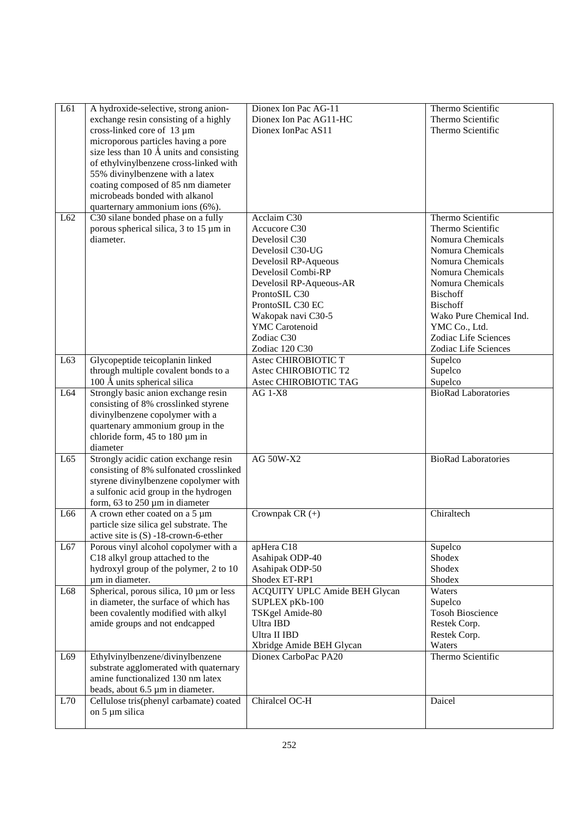| L61          | A hydroxide-selective, strong anion-<br>exchange resin consisting of a highly<br>cross-linked core of 13 µm<br>microporous particles having a pore<br>size less than 10 Å units and consisting              | Dionex Ion Pac AG-11<br>Dionex Ion Pac AG11-HC<br>Dionex IonPac AS11                                                                                                                                                                                          | Thermo Scientific<br>Thermo Scientific<br>Thermo Scientific                                                                                                                                                                                                                  |
|--------------|-------------------------------------------------------------------------------------------------------------------------------------------------------------------------------------------------------------|---------------------------------------------------------------------------------------------------------------------------------------------------------------------------------------------------------------------------------------------------------------|------------------------------------------------------------------------------------------------------------------------------------------------------------------------------------------------------------------------------------------------------------------------------|
|              | of ethylvinylbenzene cross-linked with<br>55% divinylbenzene with a latex<br>coating composed of 85 nm diameter<br>microbeads bonded with alkanol<br>quarternary ammonium ions (6%).                        |                                                                                                                                                                                                                                                               |                                                                                                                                                                                                                                                                              |
| L62          | C30 silane bonded phase on a fully<br>porous spherical silica, $3$ to $15 \mu m$ in<br>diameter.                                                                                                            | Acclaim C30<br>Accucore C30<br>Develosil C30<br>Develosil C30-UG<br>Develosil RP-Aqueous<br>Develosil Combi-RP<br>Develosil RP-Aqueous-AR<br>ProntoSIL C30<br>ProntoSIL C30 EC<br>Wakopak navi C30-5<br><b>YMC</b> Carotenoid<br>Zodiac C30<br>Zodiac 120 C30 | Thermo Scientific<br>Thermo Scientific<br>Nomura Chemicals<br>Nomura Chemicals<br>Nomura Chemicals<br>Nomura Chemicals<br>Nomura Chemicals<br><b>Bischoff</b><br><b>Bischoff</b><br>Wako Pure Chemical Ind.<br>YMC Co., Ltd.<br>Zodiac Life Sciences<br>Zodiac Life Sciences |
| L63          | Glycopeptide teicoplanin linked<br>through multiple covalent bonds to a<br>100 Å units spherical silica                                                                                                     | Astec CHIROBIOTIC T<br>Astec CHIROBIOTIC T2<br>Astec CHIROBIOTIC TAG                                                                                                                                                                                          | Supelco<br>Supelco<br>Supelco                                                                                                                                                                                                                                                |
| L64          | Strongly basic anion exchange resin<br>consisting of 8% crosslinked styrene<br>divinylbenzene copolymer with a<br>quartenary ammonium group in the<br>chloride form, 45 to 180 µm in<br>diameter            | $AG$ 1- $X8$                                                                                                                                                                                                                                                  | <b>BioRad Laboratories</b>                                                                                                                                                                                                                                                   |
| L65          | Strongly acidic cation exchange resin<br>consisting of 8% sulfonated crosslinked<br>styrene divinylbenzene copolymer with<br>a sulfonic acid group in the hydrogen<br>form, $63$ to $250 \mu m$ in diameter | <b>AG 50W-X2</b>                                                                                                                                                                                                                                              | <b>BioRad Laboratories</b>                                                                                                                                                                                                                                                   |
| L66          | A crown ether coated on a 5 µm<br>particle size silica gel substrate. The<br>active site is (S) -18-crown-6-ether                                                                                           | Crownpak CR $(+)$                                                                                                                                                                                                                                             | Chiraltech                                                                                                                                                                                                                                                                   |
| L67          | Porous vinyl alcohol copolymer with a<br>C18 alkyl group attached to the<br>hydroxyl group of the polymer, 2 to 10<br>um in diameter.                                                                       | apHera C18<br>Asahipak ODP-40<br>Asahipak ODP-50<br>Shodex ET-RP1                                                                                                                                                                                             | Supelco<br>Shodex<br>Shodex<br>Shodex                                                                                                                                                                                                                                        |
| L68          | Spherical, porous silica, 10 µm or less<br>in diameter, the surface of which has<br>been covalently modified with alkyl<br>amide groups and not endcapped                                                   | ACQUITY UPLC Amide BEH Glycan<br>SUPLEX pKb-100<br>TSKgel Amide-80<br>Ultra IBD<br>Ultra II IBD<br>Xbridge Amide BEH Glycan                                                                                                                                   | Waters<br>Supelco<br><b>Tosoh Bioscience</b><br>Restek Corp.<br>Restek Corp.<br>Waters                                                                                                                                                                                       |
| L69          | Ethylvinylbenzene/divinylbenzene<br>substrate agglomerated with quaternary<br>amine functionalized 130 nm latex<br>beads, about 6.5 µm in diameter.                                                         | Dionex CarboPac PA20                                                                                                                                                                                                                                          | Thermo Scientific                                                                                                                                                                                                                                                            |
| $\mbox{L}70$ | Cellulose tris(phenyl carbamate) coated<br>on 5 µm silica                                                                                                                                                   | Chiralcel OC-H                                                                                                                                                                                                                                                | Daicel                                                                                                                                                                                                                                                                       |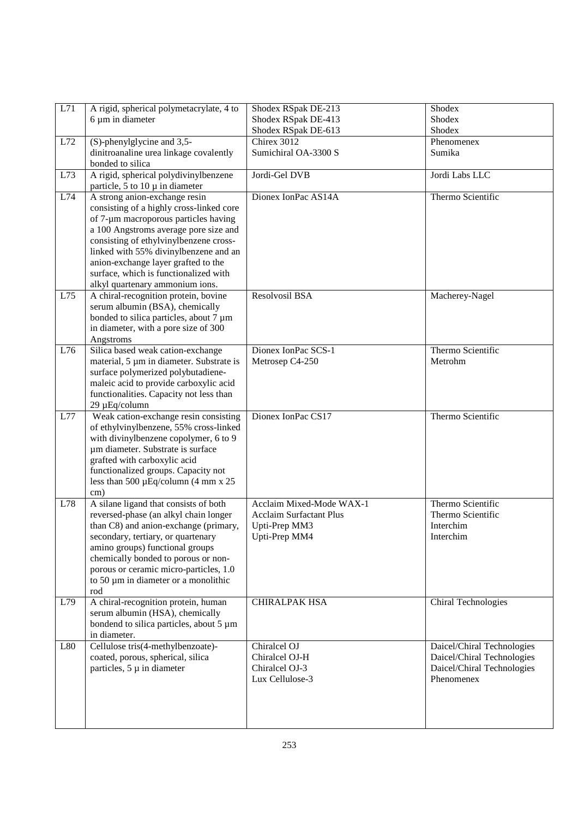| L71 | A rigid, spherical polymetacrylate, 4 to                                          | Shodex RSpak DE-213                                        | Shodex                                                   |
|-----|-----------------------------------------------------------------------------------|------------------------------------------------------------|----------------------------------------------------------|
|     | 6 µm in diameter                                                                  | Shodex RSpak DE-413                                        | Shodex                                                   |
|     |                                                                                   | Shodex RSpak DE-613                                        | Shodex                                                   |
| L72 | (S)-phenylglycine and 3,5-                                                        | Chirex 3012                                                | Phenomenex                                               |
|     | dinitroanaline urea linkage covalently                                            | Sumichiral OA-3300 S                                       | Sumika                                                   |
|     | bonded to silica                                                                  |                                                            |                                                          |
| L73 | A rigid, spherical polydivinylbenzene                                             | Jordi-Gel DVB                                              | Jordi Labs LLC                                           |
|     | particle, 5 to 10 $\mu$ in diameter                                               |                                                            |                                                          |
| L74 | A strong anion-exchange resin                                                     | Dionex IonPac AS14A                                        | Thermo Scientific                                        |
|     | consisting of a highly cross-linked core                                          |                                                            |                                                          |
|     | of 7-µm macroporous particles having                                              |                                                            |                                                          |
|     | a 100 Angstroms average pore size and<br>consisting of ethylvinylbenzene cross-   |                                                            |                                                          |
|     | linked with 55% divinylbenzene and an                                             |                                                            |                                                          |
|     | anion-exchange layer grafted to the                                               |                                                            |                                                          |
|     | surface, which is functionalized with                                             |                                                            |                                                          |
|     | alkyl quartenary ammonium ions.                                                   |                                                            |                                                          |
| L75 | A chiral-recognition protein, bovine                                              | Resolvosil BSA                                             | Macherey-Nagel                                           |
|     | serum albumin (BSA), chemically                                                   |                                                            |                                                          |
|     | bonded to silica particles, about 7 µm                                            |                                                            |                                                          |
|     | in diameter, with a pore size of 300                                              |                                                            |                                                          |
|     | Angstroms                                                                         |                                                            |                                                          |
| L76 | Silica based weak cation-exchange                                                 | Dionex IonPac SCS-1                                        | Thermo Scientific                                        |
|     | material, 5 µm in diameter. Substrate is                                          | Metrosep C4-250                                            | Metrohm                                                  |
|     | surface polymerized polybutadiene-                                                |                                                            |                                                          |
|     | maleic acid to provide carboxylic acid<br>functionalities. Capacity not less than |                                                            |                                                          |
|     | 29 µEq/column                                                                     |                                                            |                                                          |
| L77 | Weak cation-exchange resin consisting                                             | Dionex IonPac CS17                                         | Thermo Scientific                                        |
|     | of ethylvinylbenzene, 55% cross-linked                                            |                                                            |                                                          |
|     | with divinylbenzene copolymer, 6 to 9                                             |                                                            |                                                          |
|     | um diameter. Substrate is surface                                                 |                                                            |                                                          |
|     | grafted with carboxylic acid                                                      |                                                            |                                                          |
|     | functionalized groups. Capacity not                                               |                                                            |                                                          |
|     | less than 500 $\mu$ Eq/column (4 mm x 25                                          |                                                            |                                                          |
|     | cm)                                                                               |                                                            |                                                          |
| L78 | A silane ligand that consists of both                                             | Acclaim Mixed-Mode WAX-1<br><b>Acclaim Surfactant Plus</b> | Thermo Scientific<br>Thermo Scientific                   |
|     | reversed-phase (an alkyl chain longer<br>than C8) and anion-exchange (primary,    | Upti-Prep MM3                                              | Interchim                                                |
|     | secondary, tertiary, or quartenary                                                | Upti-Prep MM4                                              | Interchim                                                |
|     | amino groups) functional groups                                                   |                                                            |                                                          |
|     | chemically bonded to porous or non-                                               |                                                            |                                                          |
|     | porous or ceramic micro-particles, 1.0                                            |                                                            |                                                          |
|     | to 50 $\mu$ m in diameter or a monolithic                                         |                                                            |                                                          |
|     | rod                                                                               |                                                            |                                                          |
| L79 | A chiral-recognition protein, human                                               | CHIRALPAK HSA                                              | Chiral Technologies                                      |
|     | serum albumin (HSA), chemically                                                   |                                                            |                                                          |
|     | bondend to silica particles, about 5 µm                                           |                                                            |                                                          |
|     | in diameter.                                                                      |                                                            |                                                          |
| L80 | Cellulose tris(4-methylbenzoate)-<br>coated, porous, spherical, silica            | Chiralcel OJ<br>Chiralcel OJ-H                             | Daicel/Chiral Technologies<br>Daicel/Chiral Technologies |
|     | particles, $5 \mu$ in diameter                                                    | Chiralcel OJ-3                                             | Daicel/Chiral Technologies                               |
|     |                                                                                   | Lux Cellulose-3                                            | Phenomenex                                               |
|     |                                                                                   |                                                            |                                                          |
|     |                                                                                   |                                                            |                                                          |
|     |                                                                                   |                                                            |                                                          |
|     |                                                                                   |                                                            |                                                          |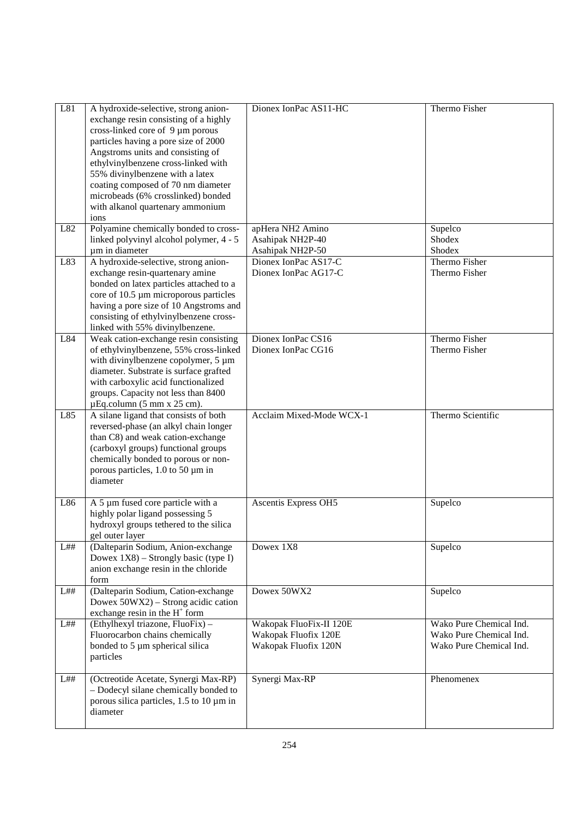| L81 | A hydroxide-selective, strong anion-<br>exchange resin consisting of a highly<br>cross-linked core of 9 µm porous<br>particles having a pore size of 2000<br>Angstroms units and consisting of<br>ethylvinylbenzene cross-linked with<br>55% divinylbenzene with a latex<br>coating composed of 70 nm diameter<br>microbeads (6% crosslinked) bonded<br>with alkanol quartenary ammonium<br>ions | Dionex IonPac AS11-HC                                                   | Thermo Fisher                                                                 |
|-----|--------------------------------------------------------------------------------------------------------------------------------------------------------------------------------------------------------------------------------------------------------------------------------------------------------------------------------------------------------------------------------------------------|-------------------------------------------------------------------------|-------------------------------------------------------------------------------|
| L82 | Polyamine chemically bonded to cross-<br>linked polyvinyl alcohol polymer, 4 - 5<br>um in diameter                                                                                                                                                                                                                                                                                               | apHera NH2 Amino<br>Asahipak NH2P-40<br>Asahipak NH2P-50                | Supelco<br>Shodex<br>Shodex                                                   |
| L83 | A hydroxide-selective, strong anion-<br>exchange resin-quartenary amine<br>bonded on latex particles attached to a<br>core of 10.5 µm microporous particles<br>having a pore size of 10 Angstroms and<br>consisting of ethylvinylbenzene cross-<br>linked with 55% divinylbenzene.                                                                                                               | Dionex IonPac AS17-C<br>Dionex IonPac AG17-C                            | Thermo Fisher<br>Thermo Fisher                                                |
| L84 | Weak cation-exchange resin consisting<br>of ethylvinylbenzene, 55% cross-linked<br>with divinylbenzene copolymer, 5 µm<br>diameter. Substrate is surface grafted<br>with carboxylic acid functionalized<br>groups. Capacity not less than 8400<br>$\mu$ Eq.column (5 mm x 25 cm).                                                                                                                | Dionex IonPac CS16<br>Dionex IonPac CG16                                | Thermo Fisher<br>Thermo Fisher                                                |
| L85 | A silane ligand that consists of both<br>reversed-phase (an alkyl chain longer<br>than C8) and weak cation-exchange<br>(carboxyl groups) functional groups<br>chemically bonded to porous or non-<br>porous particles, 1.0 to 50 µm in<br>diameter                                                                                                                                               | Acclaim Mixed-Mode WCX-1                                                | Thermo Scientific                                                             |
| L86 | A 5 µm fused core particle with a<br>highly polar ligand possessing 5<br>hydroxyl groups tethered to the silica<br>gel outer layer                                                                                                                                                                                                                                                               | <b>Ascentis Express OH5</b>                                             | Supelco                                                                       |
| L## | (Dalteparin Sodium, Anion-exchange<br>Dowex $1X8$ ) – Strongly basic (type I)<br>anion exchange resin in the chloride<br>form                                                                                                                                                                                                                                                                    | Dowex 1X8                                                               | Supelco                                                                       |
| L## | (Dalteparin Sodium, Cation-exchange<br>Dowex 50WX2) – Strong acidic cation<br>exchange resin in the $H^+$ form                                                                                                                                                                                                                                                                                   | Dowex 50WX2                                                             | Supelco                                                                       |
| L## | (Ethylhexyl triazone, FluoFix) -<br>Fluorocarbon chains chemically<br>bonded to 5 µm spherical silica<br>particles                                                                                                                                                                                                                                                                               | Wakopak FluoFix-II 120E<br>Wakopak Fluofix 120E<br>Wakopak Fluofix 120N | Wako Pure Chemical Ind.<br>Wako Pure Chemical Ind.<br>Wako Pure Chemical Ind. |
| L## | (Octreotide Acetate, Synergi Max-RP)<br>- Dodecyl silane chemically bonded to<br>porous silica particles, $1.5$ to $10 \mu m$ in<br>diameter                                                                                                                                                                                                                                                     | Synergi Max-RP                                                          | Phenomenex                                                                    |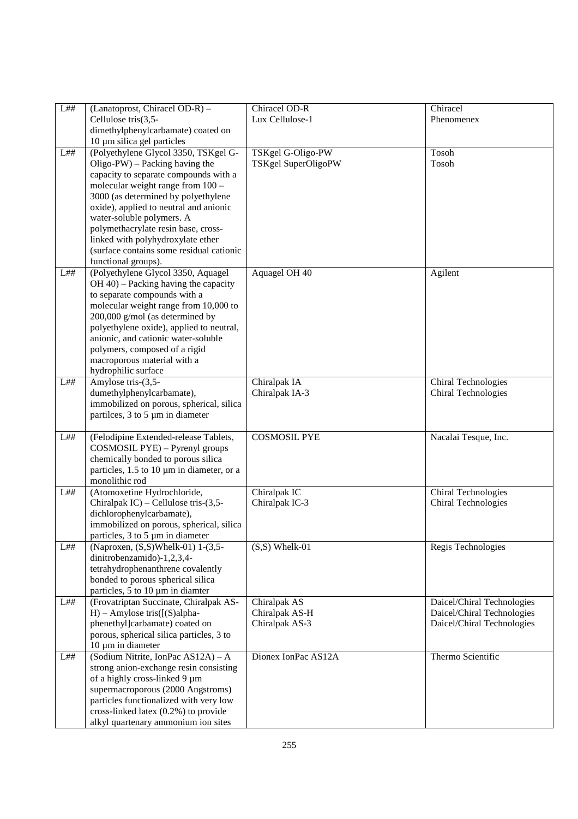| L## | (Lanatoprost, Chiracel OD-R) -                                           | Chiracel OD-R       | Chiracel                   |
|-----|--------------------------------------------------------------------------|---------------------|----------------------------|
|     | Cellulose tris(3,5-                                                      | Lux Cellulose-1     | Phenomenex                 |
|     | dimethylphenylcarbamate) coated on                                       |                     |                            |
|     | 10 µm silica gel particles                                               |                     |                            |
| L## | (Polyethylene Glycol 3350, TSKgel G-                                     | TSKgel G-Oligo-PW   | Tosoh                      |
|     | $Oligo-PW$ – Packing having the                                          | TSKgel SuperOligoPW | Tosoh                      |
|     | capacity to separate compounds with a                                    |                     |                            |
|     | molecular weight range from 100 -<br>3000 (as determined by polyethylene |                     |                            |
|     | oxide), applied to neutral and anionic                                   |                     |                            |
|     | water-soluble polymers. A                                                |                     |                            |
|     | polymethacrylate resin base, cross-                                      |                     |                            |
|     | linked with polyhydroxylate ether                                        |                     |                            |
|     | (surface contains some residual cationic                                 |                     |                            |
|     | functional groups).                                                      |                     |                            |
| L## | (Polyethylene Glycol 3350, Aquagel                                       | Aquagel OH 40       | Agilent                    |
|     | $OH$ 40) – Packing having the capacity                                   |                     |                            |
|     | to separate compounds with a                                             |                     |                            |
|     | molecular weight range from 10,000 to                                    |                     |                            |
|     | 200,000 g/mol (as determined by                                          |                     |                            |
|     | polyethylene oxide), applied to neutral,                                 |                     |                            |
|     | anionic, and cationic water-soluble                                      |                     |                            |
|     | polymers, composed of a rigid                                            |                     |                            |
|     | macroporous material with a                                              |                     |                            |
|     | hydrophilic surface                                                      |                     |                            |
| L## | Amylose tris-(3,5-                                                       | Chiralpak IA        | Chiral Technologies        |
|     | dumethylphenylcarbamate),                                                | Chiralpak IA-3      | Chiral Technologies        |
|     | immobilized on porous, spherical, silica                                 |                     |                            |
|     | partiles, 3 to 5 µm in diameter                                          |                     |                            |
|     |                                                                          |                     |                            |
| L## | (Felodipine Extended-release Tablets,                                    | <b>COSMOSIL PYE</b> | Nacalai Tesque, Inc.       |
|     | COSMOSIL PYE) - Pyrenyl groups<br>chemically bonded to porous silica     |                     |                            |
|     | particles, 1.5 to 10 µm in diameter, or a                                |                     |                            |
|     | monolithic rod                                                           |                     |                            |
| L## | (Atomoxetine Hydrochloride,                                              | Chiralpak IC        | Chiral Technologies        |
|     | Chiralpak IC) – Cellulose tris- $(3,5-$                                  | Chiralpak IC-3      | Chiral Technologies        |
|     | dichlorophenylcarbamate),                                                |                     |                            |
|     | immobilized on porous, spherical, silica                                 |                     |                            |
|     | particles, 3 to 5 µm in diameter                                         |                     |                            |
| L## | (Naproxen, (S,S)Whelk-01) 1-(3,5-                                        | $(S, S)$ Whelk-01   | Regis Technologies         |
|     | dinitrobenzamido)-1,2,3,4-                                               |                     |                            |
|     | tetrahydrophenanthrene covalently                                        |                     |                            |
|     | bonded to porous spherical silica                                        |                     |                            |
|     | particles, 5 to 10 µm in diamter                                         |                     |                            |
| L## | (Frovatriptan Succinate, Chiralpak AS-                                   | Chiralpak AS        | Daicel/Chiral Technologies |
|     | $H$ ) – Amylose tris( $[(S)$ alpha-                                      | Chiralpak AS-H      | Daicel/Chiral Technologies |
|     | phenethyl]carbamate) coated on                                           | Chiralpak AS-3      | Daicel/Chiral Technologies |
|     | porous, spherical silica particles, 3 to                                 |                     |                            |
|     | 10 µm in diameter                                                        |                     |                            |
| L## | (Sodium Nitrite, IonPac AS12A) - A                                       | Dionex IonPac AS12A | Thermo Scientific          |
|     | strong anion-exchange resin consisting                                   |                     |                            |
|     | of a highly cross-linked 9 µm                                            |                     |                            |
|     | supermacroporous (2000 Angstroms)                                        |                     |                            |
|     | particles functionalized with very low                                   |                     |                            |
|     | cross-linked latex (0.2%) to provide                                     |                     |                            |
|     | alkyl quartenary ammonium ion sites                                      |                     |                            |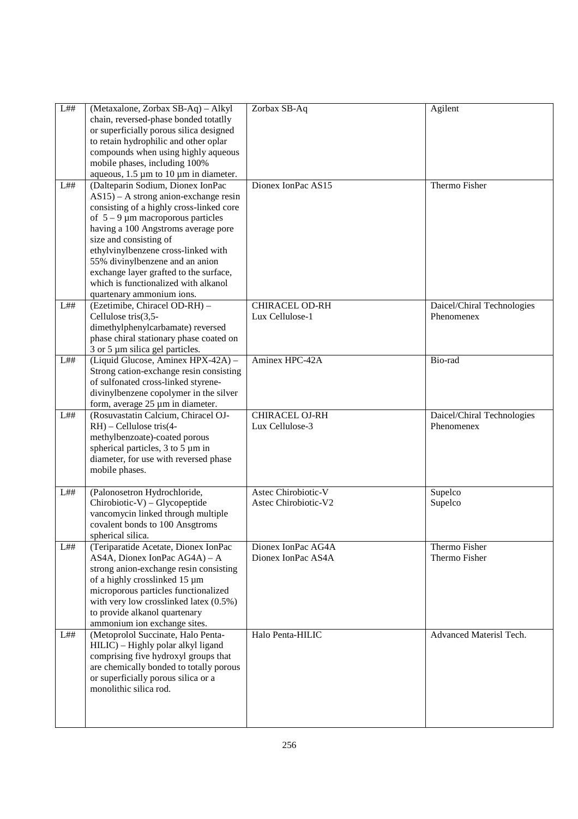| L## | (Metaxalone, Zorbax SB-Aq) - Alkyl<br>chain, reversed-phase bonded totatlly<br>or superficially porous silica designed<br>to retain hydrophilic and other oplar<br>compounds when using highly aqueous<br>mobile phases, including 100%<br>aqueous, $1.5 \mu m$ to $10 \mu m$ in diameter.                                                                                                                                  | Zorbax SB-Aq                                | Agilent                                  |
|-----|-----------------------------------------------------------------------------------------------------------------------------------------------------------------------------------------------------------------------------------------------------------------------------------------------------------------------------------------------------------------------------------------------------------------------------|---------------------------------------------|------------------------------------------|
| L## | (Dalteparin Sodium, Dionex IonPac<br>$AS15$ – A strong anion-exchange resin<br>consisting of a highly cross-linked core<br>of $5 - 9 \mu m$ macroporous particles<br>having a 100 Angstroms average pore<br>size and consisting of<br>ethylvinylbenzene cross-linked with<br>55% divinylbenzene and an anion<br>exchange layer grafted to the surface,<br>which is functionalized with alkanol<br>quartenary ammonium ions. | Dionex IonPac AS15                          | Thermo Fisher                            |
| L## | (Ezetimibe, Chiracel OD-RH) -<br>Cellulose tris(3,5-<br>dimethylphenylcarbamate) reversed<br>phase chiral stationary phase coated on<br>3 or 5 µm silica gel particles.                                                                                                                                                                                                                                                     | <b>CHIRACEL OD-RH</b><br>Lux Cellulose-1    | Daicel/Chiral Technologies<br>Phenomenex |
| L## | (Liquid Glucose, Aminex HPX-42A) -<br>Strong cation-exchange resin consisting<br>of sulfonated cross-linked styrene-<br>divinylbenzene copolymer in the silver<br>form, average 25 µm in diameter.                                                                                                                                                                                                                          | Aminex HPC-42A                              | Bio-rad                                  |
| L## | (Rosuvastatin Calcium, Chiracel OJ-<br>$RH$ ) – Cellulose tris $(4-$<br>methylbenzoate)-coated porous<br>spherical particles, 3 to 5 µm in<br>diameter, for use with reversed phase<br>mobile phases.                                                                                                                                                                                                                       | CHIRACEL OJ-RH<br>Lux Cellulose-3           | Daicel/Chiral Technologies<br>Phenomenex |
| L## | (Palonosetron Hydrochloride,<br>$Chirobiotic-V) - Glycopeptide$<br>vancomycin linked through multiple<br>covalent bonds to 100 Ansgtroms<br>spherical silica.                                                                                                                                                                                                                                                               | Astec Chirobiotic-V<br>Astec Chirobiotic-V2 | Supelco<br>Supelco                       |
| L## | (Teriparatide Acetate, Dionex IonPac<br>AS4A, Dionex IonPac AG4A) - A<br>strong anion-exchange resin consisting<br>of a highly crosslinked 15 µm<br>microporous particles functionalized<br>with very low crosslinked latex (0.5%)<br>to provide alkanol quartenary<br>ammonium ion exchange sites.                                                                                                                         | Dionex IonPac AG4A<br>Dionex IonPac AS4A    | Thermo Fisher<br>Thermo Fisher           |
| L## | (Metoprolol Succinate, Halo Penta-<br>HILIC) - Highly polar alkyl ligand<br>comprising five hydroxyl groups that<br>are chemically bonded to totally porous<br>or superficially porous silica or a<br>monolithic silica rod.                                                                                                                                                                                                | Halo Penta-HILIC                            | Advanced Materisl Tech.                  |